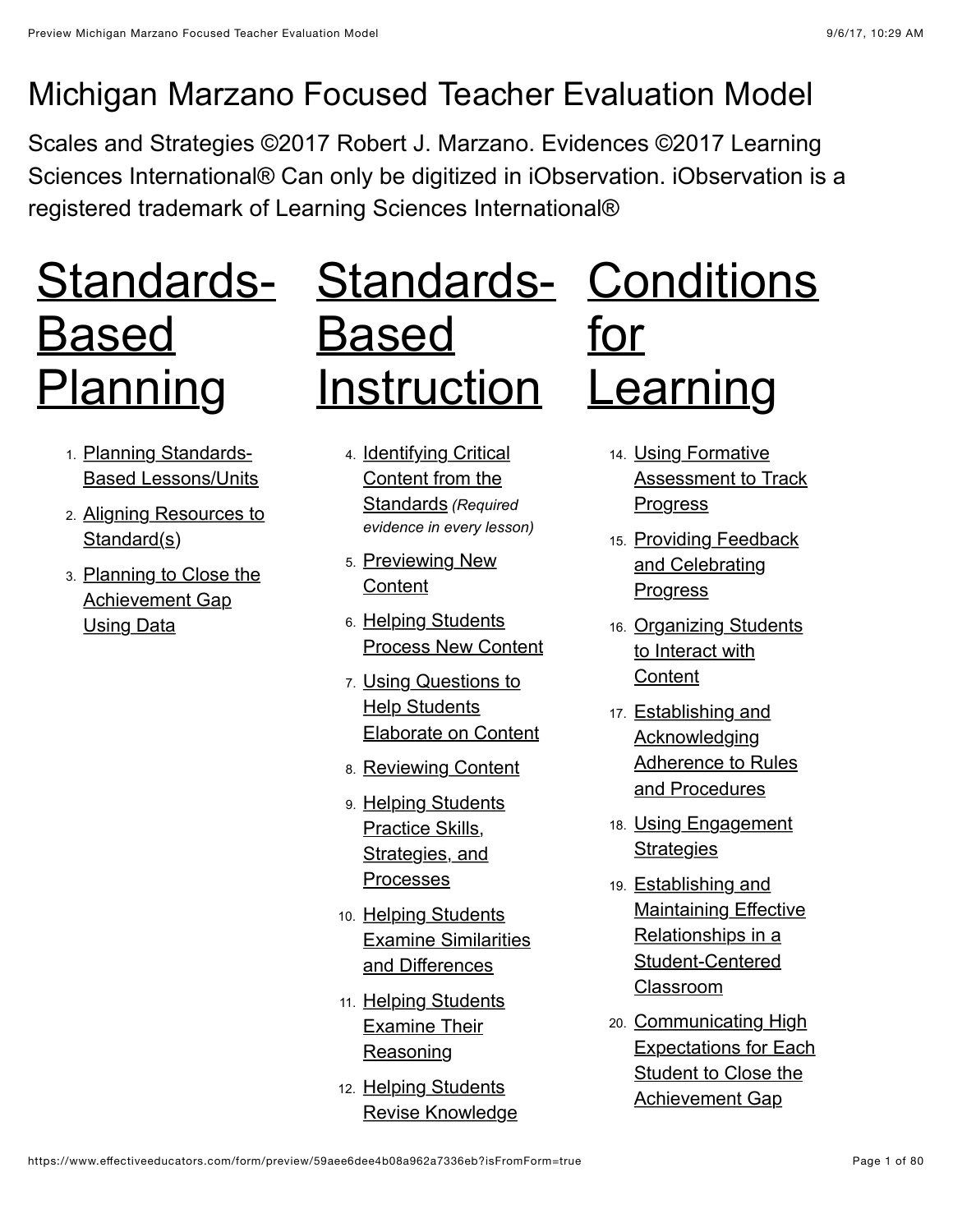### Michigan Marzano Focused Teacher Evaluation Model

Scales and Strategies ©2017 Robert J. Marzano. Evidences ©2017 Learning Sciences International® Can only be digitized in iObservation. iObservation is a registered trademark of Learning Sciences International®

# Standards- Standards- [Conditions](#page-51-0) Based Planning

- 1. Planning Standards-[Based Lessons/Units](#page-1-1)
- 2. [Aligning Resources to](#page-4-0) Standard(s)
- 3. [Planning to Close the](#page-6-0) Achievement Gap Using Data

# Based Instruction

- 4. [Identifying Critical](#page-9-1) Content from the Standards *(Required evidence in every lesson)*
- 5. [Previewing New](#page-13-0) **Content**
- 6. Helping Students [Process New Content](#page-17-0)
- 7. Using Questions to **Help Students** [Elaborate on Content](#page-21-0)
- 8. [Reviewing Content](#page-25-0)
- 9. [Helping Students](#page-29-0) Practice Skills, Strategies, and Processes
- 10. Helping Students [Examine Similarities](#page-33-0) and Differences
- 11. [Helping Students](#page-38-0) Examine Their **Reasoning**
- 12. Helping Students [Revise Knowledge](#page-43-0)

for **Learning** 

- 14. Using Formative [Assessment to Track](#page-51-1) **Progress**
- 15. [Providing Feedback](#page-53-0) and Celebrating **Progress**
- 16. [Organizing Students](#page-56-0) to Interact with **Content**
- 17. Establishing and Acknowledging [Adherence to Rules](#page-58-0) and Procedures
- 18. [Using Engagement](#page-61-0) **Strategies**
- 19. Establishing and [Maintaining Effective](#page-64-0) Relationships in a Student-Centered Classroom
- 20. Communicating High [Expectations for Each](#page-66-0) Student to Close the Achievement Gap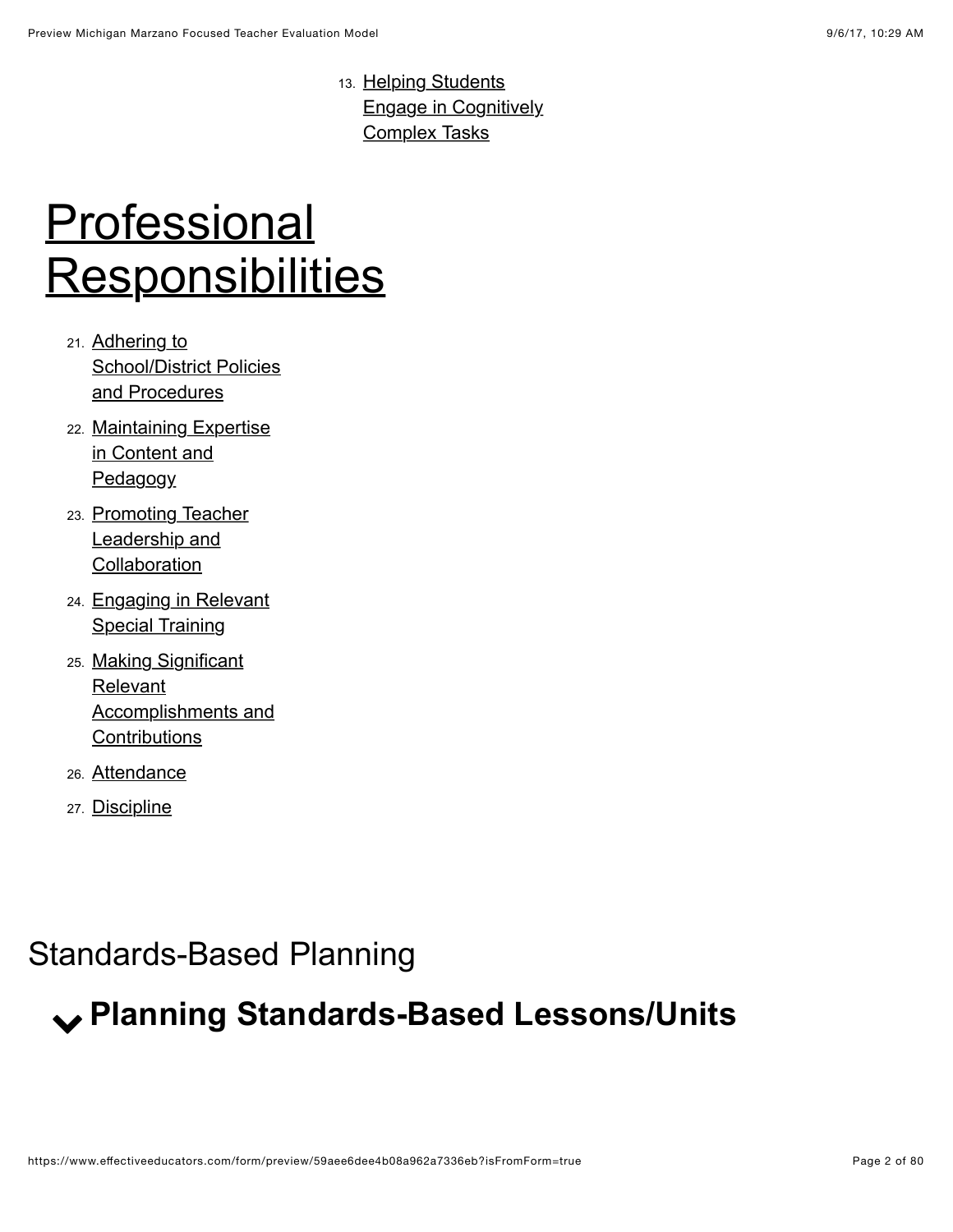13. Helping Students [Engage in Cognitively](#page-47-0) Complex Tasks

# **Professional [Responsibilities](#page-70-0)**

- 21. Adhering to **[School/District Policies](#page-70-1)** and Procedures
- 22. [Maintaining Expertise](#page-71-0) in Content and **Pedagogy**
- 23. [Promoting Teacher](#page-73-0) Leadership and **Collaboration**
- 24. [Engaging in Relevant](#page-74-0) **Special Training**
- 25. Making Significant **Relevant** [Accomplishments and](#page-75-0) **Contributions**
- 26. [Attendance](#page-76-0)
- 27. [Discipline](#page-78-0)

### <span id="page-1-0"></span>Standards-Based Planning

# <span id="page-1-1"></span>! **Planning Standards-Based Lessons/Units**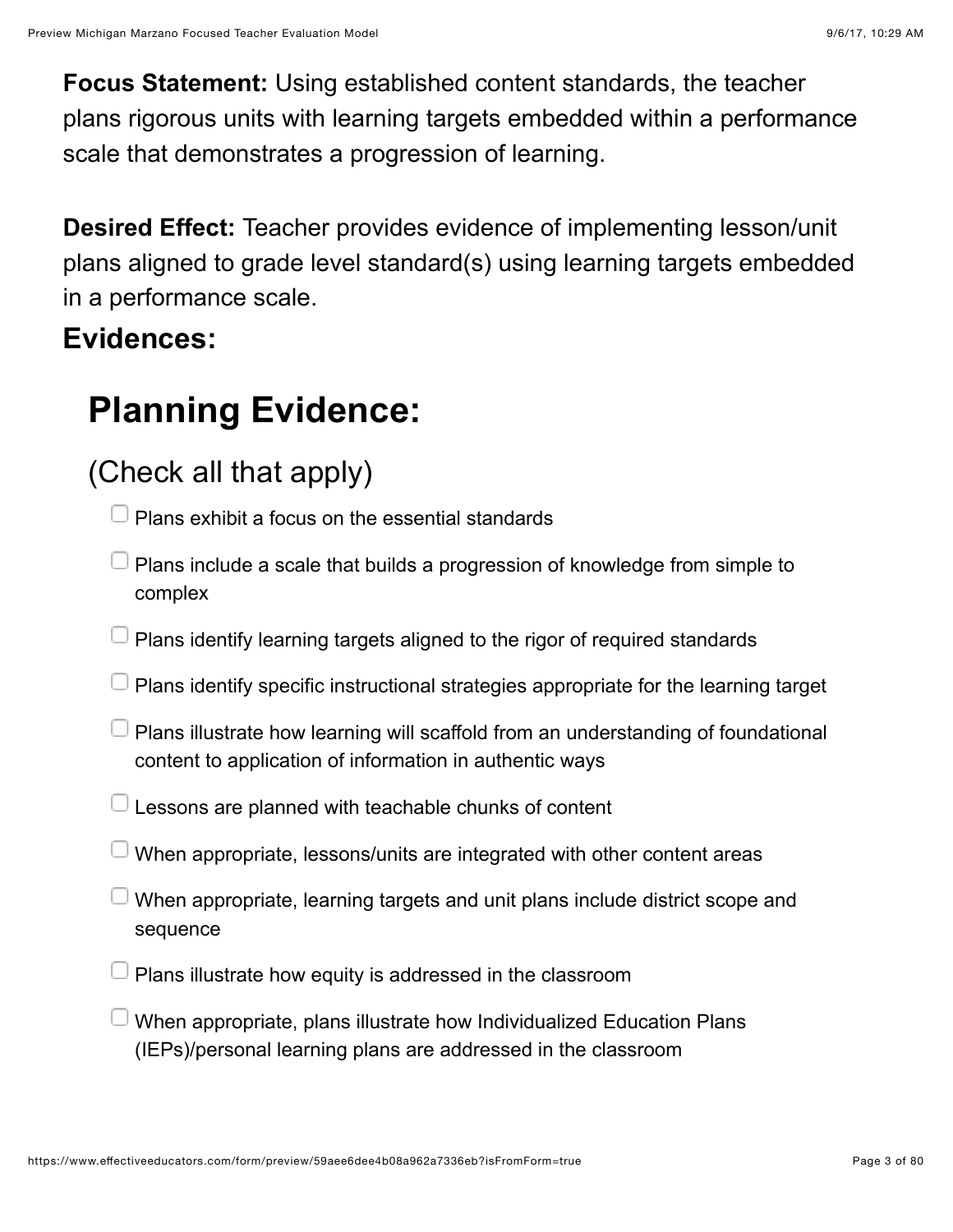**Focus Statement:** Using established content standards, the teacher plans rigorous units with learning targets embedded within a performance scale that demonstrates a progression of learning.

**Desired Effect:** Teacher provides evidence of implementing lesson/unit plans aligned to grade level standard(s) using learning targets embedded in a performance scale.

#### **Evidences:**

# **Planning Evidence:**

### (Check all that apply)

 $\Box$  Plans exhibit a focus on the essential standards

- $\Box$  Plans include a scale that builds a progression of knowledge from simple to complex
- $\Box$  Plans identify learning targets aligned to the rigor of required standards
- $\Box$  Plans identify specific instructional strategies appropriate for the learning target
- $\Box$  Plans illustrate how learning will scaffold from an understanding of foundational content to application of information in authentic ways
- $\Box$  Lessons are planned with teachable chunks of content
- $\Box$  When appropriate, lessons/units are integrated with other content areas
- $\Box$  When appropriate, learning targets and unit plans include district scope and sequence
- Plans illustrate how equity is addressed in the classroom
- $\Box$  When appropriate, plans illustrate how Individualized Education Plans (IEPs)/personal learning plans are addressed in the classroom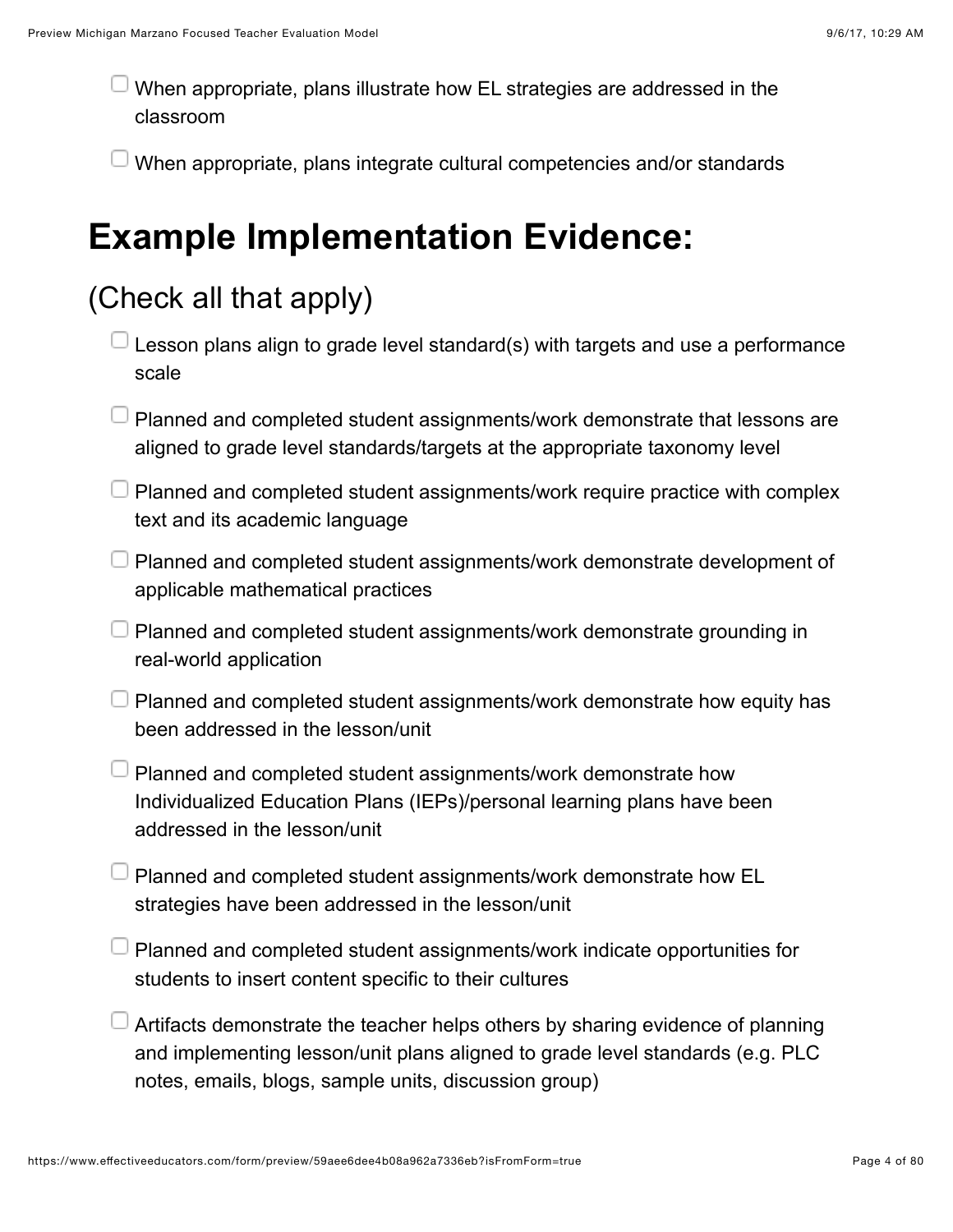When appropriate, plans illustrate how EL strategies are addressed in the classroom

When appropriate, plans integrate cultural competencies and/or standards

### **Example Implementation Evidence:**

### (Check all that apply)

- Lesson plans align to grade level standard(s) with targets and use a performance scale
- $\Box$  Planned and completed student assignments/work demonstrate that lessons are aligned to grade level standards/targets at the appropriate taxonomy level
- $\Box$  Planned and completed student assignments/work require practice with complex text and its academic language
- $\Box$  Planned and completed student assignments/work demonstrate development of applicable mathematical practices
- $\Box$  Planned and completed student assignments/work demonstrate grounding in real-world application
- $\Box$  Planned and completed student assignments/work demonstrate how equity has been addressed in the lesson/unit
- $\Box$  Planned and completed student assignments/work demonstrate how Individualized Education Plans (IEPs)/personal learning plans have been addressed in the lesson/unit
- Planned and completed student assignments/work demonstrate how EL strategies have been addressed in the lesson/unit
- Planned and completed student assignments/work indicate opportunities for students to insert content specific to their cultures
- Artifacts demonstrate the teacher helps others by sharing evidence of planning and implementing lesson/unit plans aligned to grade level standards (e.g. PLC notes, emails, blogs, sample units, discussion group)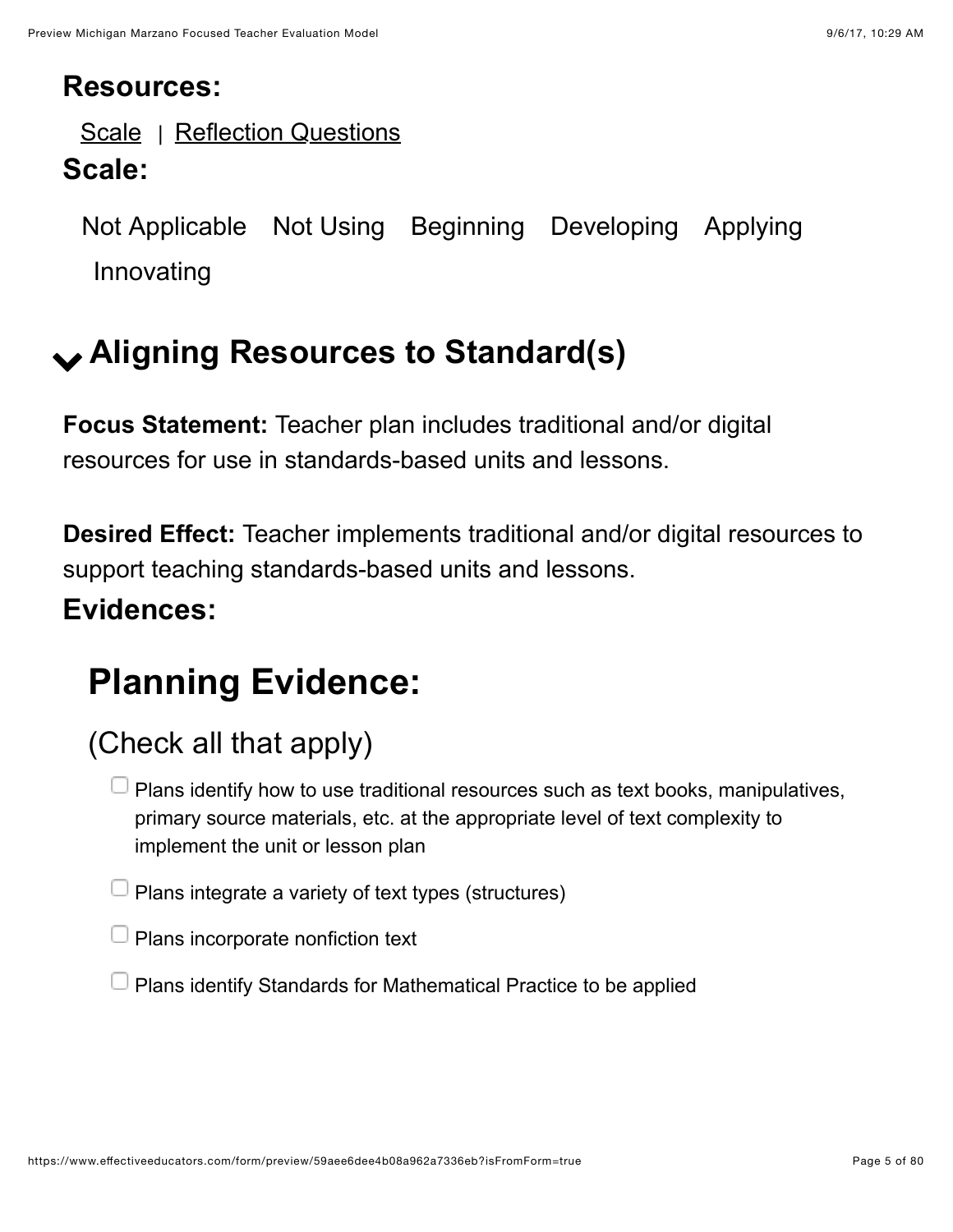#### **Resources:**

[Scale](https://www.effectiveeducators.com/resource/show/58daa01ee4b0b6f2f27533ab?popup=true&lookforId=59aee6d4e4b08a962a7333e6&title=Scale) | [Reflection Questions](https://www.effectiveeducators.com/resource/show/58e69c04e4b05a93828ec414?popup=true&lookforId=59aee6d4e4b08a962a7333e6&title=Reflection+Questions)

#### **Scale:**

Not Applicable Not Using Beginning Developing Applying Innovating

# <span id="page-4-0"></span>! **Aligning Resources to Standard(s)**

**Focus Statement:** Teacher plan includes traditional and/or digital resources for use in standards-based units and lessons.

**Desired Effect:** Teacher implements traditional and/or digital resources to support teaching standards-based units and lessons.

#### **Evidences:**

# **Planning Evidence:**

### (Check all that apply)

 $\Box$  Plans identify how to use traditional resources such as text books, manipulatives, primary source materials, etc. at the appropriate level of text complexity to implement the unit or lesson plan

 $\Box$  Plans integrate a variety of text types (structures)

 $\Box$  Plans incorporate nonfiction text

 $\Box$  Plans identify Standards for Mathematical Practice to be applied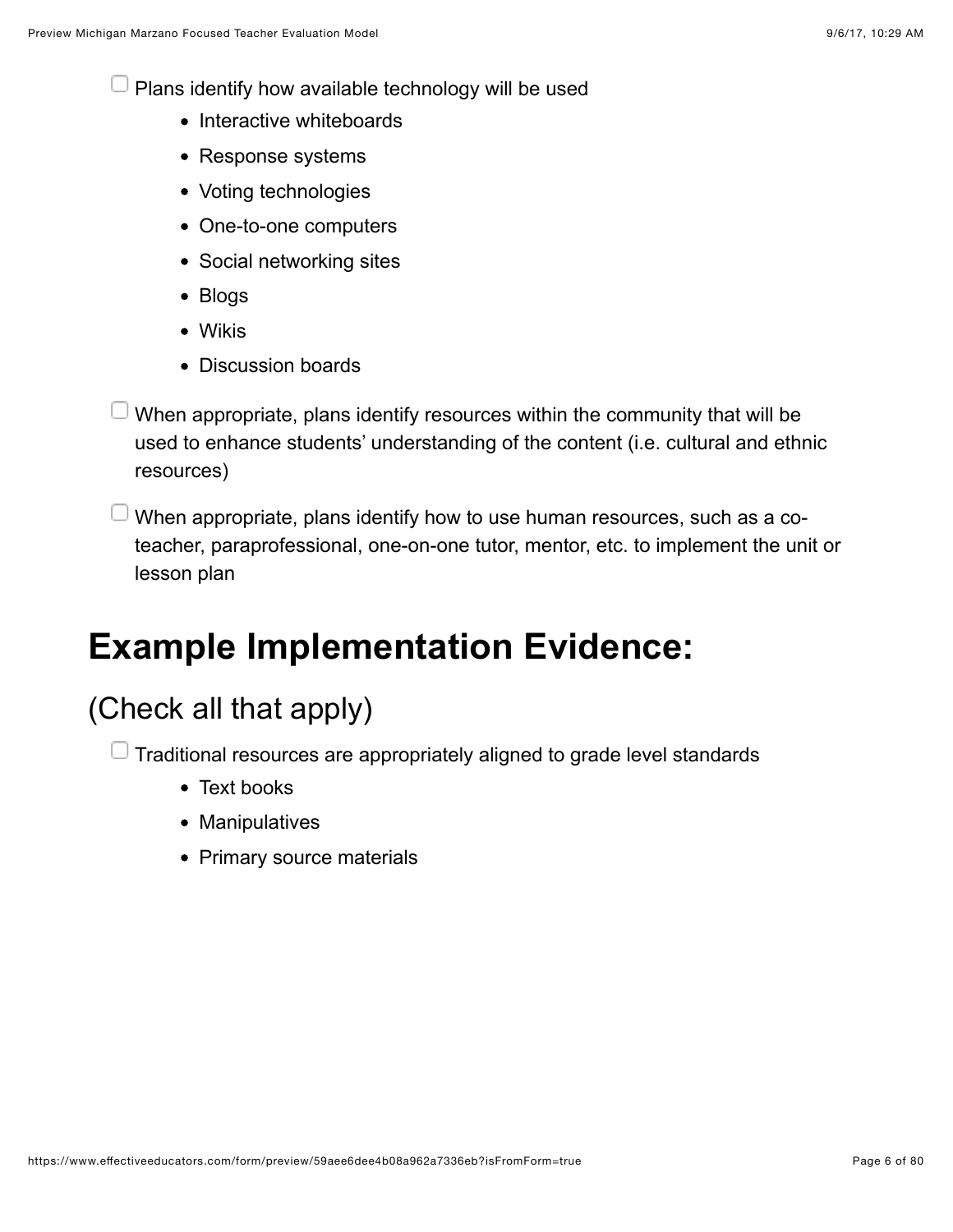$\Box$  Plans identify how available technology will be used

- Interactive whiteboards
- Response systems
- Voting technologies
- One-to-one computers
- Social networking sites
- Blogs
- Wikis
- Discussion boards
- $\Box$  When appropriate, plans identify resources within the community that will be used to enhance students' understanding of the content (i.e. cultural and ethnic resources)
- When appropriate, plans identify how to use human resources, such as a coteacher, paraprofessional, one-on-one tutor, mentor, etc. to implement the unit or lesson plan

# **Example Implementation Evidence:**

### (Check all that apply)

 $\Box$  Traditional resources are appropriately aligned to grade level standards

- Text books
- Manipulatives
- Primary source materials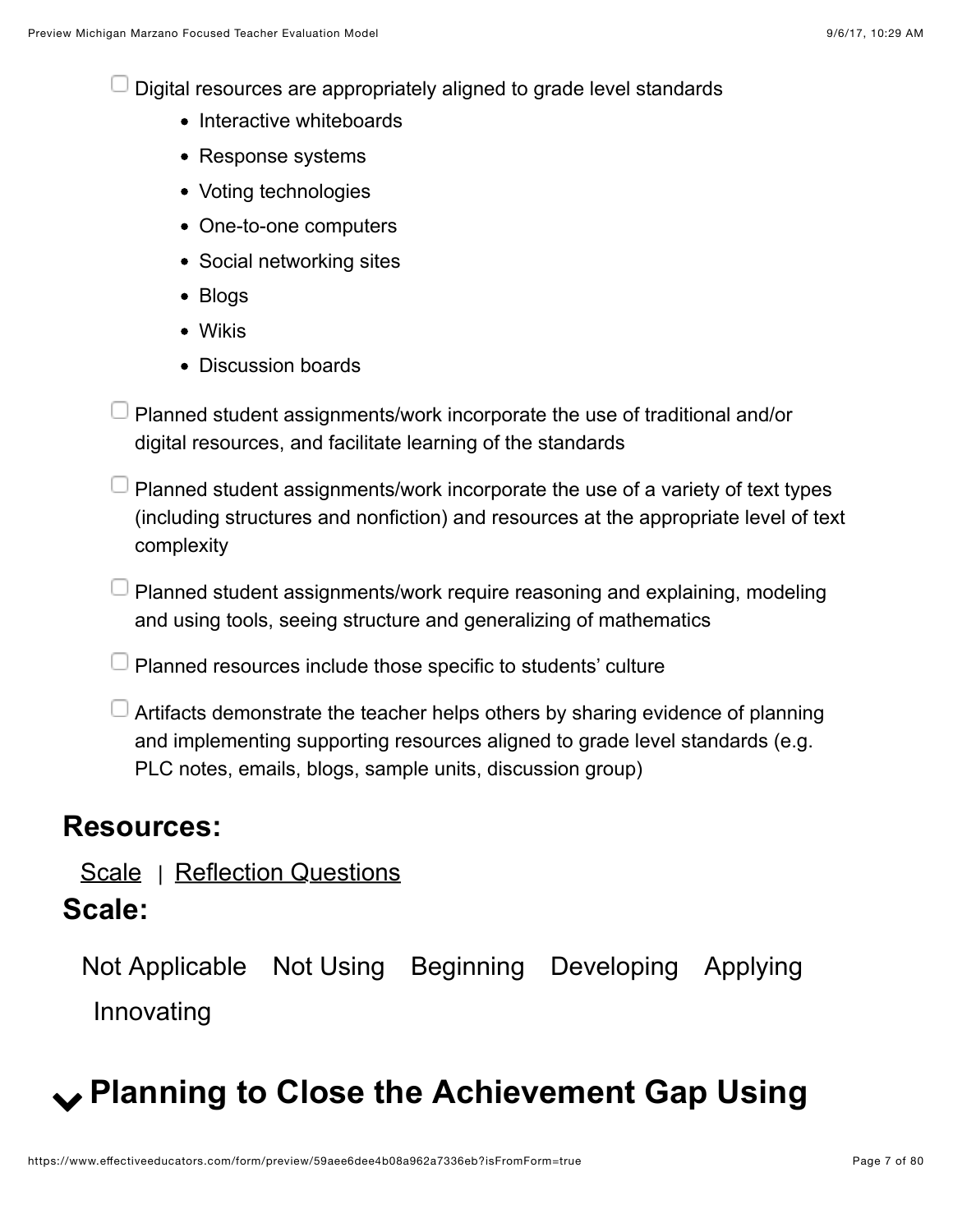Digital resources are appropriately aligned to grade level standards

- Interactive whiteboards
- Response systems
- Voting technologies
- One-to-one computers
- Social networking sites
- Blogs
- Wikis
- Discussion boards
- $\Box$  Planned student assignments/work incorporate the use of traditional and/or digital resources, and facilitate learning of the standards
- $\Box$  Planned student assignments/work incorporate the use of a variety of text types (including structures and nonfiction) and resources at the appropriate level of text complexity
- $\Box$  Planned student assignments/work require reasoning and explaining, modeling and using tools, seeing structure and generalizing of mathematics
- Planned resources include those specific to students' culture
- $\Box$  Artifacts demonstrate the teacher helps others by sharing evidence of planning and implementing supporting resources aligned to grade level standards (e.g. PLC notes, emails, blogs, sample units, discussion group)

#### **Resources:**

#### [Scale](https://www.effectiveeducators.com/resource/show/58daa47ee4b0bee2dc83478c?popup=true&lookforId=59aee6d5e4b08a962a7333fe&title=Scale) | [Reflection Questions](https://www.effectiveeducators.com/resource/show/58e69cf7e4b03411ff7c4b97?popup=true&lookforId=59aee6d5e4b08a962a7333fe&title=Reflection+Questions)

#### **Scale:**

Not Applicable Not Using Beginning Developing Applying Innovating

# <span id="page-6-0"></span>! **Planning to Close the Achievement Gap Using**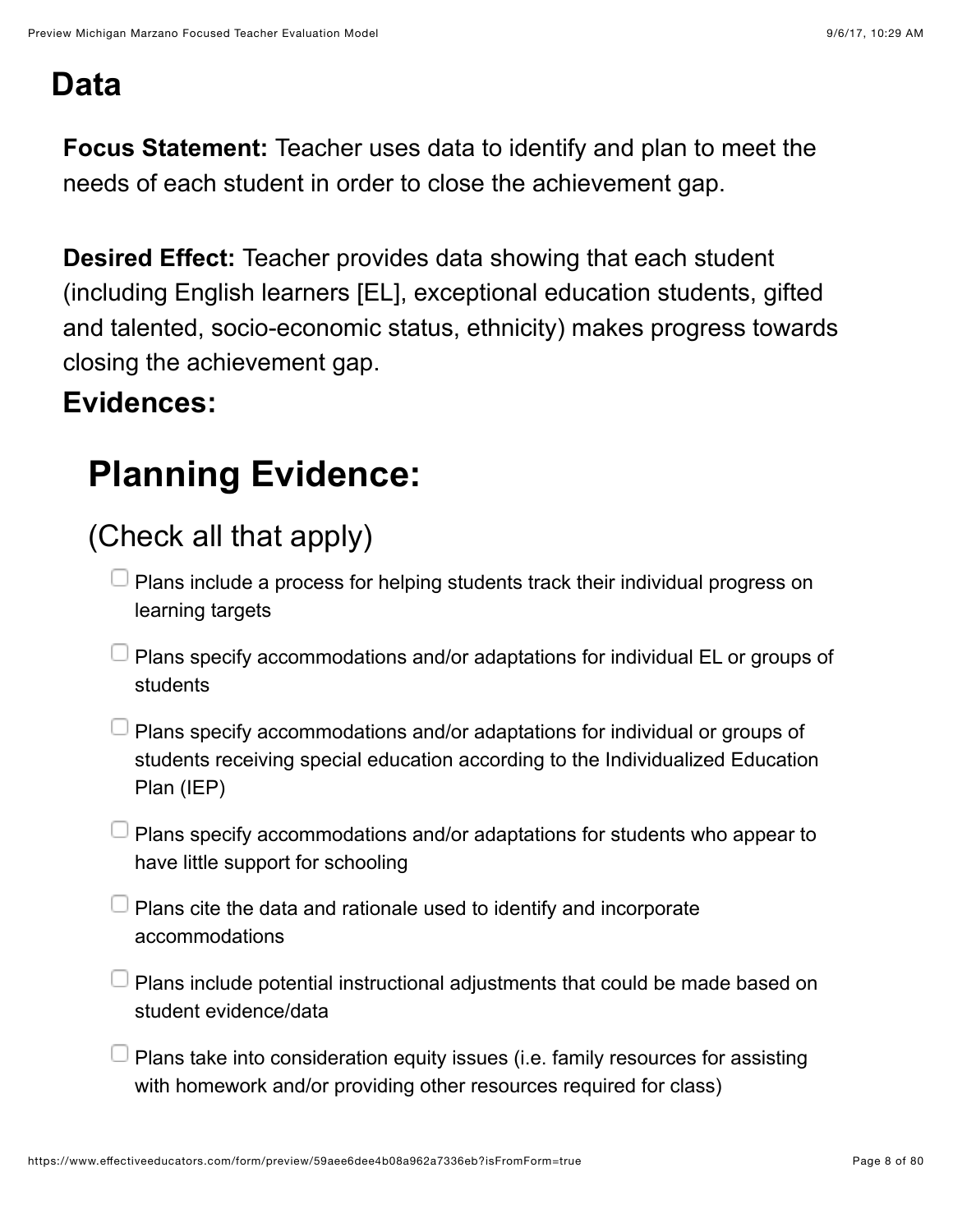### **Data**

**Focus Statement:** Teacher uses data to identify and plan to meet the needs of each student in order to close the achievement gap.

**Desired Effect:** Teacher provides data showing that each student (including English learners [EL], exceptional education students, gifted and talented, socio-economic status, ethnicity) makes progress towards closing the achievement gap.

#### **Evidences:**

# **Planning Evidence:**

### (Check all that apply)

- Plans include a process for helping students track their individual progress on learning targets
- $\Box$  Plans specify accommodations and/or adaptations for individual EL or groups of students
- Plans specify accommodations and/or adaptations for individual or groups of students receiving special education according to the Individualized Education Plan (IEP)
- $\Box$  Plans specify accommodations and/or adaptations for students who appear to have little support for schooling
	- $\Box$  Plans cite the data and rationale used to identify and incorporate accommodations
- Plans include potential instructional adjustments that could be made based on student evidence/data
- $\Box$  Plans take into consideration equity issues (i.e. family resources for assisting with homework and/or providing other resources required for class)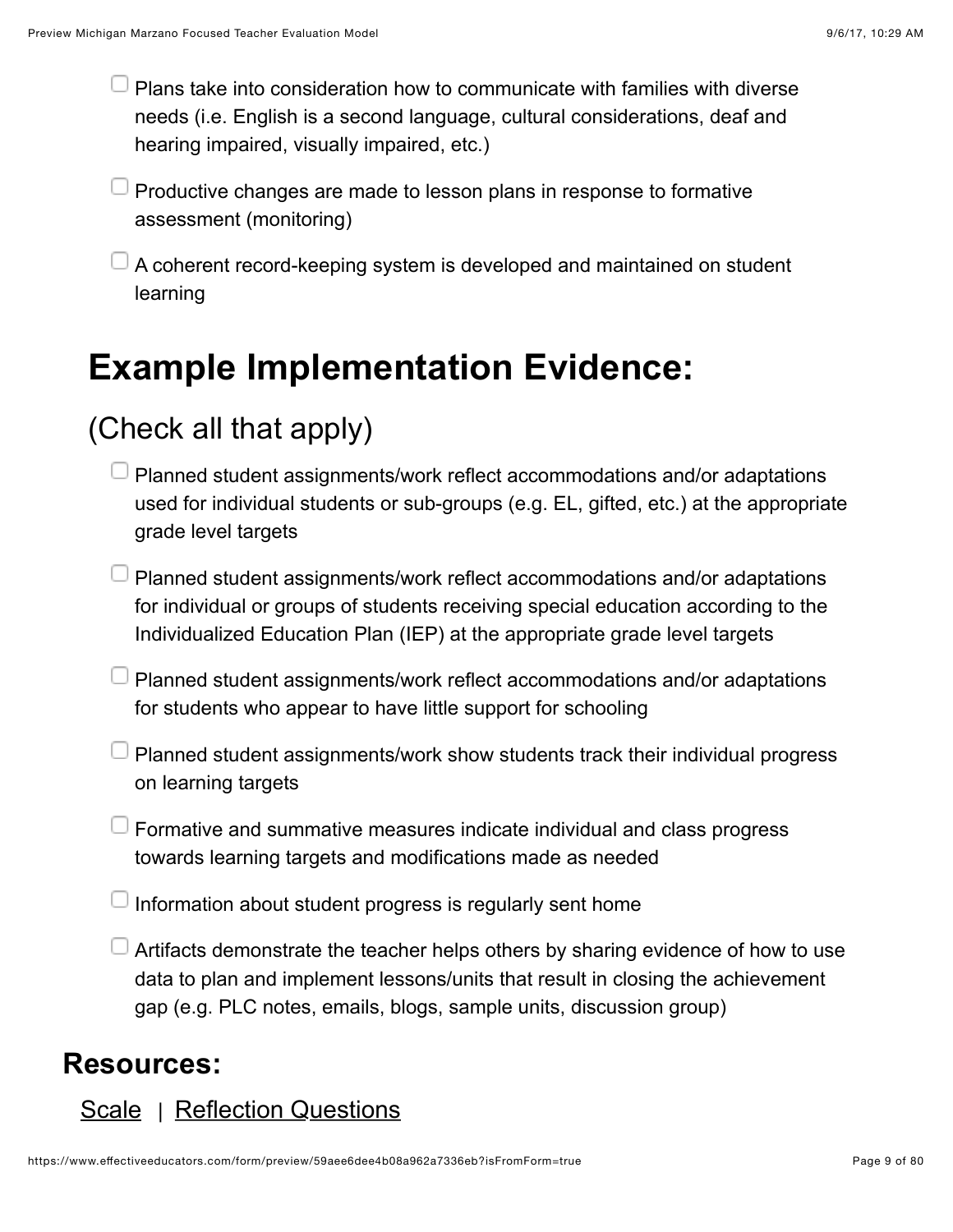Plans take into consideration how to communicate with families with diverse needs (i.e. English is a second language, cultural considerations, deaf and hearing impaired, visually impaired, etc.)

 $\perp$  Productive changes are made to lesson plans in response to formative assessment (monitoring)

A coherent record-keeping system is developed and maintained on student learning

# **Example Implementation Evidence:**

### (Check all that apply)

- Planned student assignments/work reflect accommodations and/or adaptations used for individual students or sub-groups (e.g. EL, gifted, etc.) at the appropriate grade level targets
- $\Box$  Planned student assignments/work reflect accommodations and/or adaptations for individual or groups of students receiving special education according to the Individualized Education Plan (IEP) at the appropriate grade level targets
- $\Box$  Planned student assignments/work reflect accommodations and/or adaptations for students who appear to have little support for schooling
- Planned student assignments/work show students track their individual progress on learning targets
- Formative and summative measures indicate individual and class progress towards learning targets and modifications made as needed
- Information about student progress is regularly sent home
- Artifacts demonstrate the teacher helps others by sharing evidence of how to use data to plan and implement lessons/units that result in closing the achievement gap (e.g. PLC notes, emails, blogs, sample units, discussion group)

#### **Resources:**

#### [Scale](https://www.effectiveeducators.com/resource/show/58dbed43e4b0cf4a3615c6d6?popup=true&lookforId=59aee6d5e4b08a962a73340e&title=Scale) | [Reflection Questions](https://www.effectiveeducators.com/resource/show/58e69d9ae4b0bd25d57cea2e?popup=true&lookforId=59aee6d5e4b08a962a73340e&title=Reflection+Questions)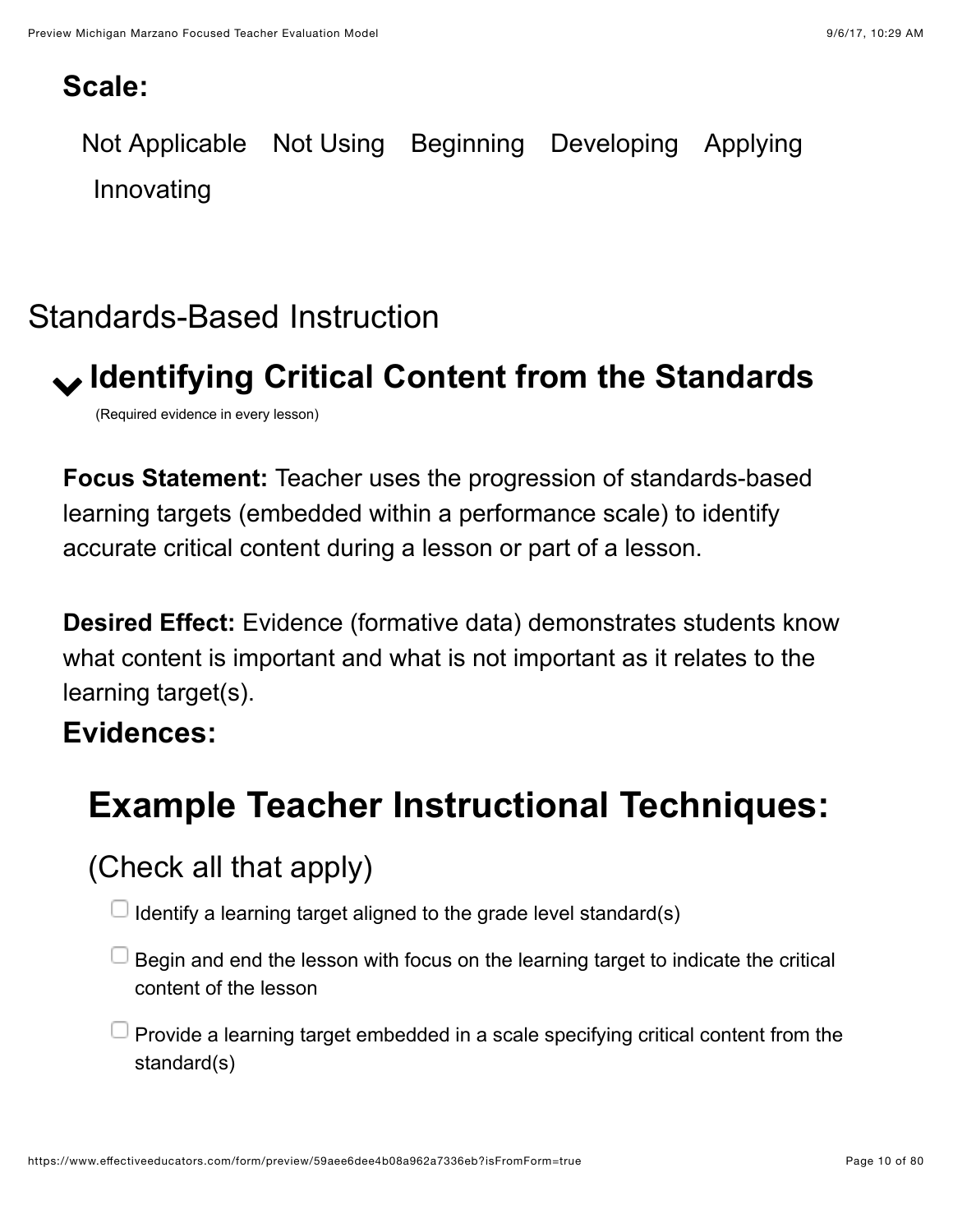#### **Scale:**

Not Applicable Not Using Beginning Developing Applying Innovating

### <span id="page-9-0"></span>Standards-Based Instruction

# <span id="page-9-1"></span>! **Identifying Critical Content from the Standards**

(Required evidence in every lesson)

**Focus Statement:** Teacher uses the progression of standards-based learning targets (embedded within a performance scale) to identify accurate critical content during a lesson or part of a lesson.

**Desired Effect:** Evidence (formative data) demonstrates students know what content is important and what is not important as it relates to the learning target(s).

#### **Evidences:**

# **Example Teacher Instructional Techniques:**

(Check all that apply)

Identify a learning target aligned to the grade level standard(s)

Begin and end the lesson with focus on the learning target to indicate the critical content of the lesson

 $\perp$  Provide a learning target embedded in a scale specifying critical content from the standard(s)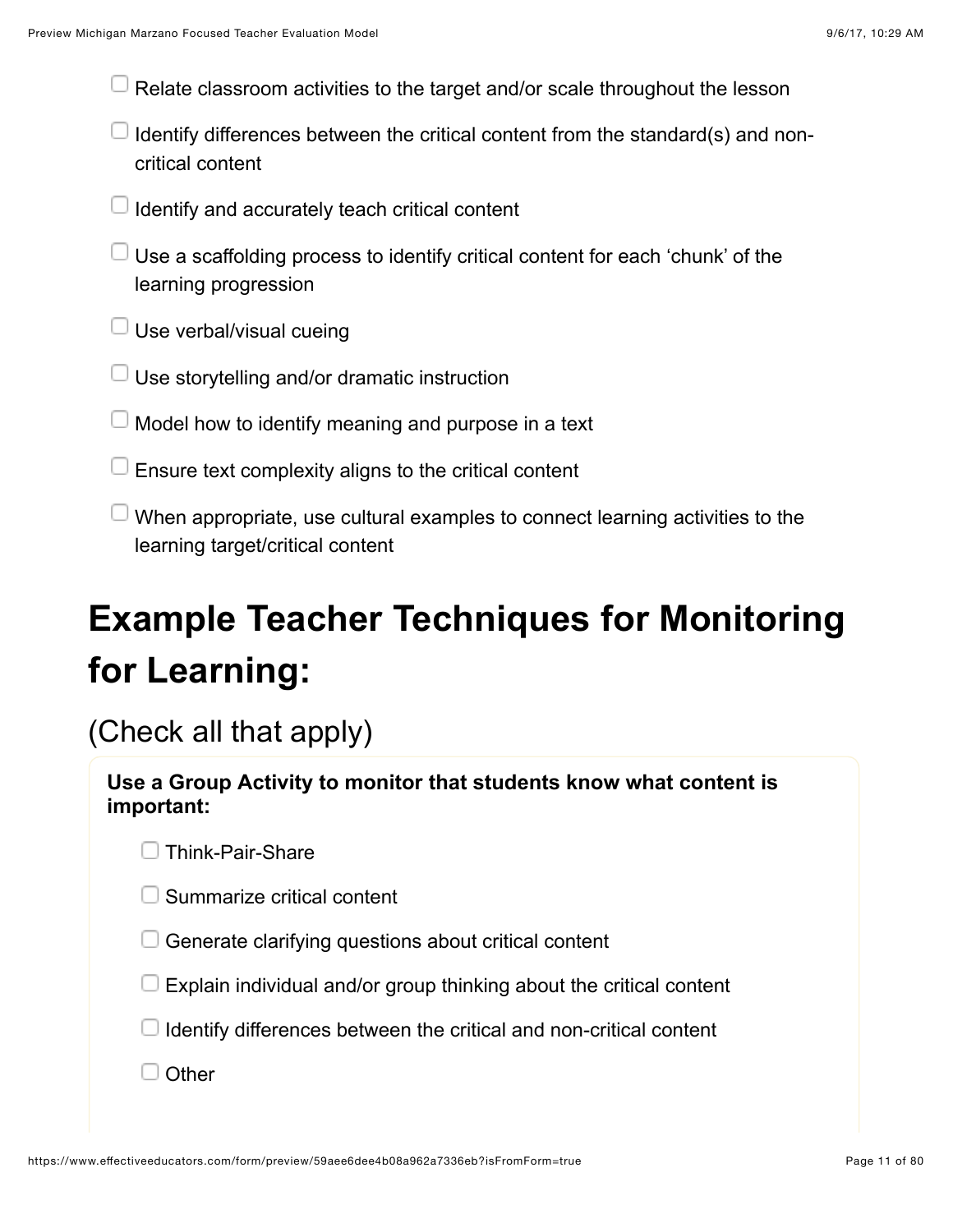Relate classroom activities to the target and/or scale throughout the lesson

- I Identify differences between the critical content from the standard(s) and noncritical content
- $\Box$  Identify and accurately teach critical content
- $\Box$  Use a scaffolding process to identify critical content for each 'chunk' of the learning progression
- $\Box$  Use verbal/visual cueing
- Use storytelling and/or dramatic instruction
- Model how to identify meaning and purpose in a text
- Ensure text complexity aligns to the critical content
- $\perp$  When appropriate, use cultural examples to connect learning activities to the learning target/critical content

# **Example Teacher Techniques for Monitoring for Learning:**

#### (Check all that apply)

| Use a Group Activity to monitor that students know what content is |
|--------------------------------------------------------------------|
| important:                                                         |
|                                                                    |

 $\Box$  Summarize critical content

 $\Box$  Generate clarifying questions about critical content

 $\Box$  Explain individual and/or group thinking about the critical content

 $\Box$  Identify differences between the critical and non-critical content

 $\Box$  Other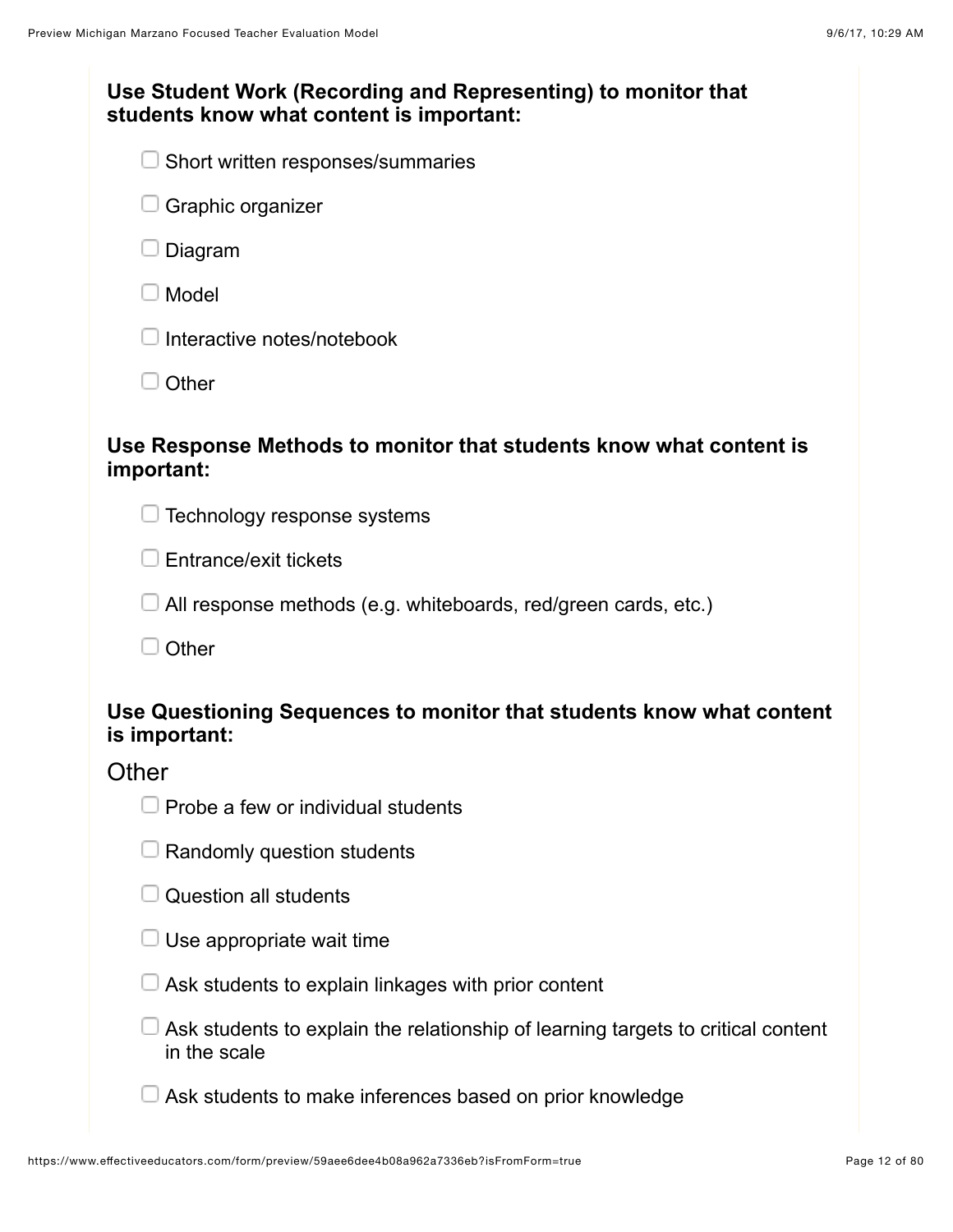| Use Student Work (Recording and Representing) to monitor that<br>students know what content is important: |  |
|-----------------------------------------------------------------------------------------------------------|--|
| Short written responses/summaries                                                                         |  |
| Graphic organizer                                                                                         |  |
| Diagram                                                                                                   |  |
| Model                                                                                                     |  |
| Interactive notes/notebook                                                                                |  |
| Other                                                                                                     |  |
| Use Response Methods to monitor that students know what content is<br>important:                          |  |
| Technology response systems                                                                               |  |
| Entrance/exit tickets                                                                                     |  |
| All response methods (e.g. whiteboards, red/green cards, etc.)                                            |  |
| Other                                                                                                     |  |
| Use Questioning Sequences to monitor that students know what content<br>is important:                     |  |
| Other                                                                                                     |  |
| Probe a few or individual students                                                                        |  |
| Randomly question students                                                                                |  |
| <b>Question all students</b>                                                                              |  |
| Use appropriate wait time                                                                                 |  |
| Ask students to explain linkages with prior content                                                       |  |
| Ask students to explain the relationship of learning targets to critical content<br>in the scale          |  |
| Ask students to make inferences based on prior knowledge                                                  |  |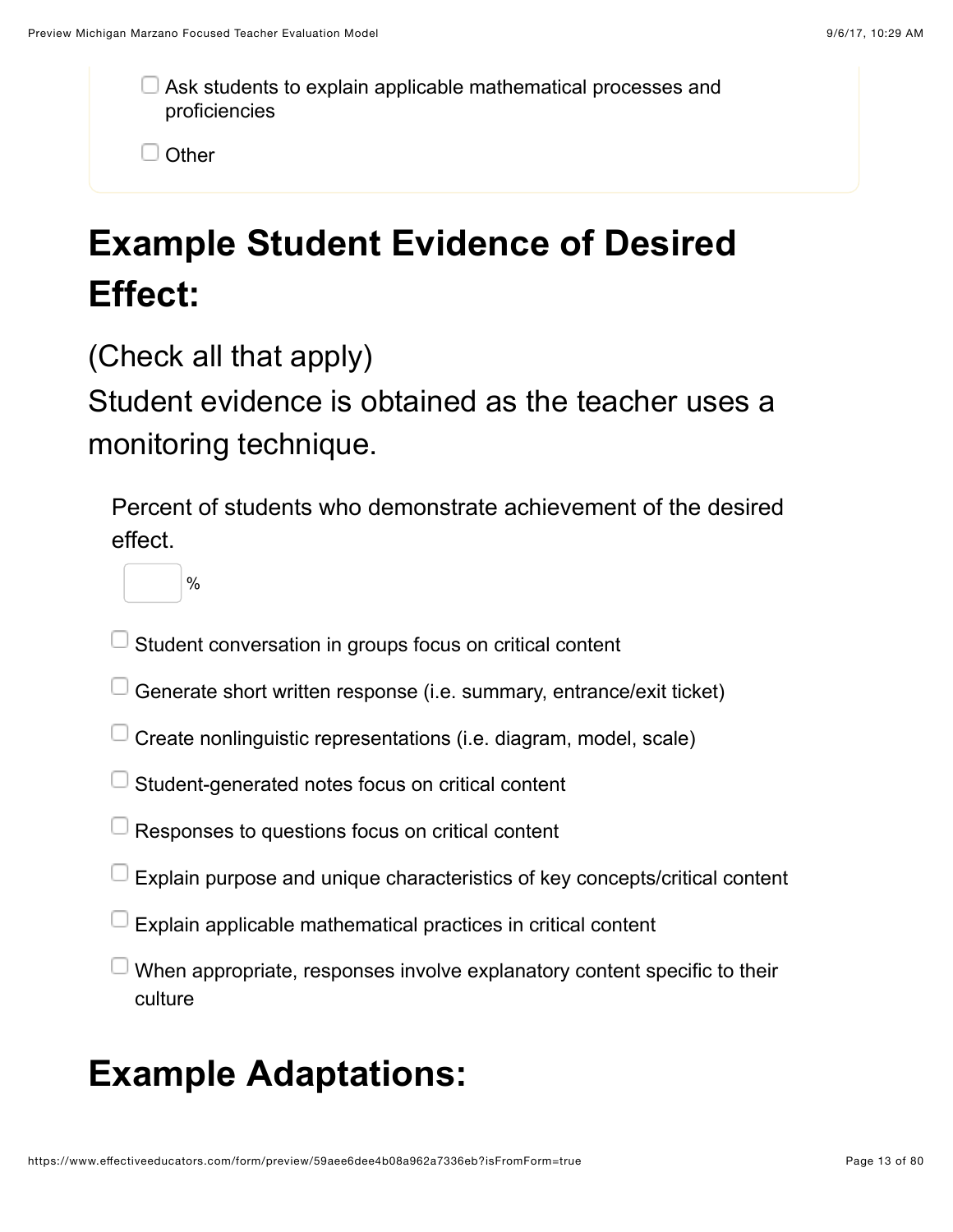Ask students to explain applicable mathematical processes and proficiencies

 $\Box$  Other

# **Example Student Evidence of Desired Effect:**

(Check all that apply)

Student evidence is obtained as the teacher uses a monitoring technique.

Percent of students who demonstrate achievement of the desired effect.

%

- Student conversation in groups focus on critical content
- Generate short written response (i.e. summary, entrance/exit ticket)
- Create nonlinguistic representations (i.e. diagram, model, scale)
- Student-generated notes focus on critical content
- Responses to questions focus on critical content
- Explain purpose and unique characteristics of key concepts/critical content
- Explain applicable mathematical practices in critical content
- When appropriate, responses involve explanatory content specific to their culture

### **Example Adaptations:**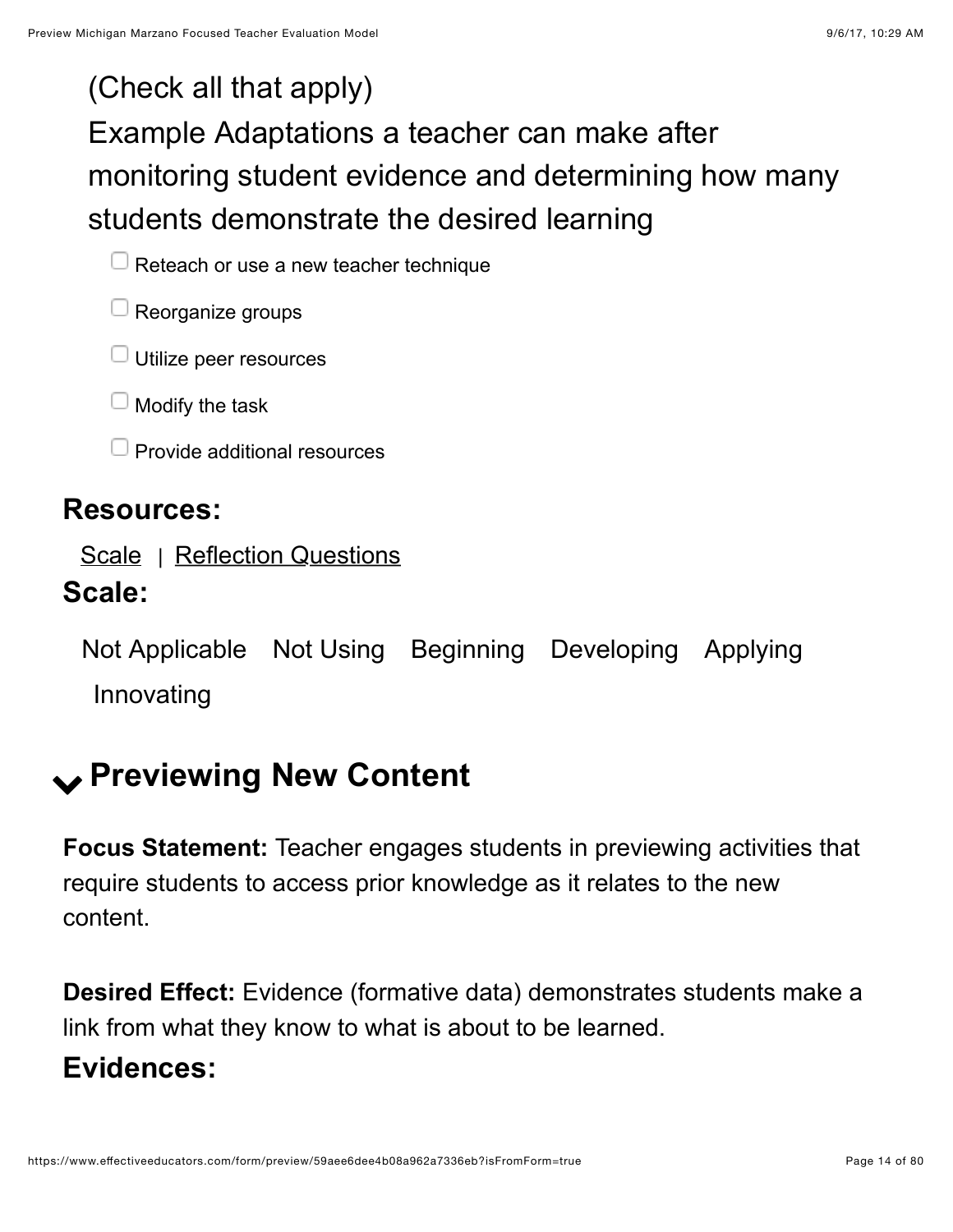### (Check all that apply)

# Example Adaptations a teacher can make after monitoring student evidence and determining how many students demonstrate the desired learning

 $\Box$  Reteach or use a new teacher technique

 $\Box$  Reorganize groups

 $\Box$  Utilize peer resources

 $\Box$  Modify the task

 $\Box$  Provide additional resources

#### **Resources:**

[Scale](https://www.effectiveeducators.com/resource/show/58dbef35e4b0cf4a3615d51d?popup=true&lookforId=59aee6d5e4b08a962a733421&title=Scale) | [Reflection Questions](https://www.effectiveeducators.com/resource/show/58e69e53e4b03411ff7c4ea1?popup=true&lookforId=59aee6d5e4b08a962a733421&title=Reflection+Questions)

#### **Scale:**

Not Applicable Not Using Beginning Developing Applying Innovating

# <span id="page-13-0"></span>! **Previewing New Content**

**Focus Statement:** Teacher engages students in previewing activities that require students to access prior knowledge as it relates to the new content.

**Desired Effect:** Evidence (formative data) demonstrates students make a link from what they know to what is about to be learned. **Evidences:**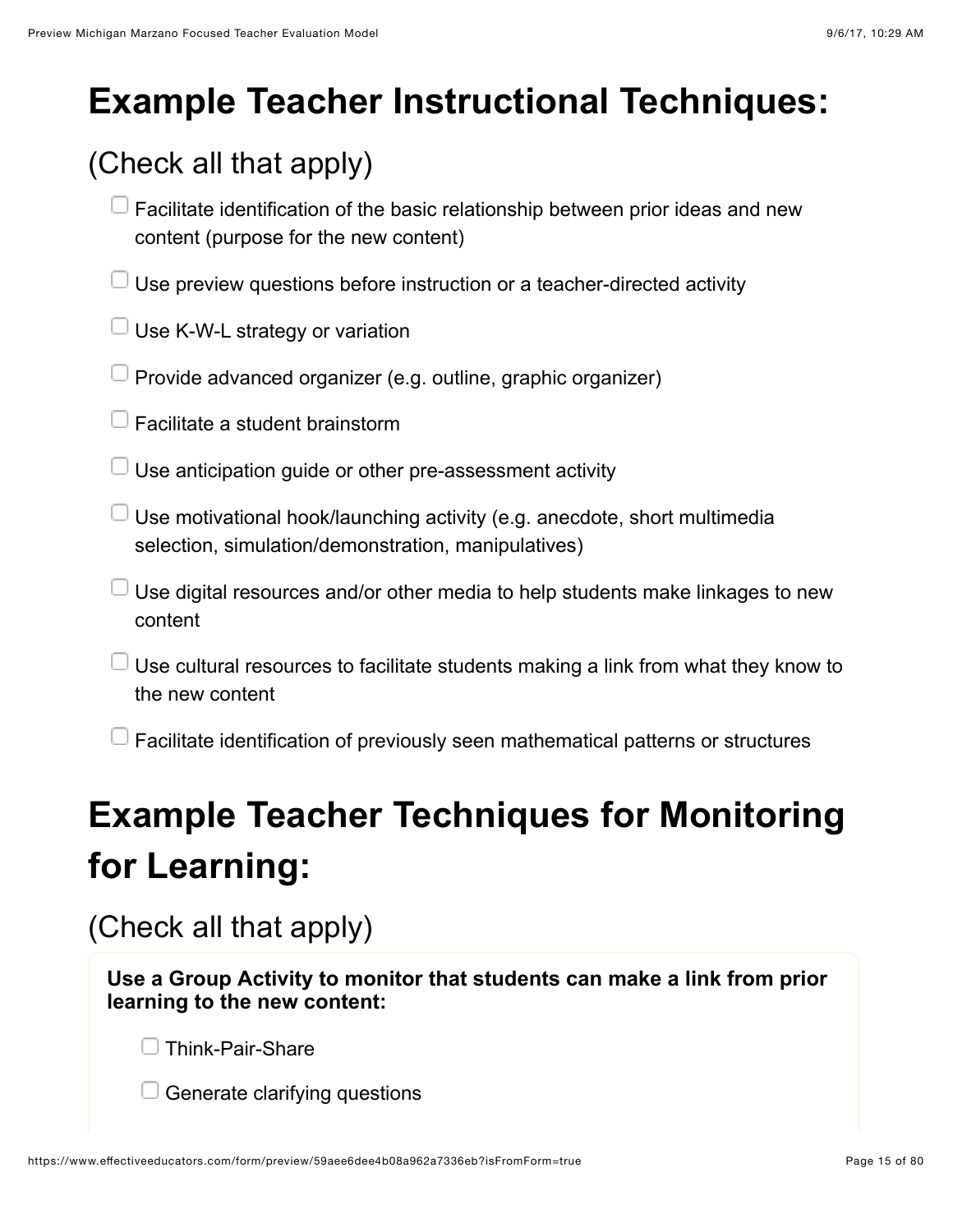# **Example Teacher Instructional Techniques:**

### (Check all that apply)

- $\Box$  Facilitate identification of the basic relationship between prior ideas and new content (purpose for the new content)
- $\Box$  Use preview questions before instruction or a teacher-directed activity
- $\Box$  Use K-W-L strategy or variation
- $\Box$  Provide advanced organizer (e.g. outline, graphic organizer)
- $\Box$  Facilitate a student brainstorm
- $\Box$  Use anticipation quide or other pre-assessment activity
- $\Box$  Use motivational hook/launching activity (e.g. anecdote, short multimedia selection, simulation/demonstration, manipulatives)
- $\Box$  Use digital resources and/or other media to help students make linkages to new content
- Use cultural resources to facilitate students making a link from what they know to the new content
- $\Box$  Facilitate identification of previously seen mathematical patterns or structures

# **Example Teacher Techniques for Monitoring for Learning:**

(Check all that apply)

**Use a Group Activity to monitor that students can make a link from prior learning to the new content:**

Think-Pair-Share

Generate clarifying questions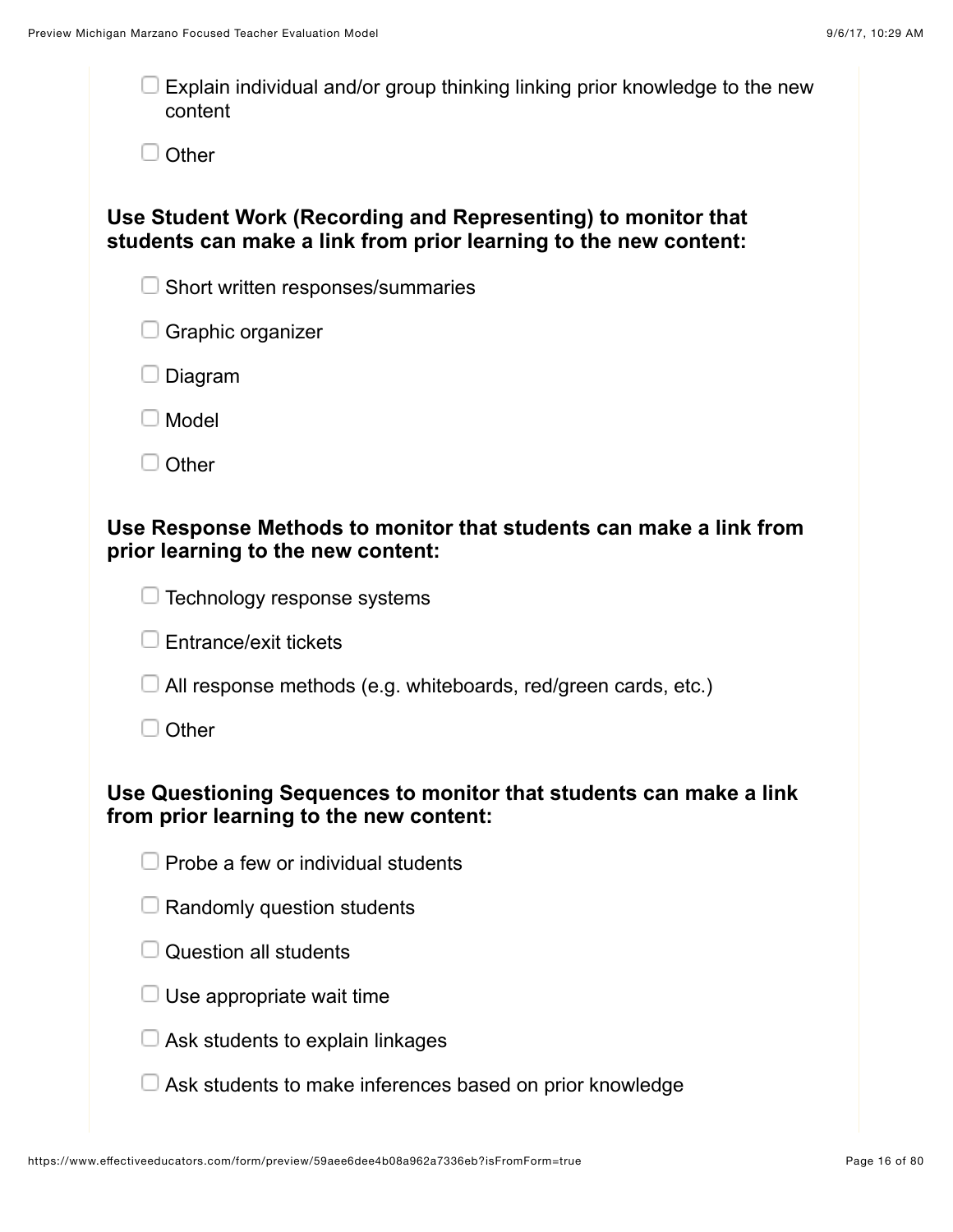| Explain individual and/or group thinking linking prior knowledge to the new<br>content                                            |
|-----------------------------------------------------------------------------------------------------------------------------------|
| Other                                                                                                                             |
| Use Student Work (Recording and Representing) to monitor that<br>students can make a link from prior learning to the new content: |
| Short written responses/summaries                                                                                                 |
| $\Box$ Graphic organizer                                                                                                          |
| Diagram                                                                                                                           |
| Model                                                                                                                             |
| Other                                                                                                                             |
| Use Response Methods to monitor that students can make a link from<br>prior learning to the new content:                          |
| Technology response systems                                                                                                       |
| Entrance/exit tickets                                                                                                             |
| All response methods (e.g. whiteboards, red/green cards, etc.)                                                                    |
| Other                                                                                                                             |
| Use Questioning Sequences to monitor that students can make a link<br>from prior learning to the new content:                     |
| Probe a few or individual students                                                                                                |
| Randomly question students                                                                                                        |
| Question all students                                                                                                             |
| Use appropriate wait time                                                                                                         |
| Ask students to explain linkages                                                                                                  |
| Ask students to make inferences based on prior knowledge                                                                          |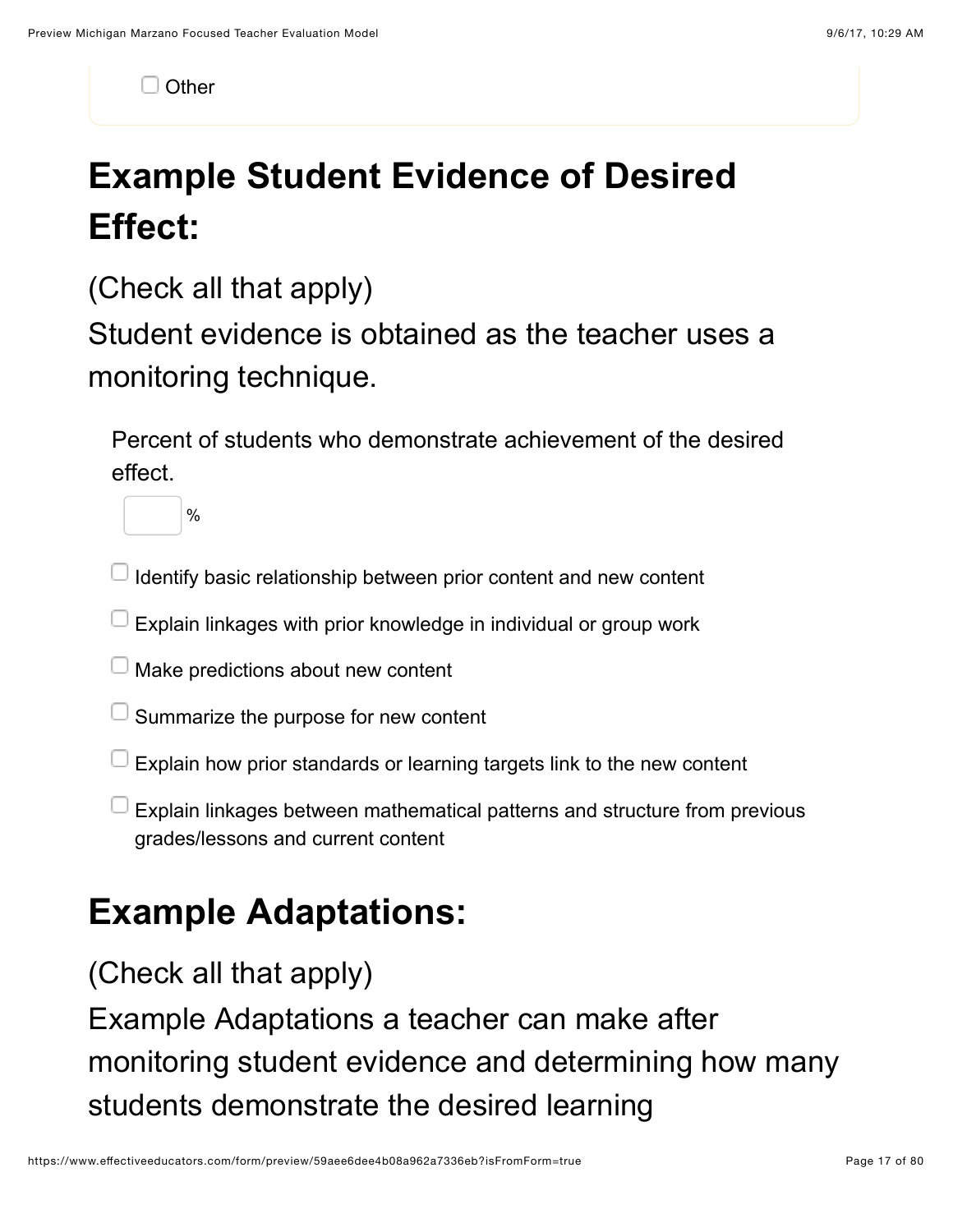$\Box$  Other

# **Example Student Evidence of Desired Effect:**

(Check all that apply)

Student evidence is obtained as the teacher uses a monitoring technique.

Percent of students who demonstrate achievement of the desired effect.

%

 $\Box$  Identify basic relationship between prior content and new content

Explain linkages with prior knowledge in individual or group work

**J** Make predictions about new content

 $\Box$  Summarize the purpose for new content

Explain how prior standards or learning targets link to the new content

Explain linkages between mathematical patterns and structure from previous grades/lessons and current content

# **Example Adaptations:**

(Check all that apply)

Example Adaptations a teacher can make after monitoring student evidence and determining how many students demonstrate the desired learning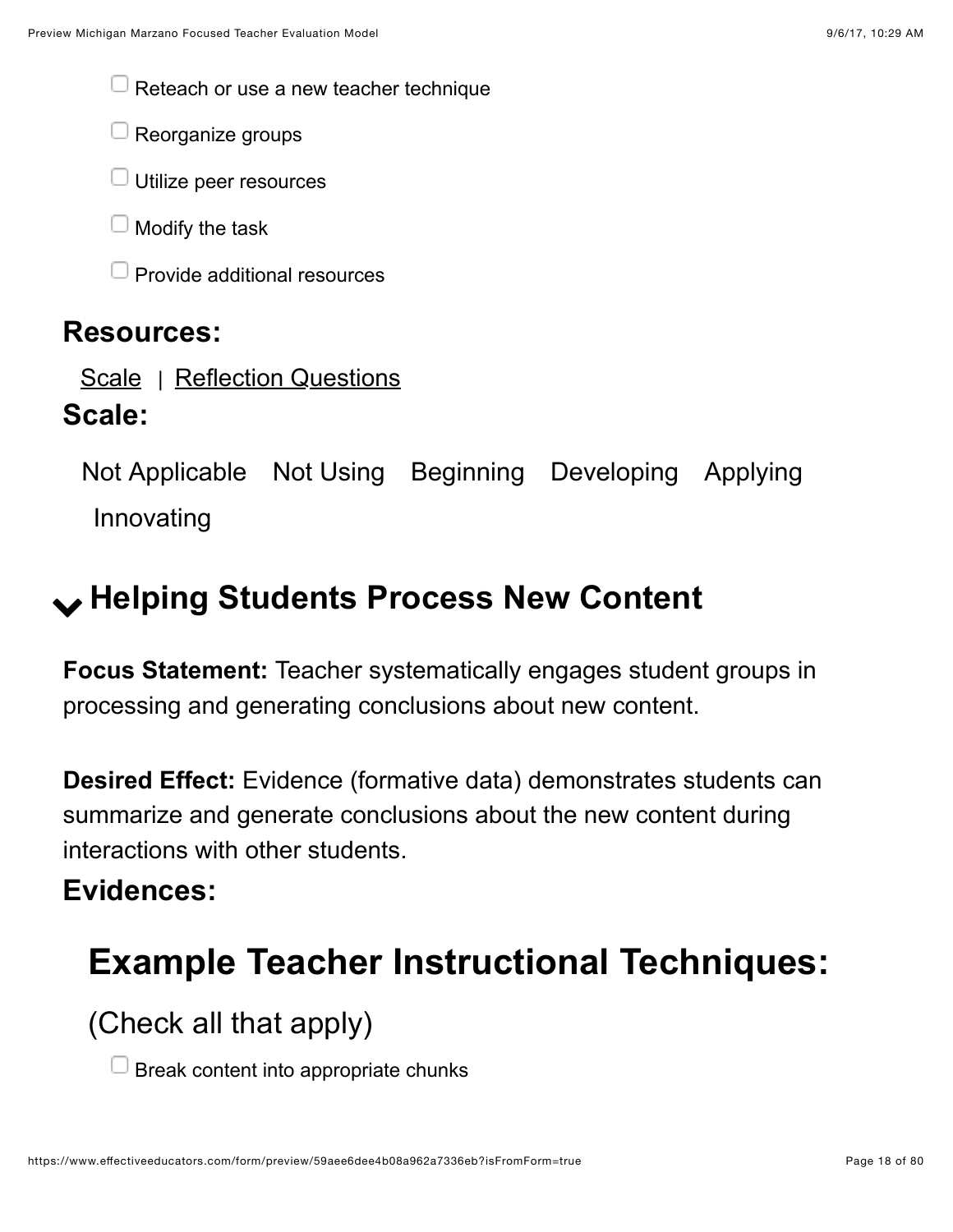$\Box$  Reteach or use a new teacher technique

 $\Box$  Reorganize groups

 $\Box$  Utilize peer resources

 $\Box$  Modify the task

 $\Box$  Provide additional resources

#### **Resources:**

[Scale](https://www.effectiveeducators.com/resource/show/58dbfe23e4b0539c02d3b3b5?popup=true&lookforId=59aee6d6e4b08a962a733456&title=Scale) | [Reflection Questions](https://www.effectiveeducators.com/resource/show/58e69fede4b0bd25d57cef3e?popup=true&lookforId=59aee6d6e4b08a962a733456&title=Reflection+Questions)

#### **Scale:**

Not Applicable Not Using Beginning Developing Applying Innovating

# <span id="page-17-0"></span>! **Helping Students Process New Content**

**Focus Statement:** Teacher systematically engages student groups in processing and generating conclusions about new content.

**Desired Effect:** Evidence (formative data) demonstrates students can summarize and generate conclusions about the new content during interactions with other students.

#### **Evidences:**

# **Example Teacher Instructional Techniques:**

(Check all that apply)

Break content into appropriate chunks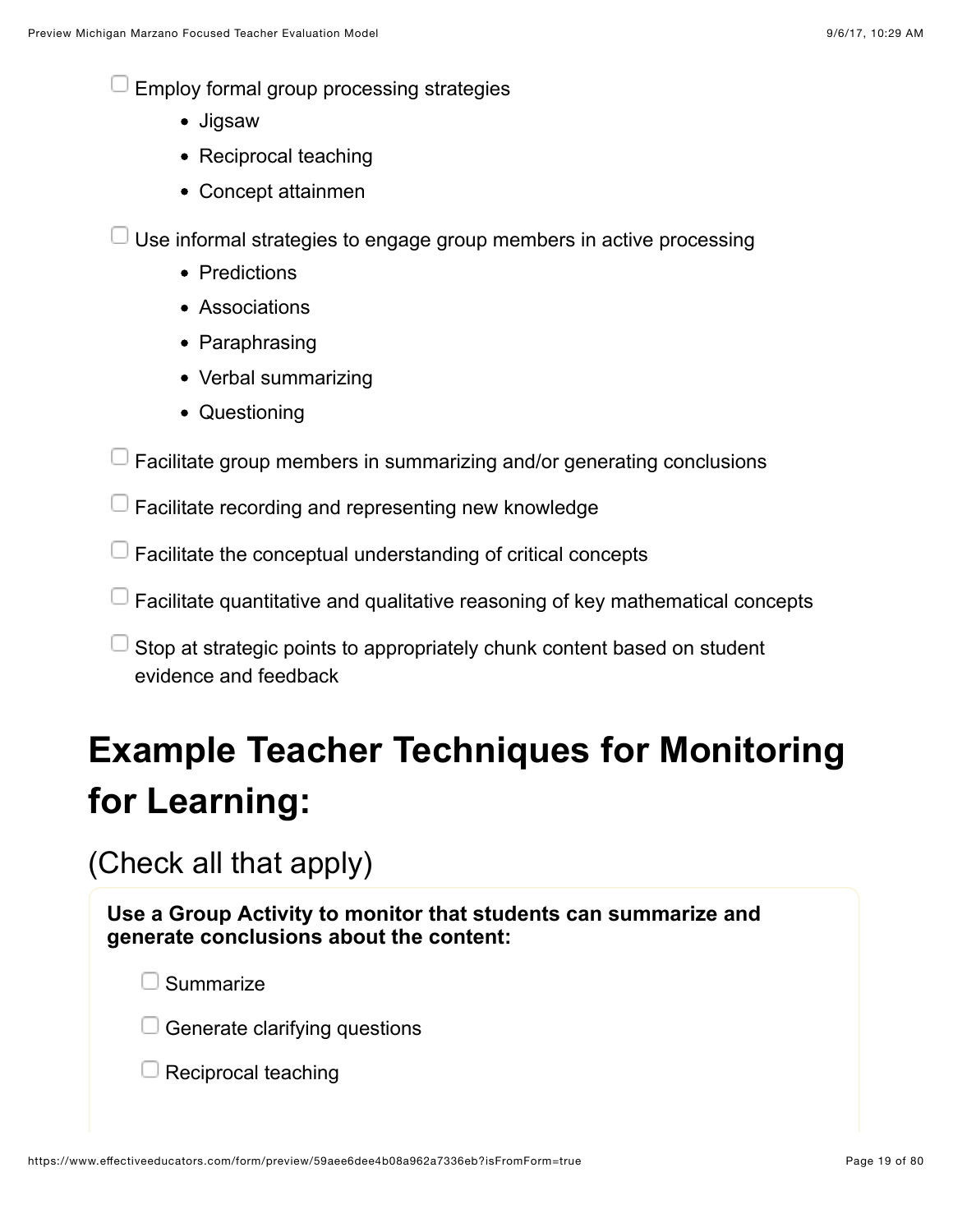Employ formal group processing strategies

- Jigsaw
- Reciprocal teaching
- Concept attainmen

Use informal strategies to engage group members in active processing

- Predictions
- Associations
- Paraphrasing
- Verbal summarizing
- Questioning

Facilitate group members in summarizing and/or generating conclusions

 $\Box$  Facilitate recording and representing new knowledge

- $\Box$  Facilitate the conceptual understanding of critical concepts
- $\Box$  Facilitate quantitative and qualitative reasoning of key mathematical concepts

Stop at strategic points to appropriately chunk content based on student evidence and feedback

# **Example Teacher Techniques for Monitoring for Learning:**

(Check all that apply)

**Use a Group Activity to monitor that students can summarize and generate conclusions about the content:**

**Summarize** 

 $\Box$  Generate clarifying questions

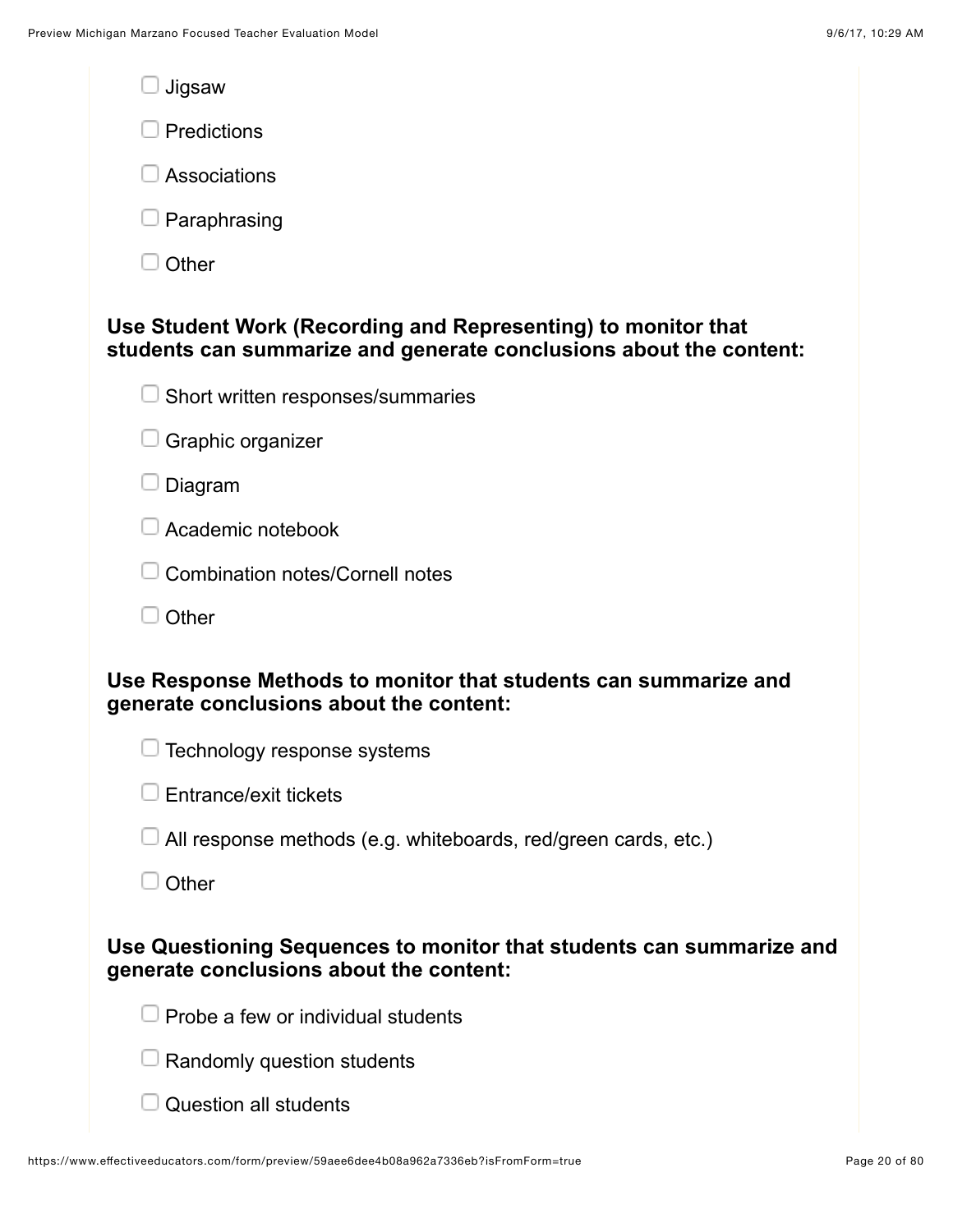| Jigsaw                                                                                                                              |  |
|-------------------------------------------------------------------------------------------------------------------------------------|--|
| Predictions                                                                                                                         |  |
| Associations                                                                                                                        |  |
| Paraphrasing                                                                                                                        |  |
| Other                                                                                                                               |  |
| Use Student Work (Recording and Representing) to monitor that<br>students can summarize and generate conclusions about the content: |  |
| Short written responses/summaries                                                                                                   |  |
| Graphic organizer                                                                                                                   |  |
| Diagram                                                                                                                             |  |
| Academic notebook                                                                                                                   |  |
| <b>Combination notes/Cornell notes</b>                                                                                              |  |
| Other                                                                                                                               |  |
| Use Response Methods to monitor that students can summarize and<br>generate conclusions about the content:                          |  |
| Technology response systems                                                                                                         |  |
| Entrance/exit tickets                                                                                                               |  |
| All response methods (e.g. whiteboards, red/green cards, etc.)                                                                      |  |
| Other                                                                                                                               |  |
| Use Questioning Sequences to monitor that students can summarize and<br>generate conclusions about the content:                     |  |
| Probe a few or individual students                                                                                                  |  |
| Randomly question students                                                                                                          |  |
| <b>Question all students</b>                                                                                                        |  |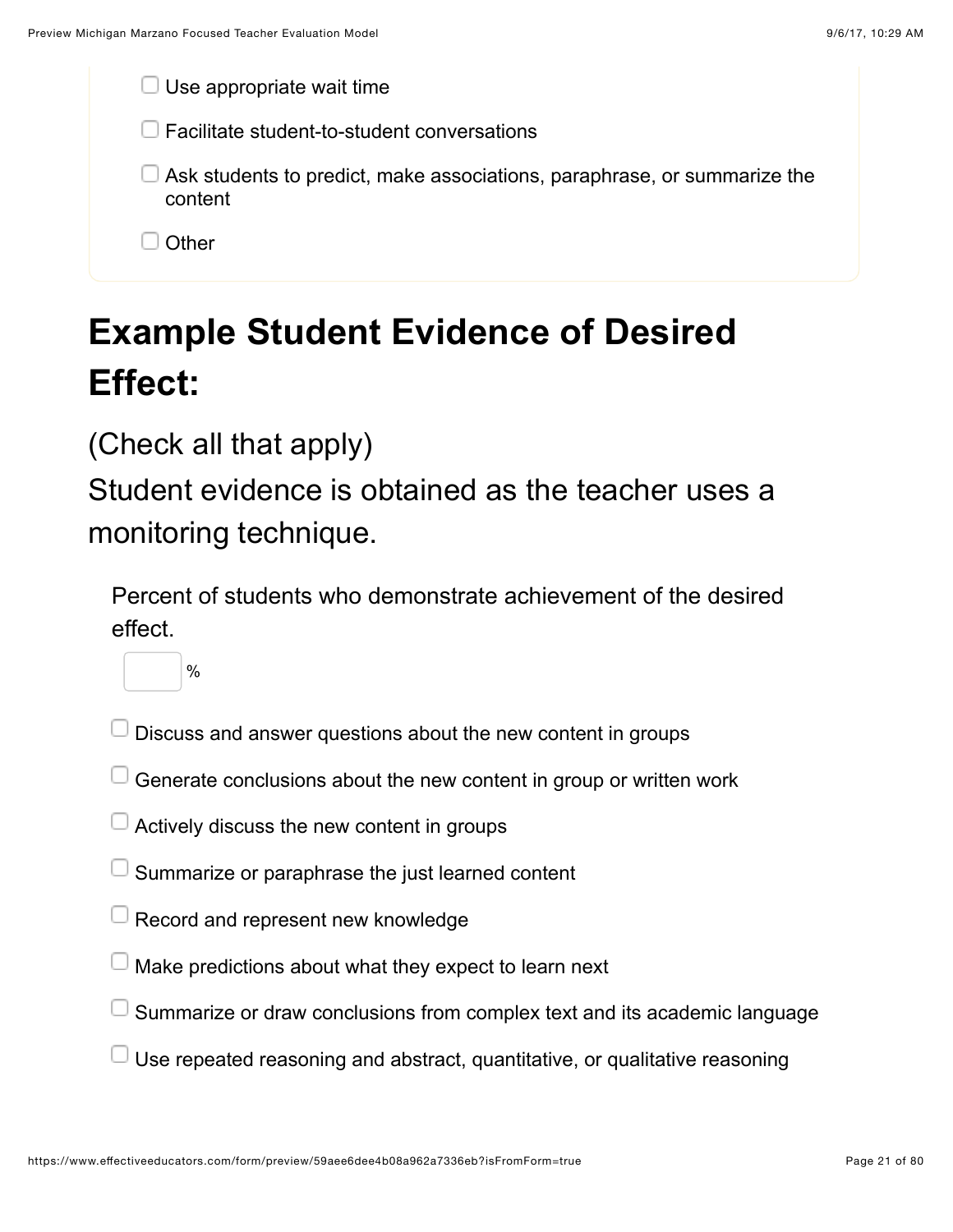| $\Box$ Use appropriate wait time                                                           |  |
|--------------------------------------------------------------------------------------------|--|
| $\Box$ Facilitate student-to-student conversations                                         |  |
| $\Box$ Ask students to predict, make associations, paraphrase, or summarize the<br>content |  |
| Other                                                                                      |  |
|                                                                                            |  |

# **Example Student Evidence of Desired Effect:**

### (Check all that apply)

Student evidence is obtained as the teacher uses a monitoring technique.

Percent of students who demonstrate achievement of the desired effect.



- Discuss and answer questions about the new content in groups
- Generate conclusions about the new content in group or written work
- Actively discuss the new content in groups
- Summarize or paraphrase the just learned content
- Record and represent new knowledge
- Make predictions about what they expect to learn next
- Summarize or draw conclusions from complex text and its academic language
- Use repeated reasoning and abstract, quantitative, or qualitative reasoning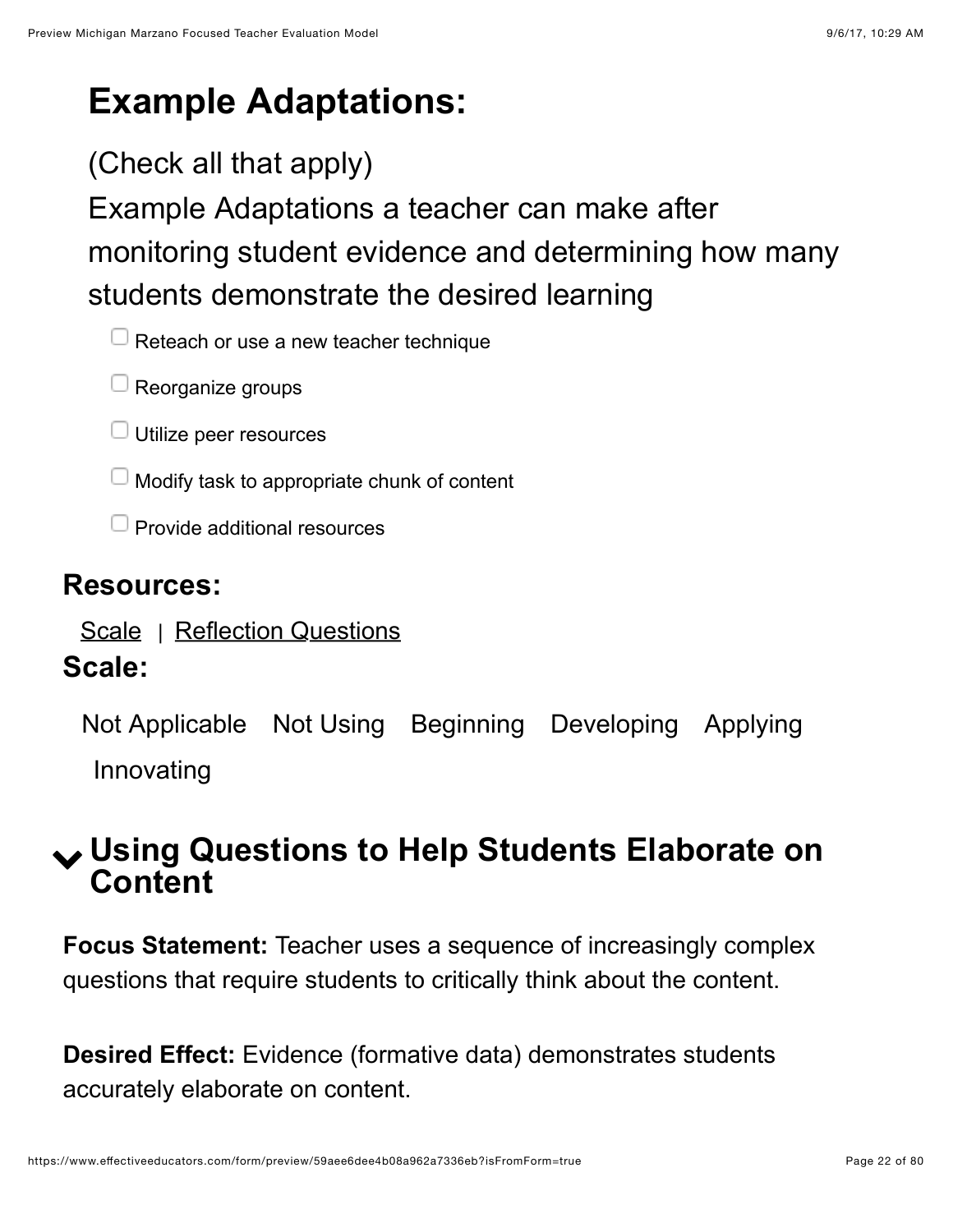# **Example Adaptations:**

### (Check all that apply)

Example Adaptations a teacher can make after monitoring student evidence and determining how many students demonstrate the desired learning

 $\Box$  Reteach or use a new teacher technique

- $\Box$  Reorganize groups
- $\Box$  Utilize peer resources
- $\Box$  Modify task to appropriate chunk of content
- $\Box$  Provide additional resources

#### **Resources:**

[Scale](https://www.effectiveeducators.com/resource/show/58dbf044e4b0cf4a3615e024?popup=true&lookforId=59aee6d6e4b08a962a733482&title=Scale) | [Reflection Questions](https://www.effectiveeducators.com/resource/show/58e6a1f3e4b0dc97dc709ae4?popup=true&lookforId=59aee6d6e4b08a962a733482&title=Reflection+Questions)

#### **Scale:**

Not Applicable Not Using Beginning Developing Applying Innovating

### <span id="page-21-0"></span>! **Using Questions to Help Students Elaborate on Content**

**Focus Statement:** Teacher uses a sequence of increasingly complex questions that require students to critically think about the content.

**Desired Effect:** Evidence (formative data) demonstrates students accurately elaborate on content.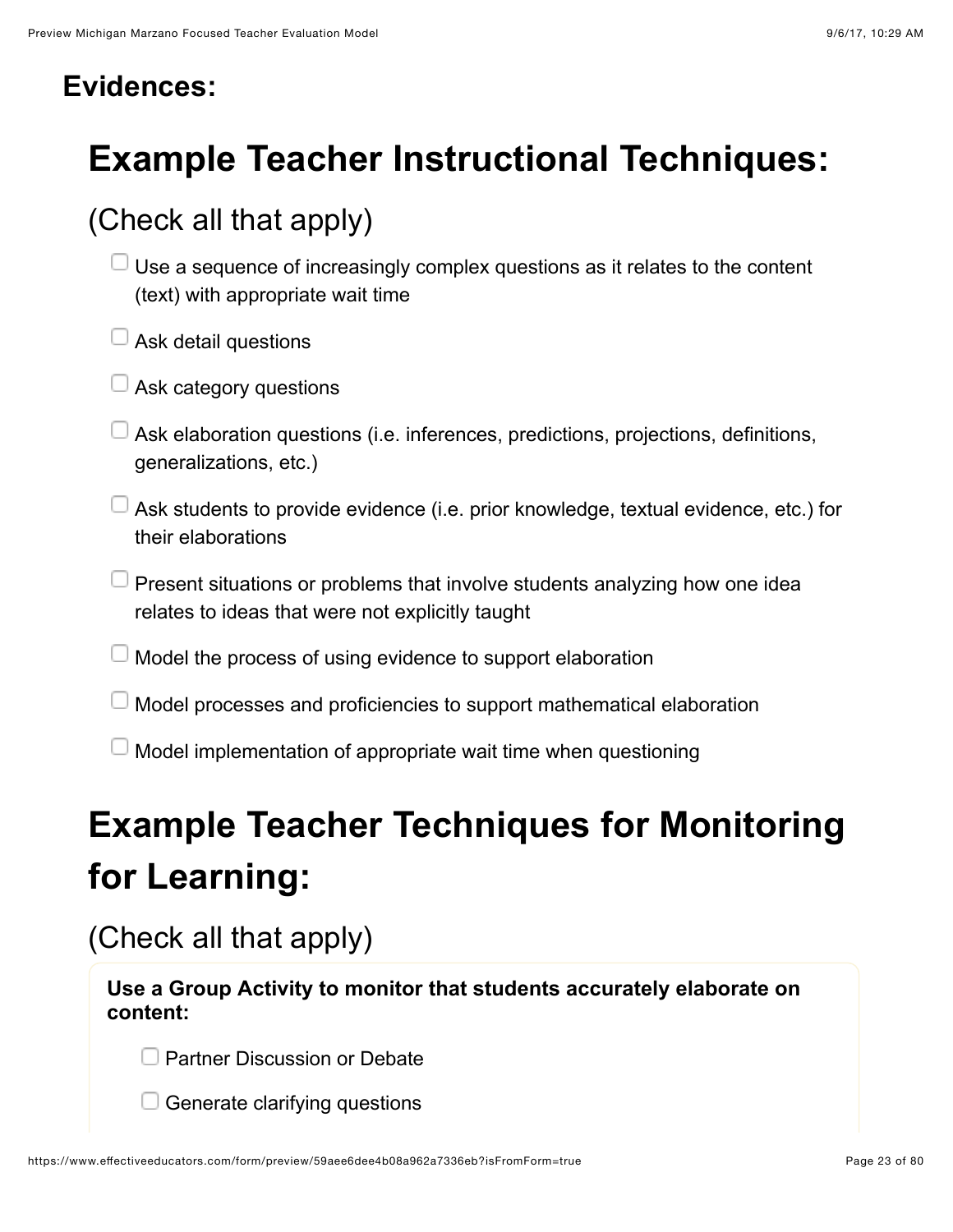#### **Evidences:**

# **Example Teacher Instructional Techniques:**

### (Check all that apply)

- Use a sequence of increasingly complex questions as it relates to the content (text) with appropriate wait time
- $\Box$  Ask detail questions
- $\Box$  Ask category questions
- Ask elaboration questions (i.e. inferences, predictions, projections, definitions, generalizations, etc.)
- $\Box$  Ask students to provide evidence (i.e. prior knowledge, textual evidence, etc.) for their elaborations
- $\Box$  Present situations or problems that involve students analyzing how one idea relates to ideas that were not explicitly taught
- Model the process of using evidence to support elaboration
- Model processes and proficiencies to support mathematical elaboration
- Model implementation of appropriate wait time when questioning

# **Example Teacher Techniques for Monitoring for Learning:**

### (Check all that apply)

**Use a Group Activity to monitor that students accurately elaborate on content:**

**D** Partner Discussion or Debate

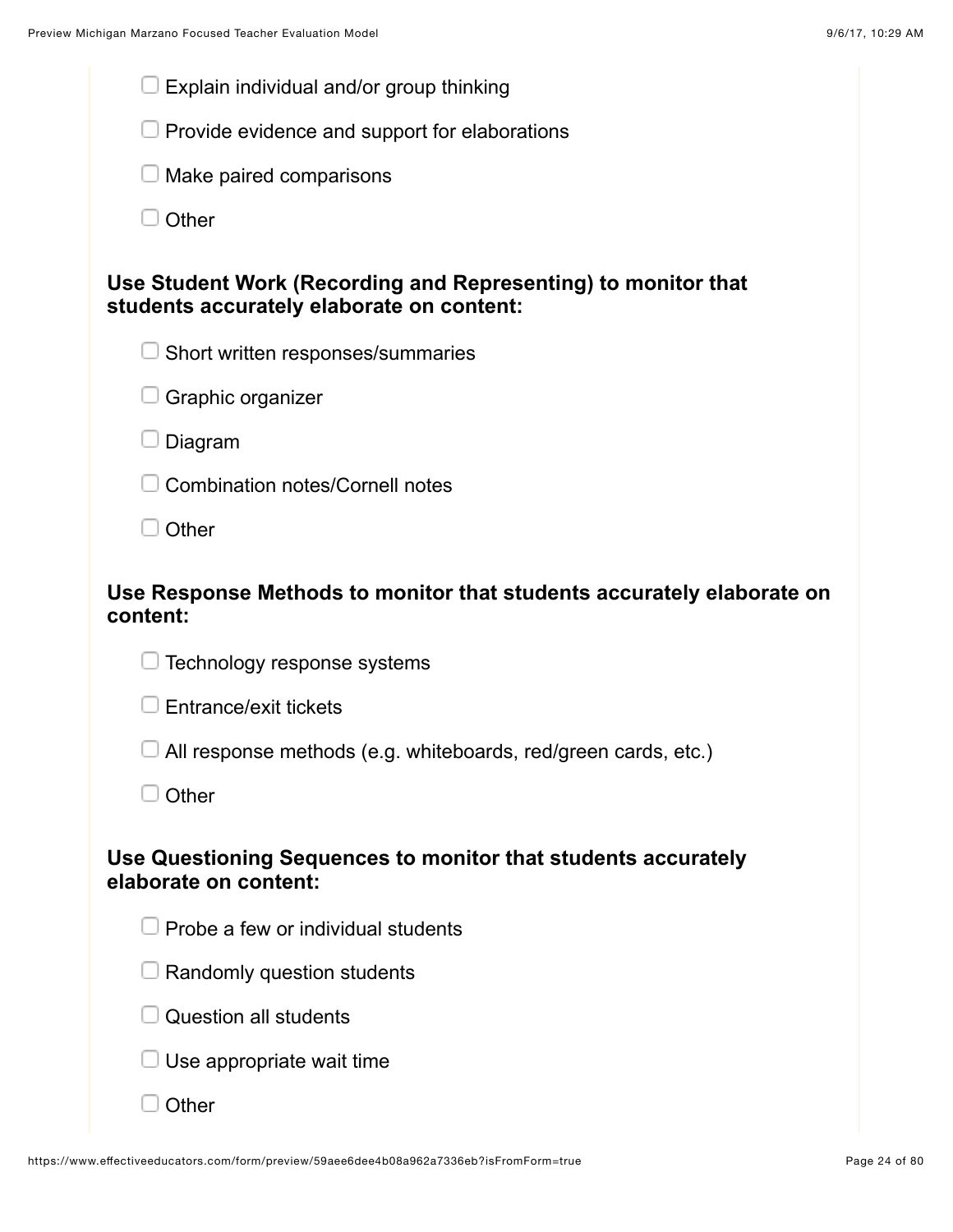| Explain individual and/or group thinking                                                                   |
|------------------------------------------------------------------------------------------------------------|
| Provide evidence and support for elaborations                                                              |
| Make paired comparisons                                                                                    |
| Other                                                                                                      |
| Use Student Work (Recording and Representing) to monitor that<br>students accurately elaborate on content: |
| Short written responses/summaries                                                                          |
| Graphic organizer                                                                                          |
| Diagram                                                                                                    |
| <b>Combination notes/Cornell notes</b>                                                                     |
| Other                                                                                                      |
| Use Response Methods to monitor that students accurately elaborate on<br>content:                          |
| Technology response systems                                                                                |
| Entrance/exit tickets                                                                                      |
| All response methods (e.g. whiteboards, red/green cards, etc.)                                             |
| Other                                                                                                      |
| Use Questioning Sequences to monitor that students accurately<br>elaborate on content:                     |
| Probe a few or individual students                                                                         |
| Randomly question students                                                                                 |
| <b>Question all students</b>                                                                               |
| Use appropriate wait time                                                                                  |
| Other                                                                                                      |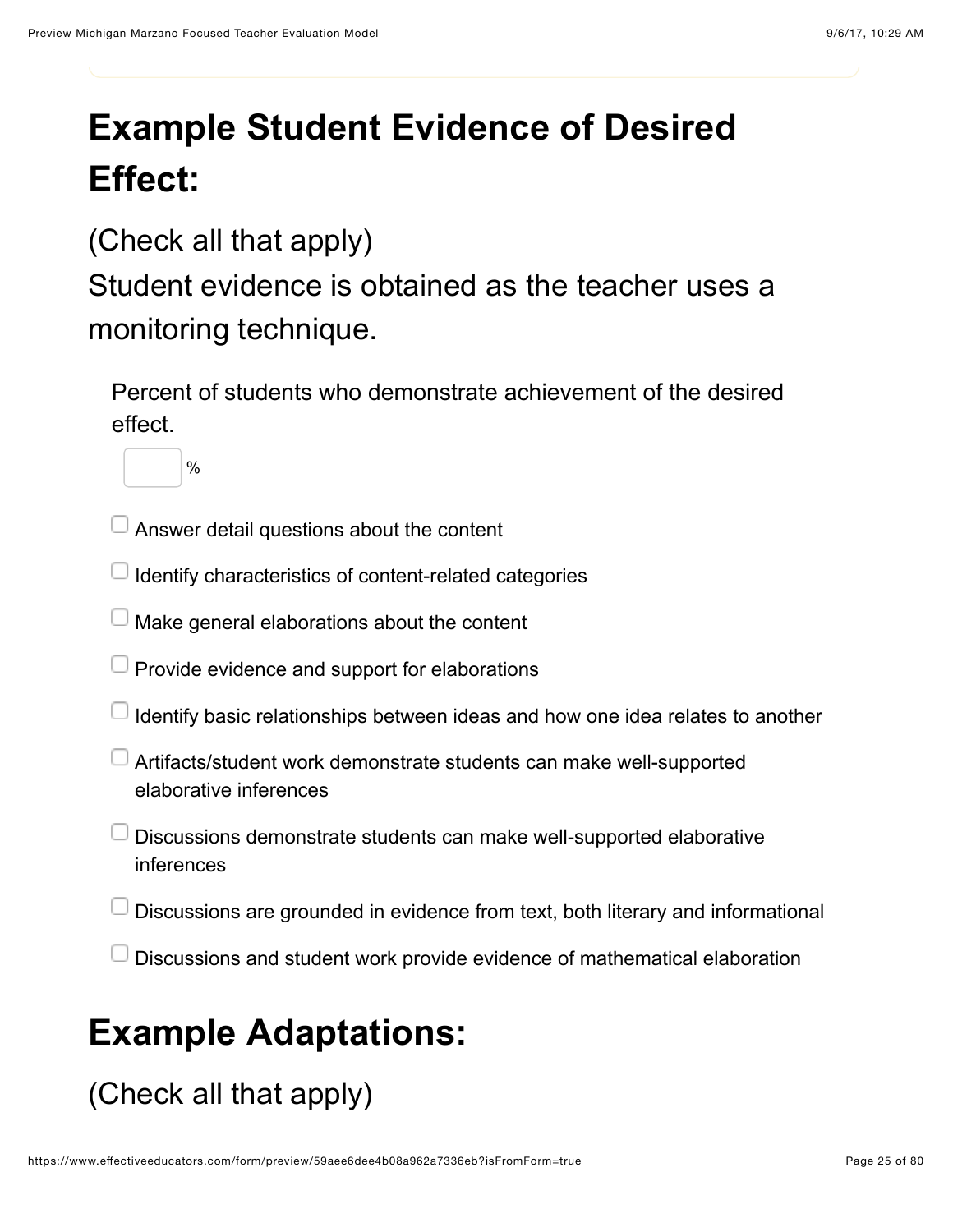# **Example Student Evidence of Desired Effect:**

#### (Check all that apply)

%

Student evidence is obtained as the teacher uses a monitoring technique.

Percent of students who demonstrate achievement of the desired effect.

Answer detail questions about the content

Identify characteristics of content-related categories

Make general elaborations about the content

Provide evidence and support for elaborations

Identify basic relationships between ideas and how one idea relates to another

Artifacts/student work demonstrate students can make well-supported elaborative inferences

Discussions demonstrate students can make well-supported elaborative inferences

Discussions are grounded in evidence from text, both literary and informational

Discussions and student work provide evidence of mathematical elaboration

# **Example Adaptations:**

(Check all that apply)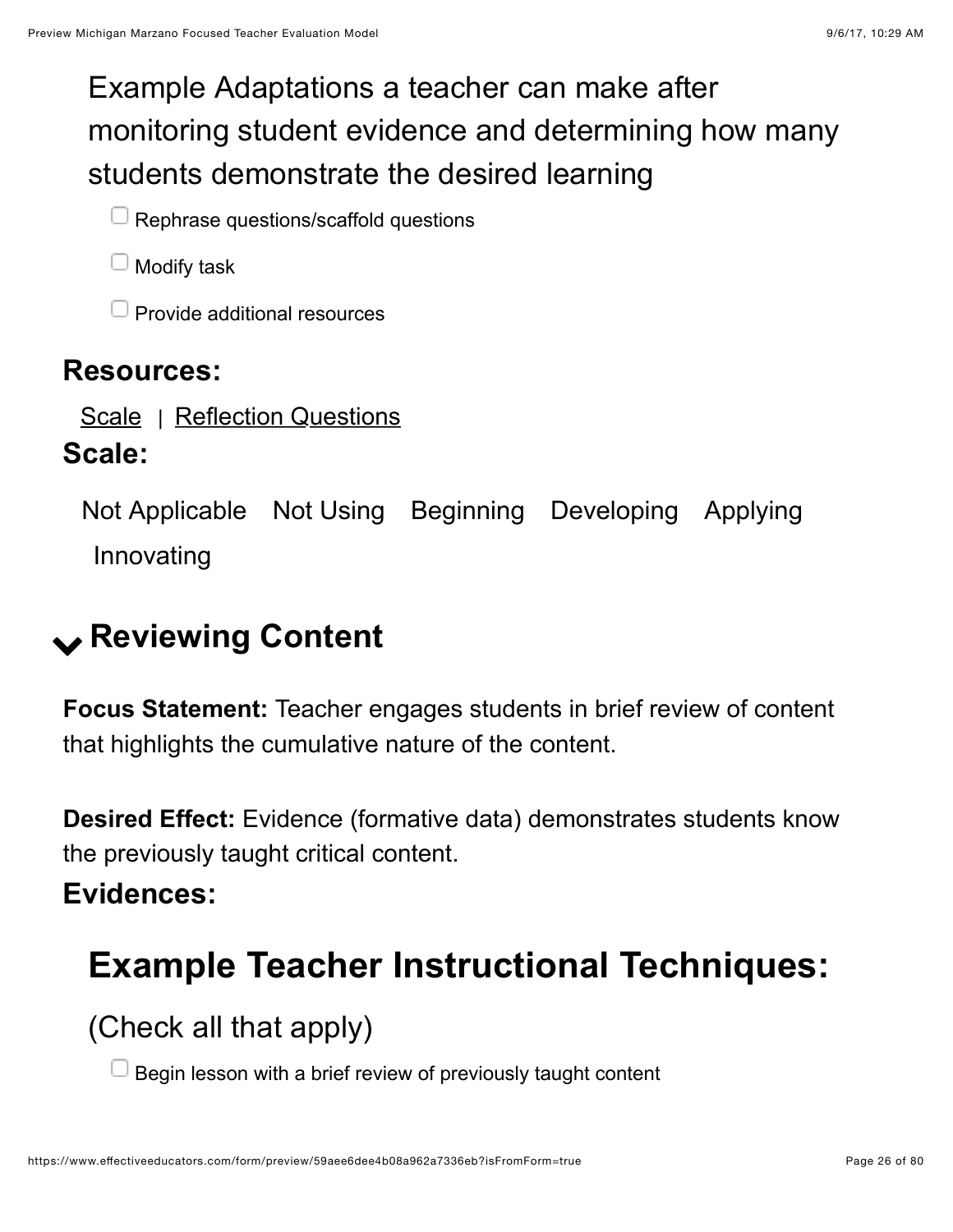### Example Adaptations a teacher can make after monitoring student evidence and determining how many students demonstrate the desired learning

 $\Box$  Rephrase questions/scaffold questions

Modify task

Provide additional resources

#### **Resources:**

[Scale](https://www.effectiveeducators.com/resource/show/58dbf102e4b0cf4a3615e8bd?popup=true&lookforId=59aee6d7e4b08a962a7334b4&title=Scale) | [Reflection Questions](https://www.effectiveeducators.com/resource/show/58e6a2a0e4b0dc97dc709c39?popup=true&lookforId=59aee6d7e4b08a962a7334b4&title=Reflection+Questions)

#### **Scale:**

Not Applicable Not Using Beginning Developing Applying Innovating

# <span id="page-25-0"></span>! **Reviewing Content**

**Focus Statement:** Teacher engages students in brief review of content that highlights the cumulative nature of the content.

**Desired Effect:** Evidence (formative data) demonstrates students know the previously taught critical content.

#### **Evidences:**

# **Example Teacher Instructional Techniques:**

(Check all that apply)

Begin lesson with a brief review of previously taught content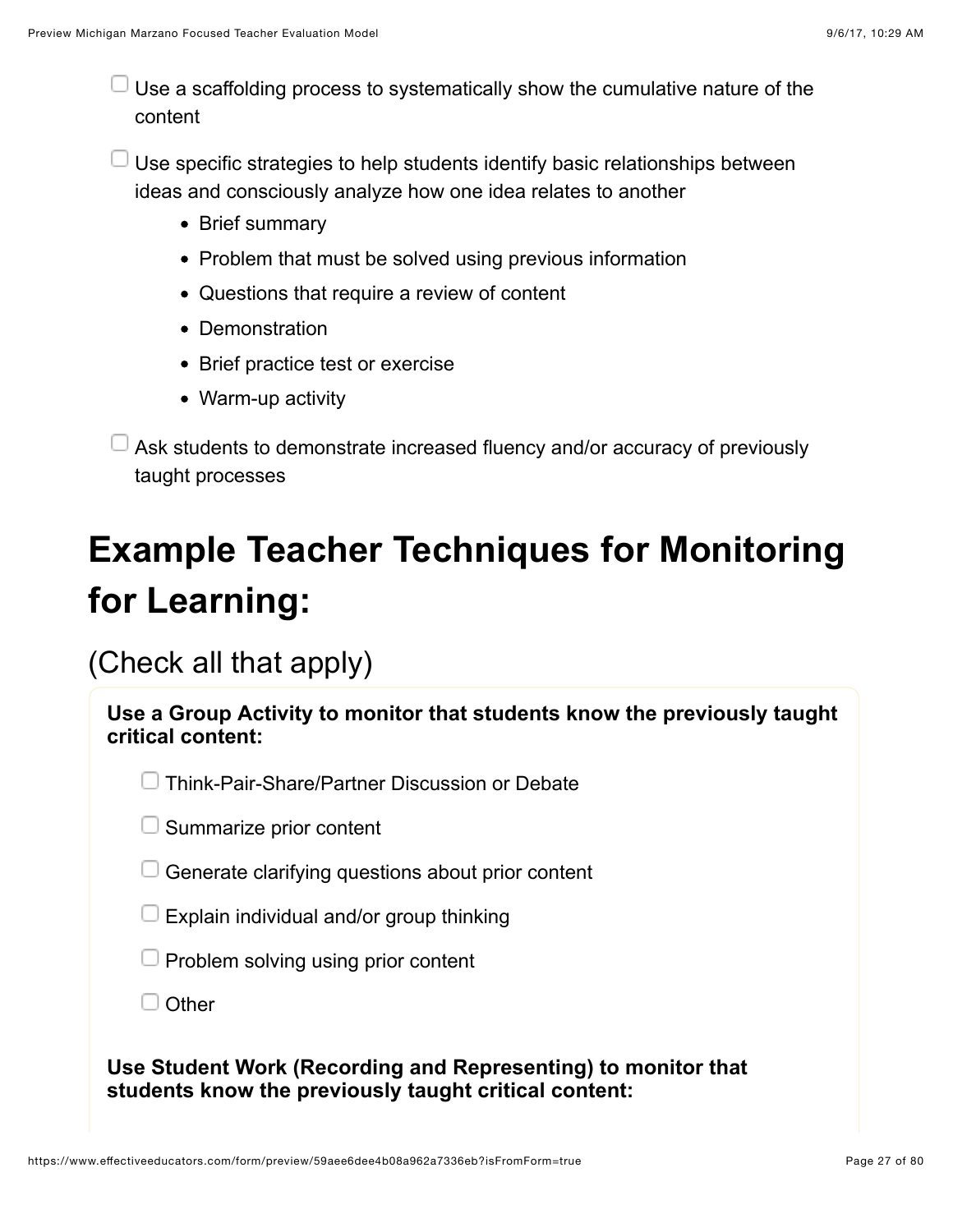$\Box$  Use a scaffolding process to systematically show the cumulative nature of the content

 $\Box$  Use specific strategies to help students identify basic relationships between ideas and consciously analyze how one idea relates to another

- Brief summary
- Problem that must be solved using previous information
- Questions that require a review of content
- Demonstration
- Brief practice test or exercise
- Warm-up activity

 $\Box$  Ask students to demonstrate increased fluency and/or accuracy of previously taught processes

# **Example Teacher Techniques for Monitoring for Learning:**

(Check all that apply)

| Use a Group Activity to monitor that students know the previously taught<br>critical content:                          |  |
|------------------------------------------------------------------------------------------------------------------------|--|
| Think-Pair-Share/Partner Discussion or Debate                                                                          |  |
| Summarize prior content                                                                                                |  |
| Generate clarifying questions about prior content                                                                      |  |
| Explain individual and/or group thinking                                                                               |  |
| Problem solving using prior content                                                                                    |  |
| Other                                                                                                                  |  |
| Use Student Work (Recording and Representing) to monitor that<br>students know the previously taught critical content: |  |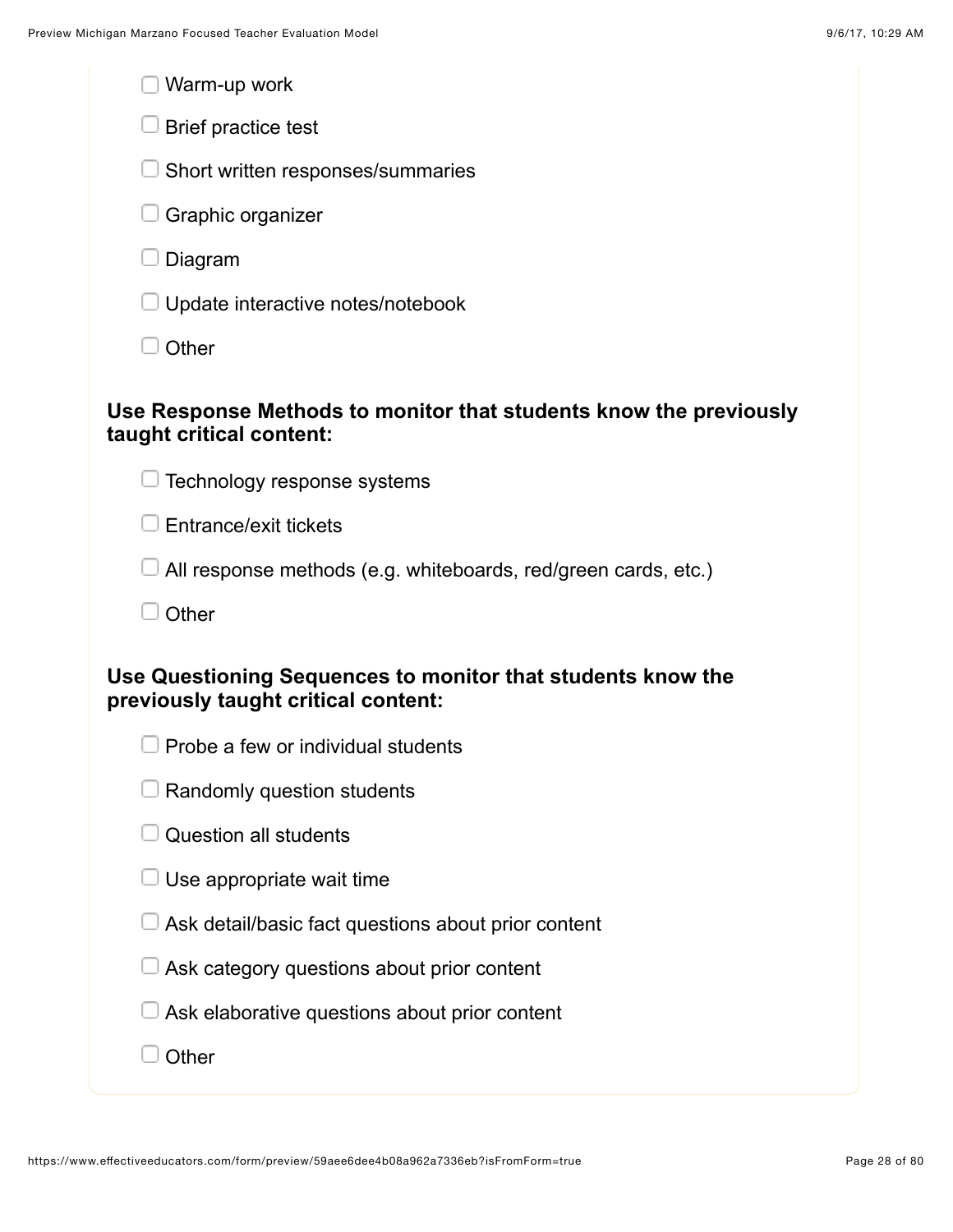| Warm-up work                                                                                       |
|----------------------------------------------------------------------------------------------------|
| Brief practice test                                                                                |
| Short written responses/summaries                                                                  |
| Graphic organizer                                                                                  |
| Diagram                                                                                            |
| Update interactive notes/notebook                                                                  |
| Other                                                                                              |
| Use Response Methods to monitor that students know the previously<br>taught critical content:      |
| Technology response systems                                                                        |
| Entrance/exit tickets                                                                              |
| All response methods (e.g. whiteboards, red/green cards, etc.)                                     |
| Other                                                                                              |
| Use Questioning Sequences to monitor that students know the<br>previously taught critical content: |
| Probe a few or individual students                                                                 |
| Randomly question students                                                                         |
| <b>Question all students</b>                                                                       |
| Use appropriate wait time                                                                          |
| Ask detail/basic fact questions about prior content                                                |
| Ask category questions about prior content                                                         |
| Ask elaborative questions about prior content                                                      |
| Other                                                                                              |
|                                                                                                    |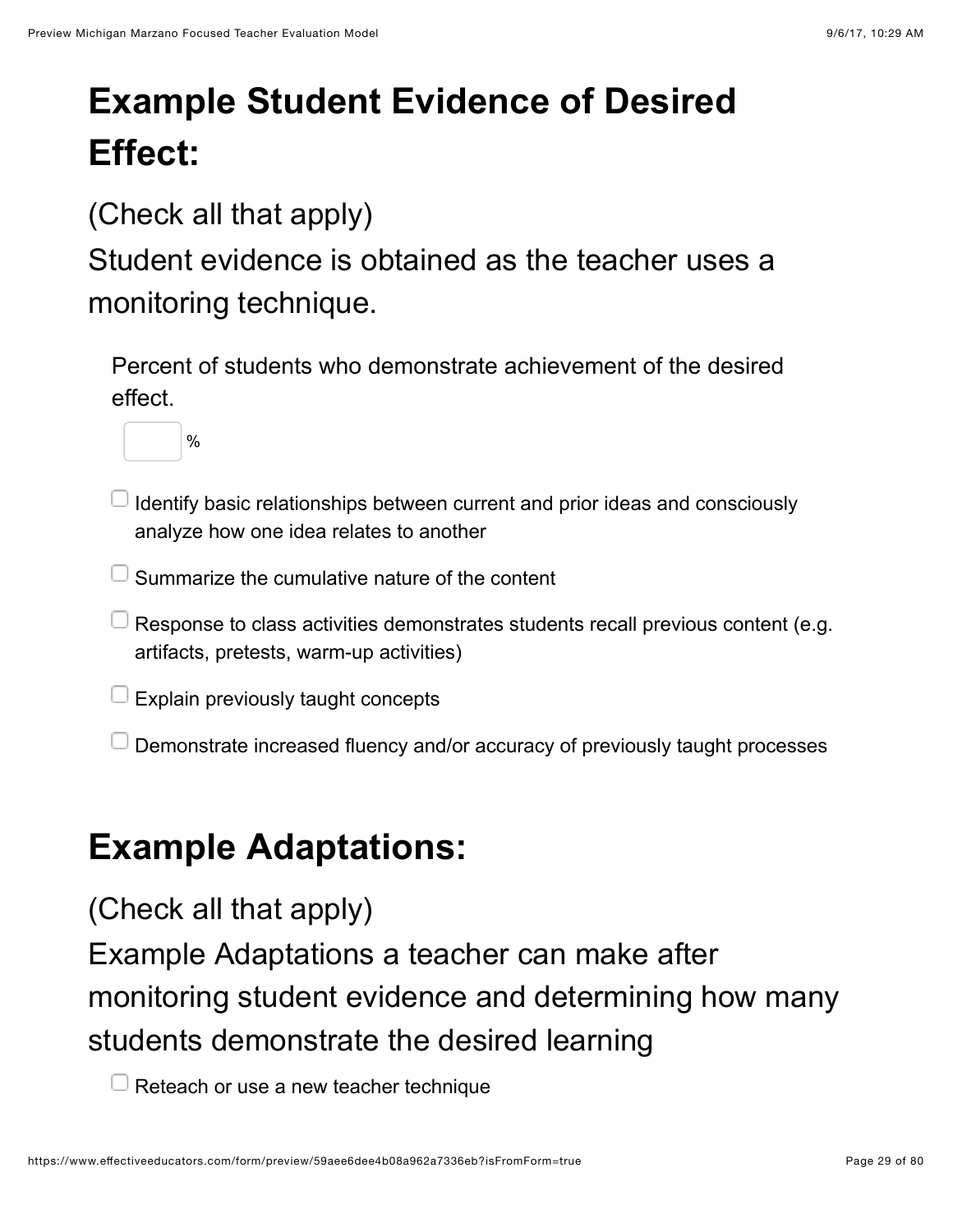# **Example Student Evidence of Desired Effect:**

(Check all that apply)

Student evidence is obtained as the teacher uses a monitoring technique.

Percent of students who demonstrate achievement of the desired effect.



- I Identify basic relationships between current and prior ideas and consciously analyze how one idea relates to another
- $\Box$  Summarize the cumulative nature of the content
- $\Box$  Response to class activities demonstrates students recall previous content (e.g. artifacts, pretests, warm-up activities)
- Explain previously taught concepts
- Demonstrate increased fluency and/or accuracy of previously taught processes

### **Example Adaptations:**

(Check all that apply)

Example Adaptations a teacher can make after monitoring student evidence and determining how many students demonstrate the desired learning

 $\Box$  Reteach or use a new teacher technique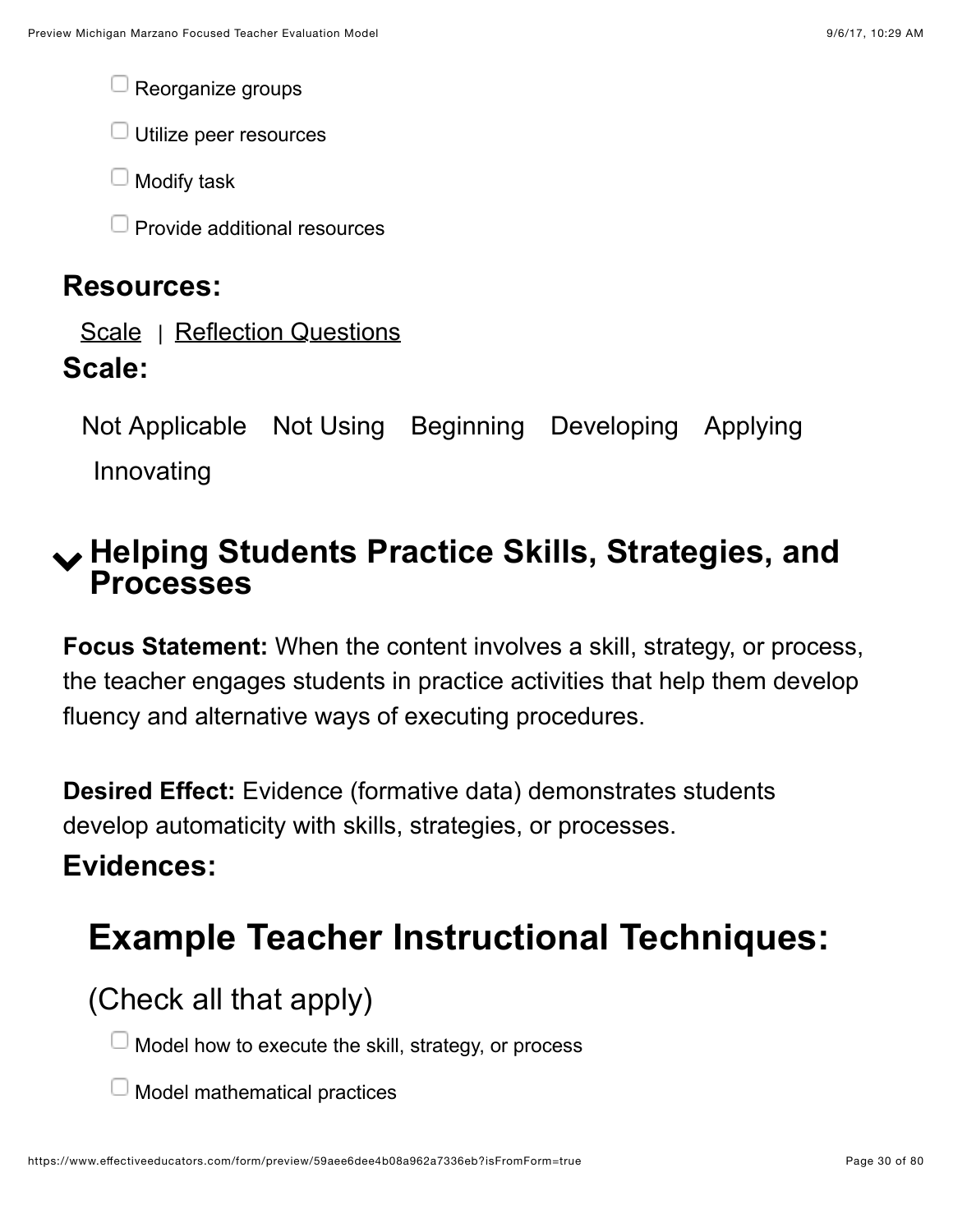Reorganize groups

 $\Box$  Utilize peer resources

Modify task

Provide additional resources

#### **Resources:**

[Scale](https://www.effectiveeducators.com/resource/show/58dbf1e1e4b0539c02d34b0c?popup=true&lookforId=59aee6d7e4b08a962a7334e0&title=Scale) | [Reflection Questions](https://www.effectiveeducators.com/resource/show/58e6a35ee4b03411ff7c5e69?popup=true&lookforId=59aee6d7e4b08a962a7334e0&title=Reflection+Questions)

#### **Scale:**

Not Applicable Not Using Beginning Developing Applying Innovating

### <span id="page-29-0"></span>! **Helping Students Practice Skills, Strategies, and Processes**

**Focus Statement:** When the content involves a skill, strategy, or process, the teacher engages students in practice activities that help them develop fluency and alternative ways of executing procedures.

**Desired Effect:** Evidence (formative data) demonstrates students develop automaticity with skills, strategies, or processes.

#### **Evidences:**

# **Example Teacher Instructional Techniques:**

(Check all that apply)

Model how to execute the skill, strategy, or process

Model mathematical practices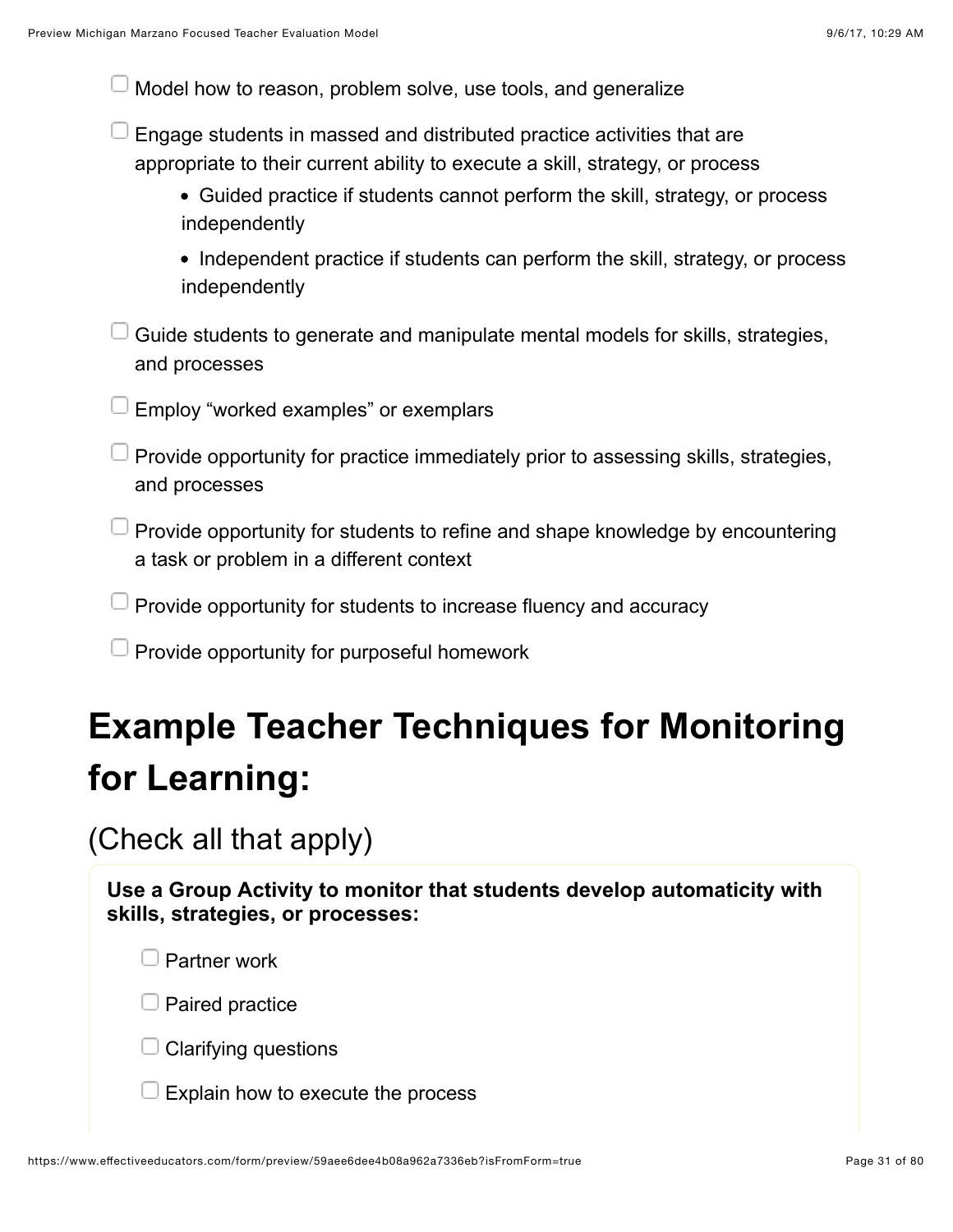| Model how to reason, problem solve, use tools, and generalize                                                                                                                                                                                            |
|----------------------------------------------------------------------------------------------------------------------------------------------------------------------------------------------------------------------------------------------------------|
| Engage students in massed and distributed practice activities that are<br>appropriate to their current ability to execute a skill, strategy, or process<br>• Guided practice if students cannot perform the skill, strategy, or process<br>independently |
| • Independent practice if students can perform the skill, strategy, or process<br>independently                                                                                                                                                          |
| Guide students to generate and manipulate mental models for skills, strategies,<br>and processes                                                                                                                                                         |
| Employ "worked examples" or exemplars                                                                                                                                                                                                                    |
| Provide opportunity for practice immediately prior to assessing skills, strategies,<br>and processes                                                                                                                                                     |
| Provide opportunity for students to refine and shape knowledge by encountering<br>a task or problem in a different context                                                                                                                               |
| Provide opportunity for students to increase fluency and accuracy                                                                                                                                                                                        |
| Provide opportunity for purposeful homework                                                                                                                                                                                                              |
| <b>Example Teacher Techniques for Monitoring</b>                                                                                                                                                                                                         |
| for Learning:                                                                                                                                                                                                                                            |
| (Check all that apply)                                                                                                                                                                                                                                   |

**Use a Group Activity to monitor that students develop automaticity with skills, strategies, or processes:**

 $\Box$  Partner work

 $\Box$  Paired practice

Clarifying questions

Explain how to execute the process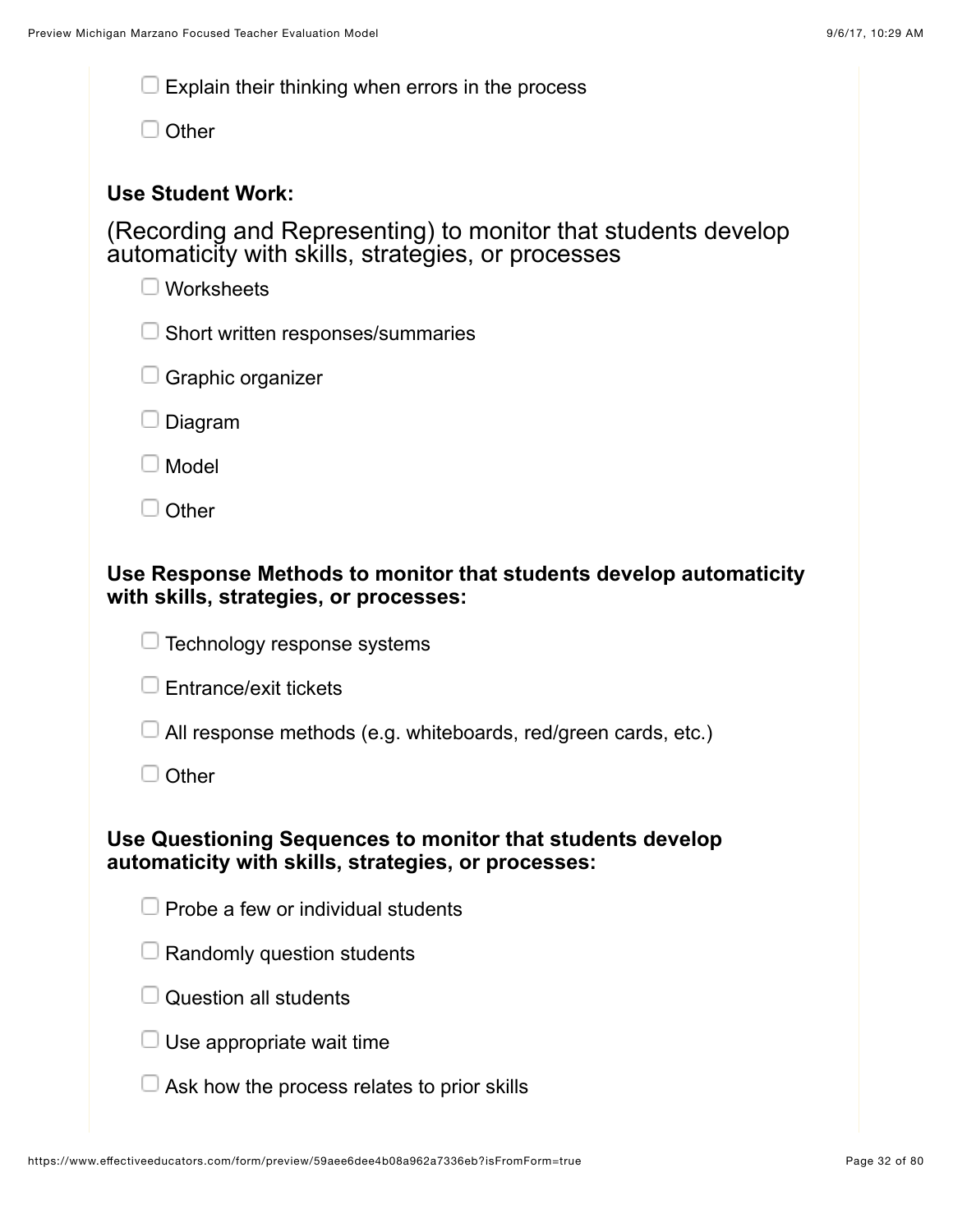| Explain their thinking when errors in the process |
|---------------------------------------------------|
|---------------------------------------------------|

 $\Box$  Other

#### **Use Student Work:**

(Recording and Representing) to monitor that students develop automaticity with skills, strategies, or processes

|                                                                                                              | adionialiony with online, otratogico, or processes<br>Worksheets                                                  |  |  |
|--------------------------------------------------------------------------------------------------------------|-------------------------------------------------------------------------------------------------------------------|--|--|
|                                                                                                              | Short written responses/summaries                                                                                 |  |  |
|                                                                                                              | Graphic organizer                                                                                                 |  |  |
|                                                                                                              | Diagram                                                                                                           |  |  |
|                                                                                                              | Model                                                                                                             |  |  |
|                                                                                                              | Other                                                                                                             |  |  |
| Use Response Methods to monitor that students develop automaticity<br>with skills, strategies, or processes: |                                                                                                                   |  |  |
|                                                                                                              | Technology response systems                                                                                       |  |  |
|                                                                                                              | Entrance/exit tickets                                                                                             |  |  |
|                                                                                                              | All response methods (e.g. whiteboards, red/green cards, etc.)                                                    |  |  |
|                                                                                                              | Other                                                                                                             |  |  |
|                                                                                                              | Use Questioning Sequences to monitor that students develop<br>automaticity with skills, strategies, or processes: |  |  |
|                                                                                                              | Probe a few or individual students                                                                                |  |  |
|                                                                                                              | Randomly question students                                                                                        |  |  |
|                                                                                                              | <b>Question all students</b>                                                                                      |  |  |
|                                                                                                              | Use appropriate wait time                                                                                         |  |  |

 $\Box$  Ask how the process relates to prior skills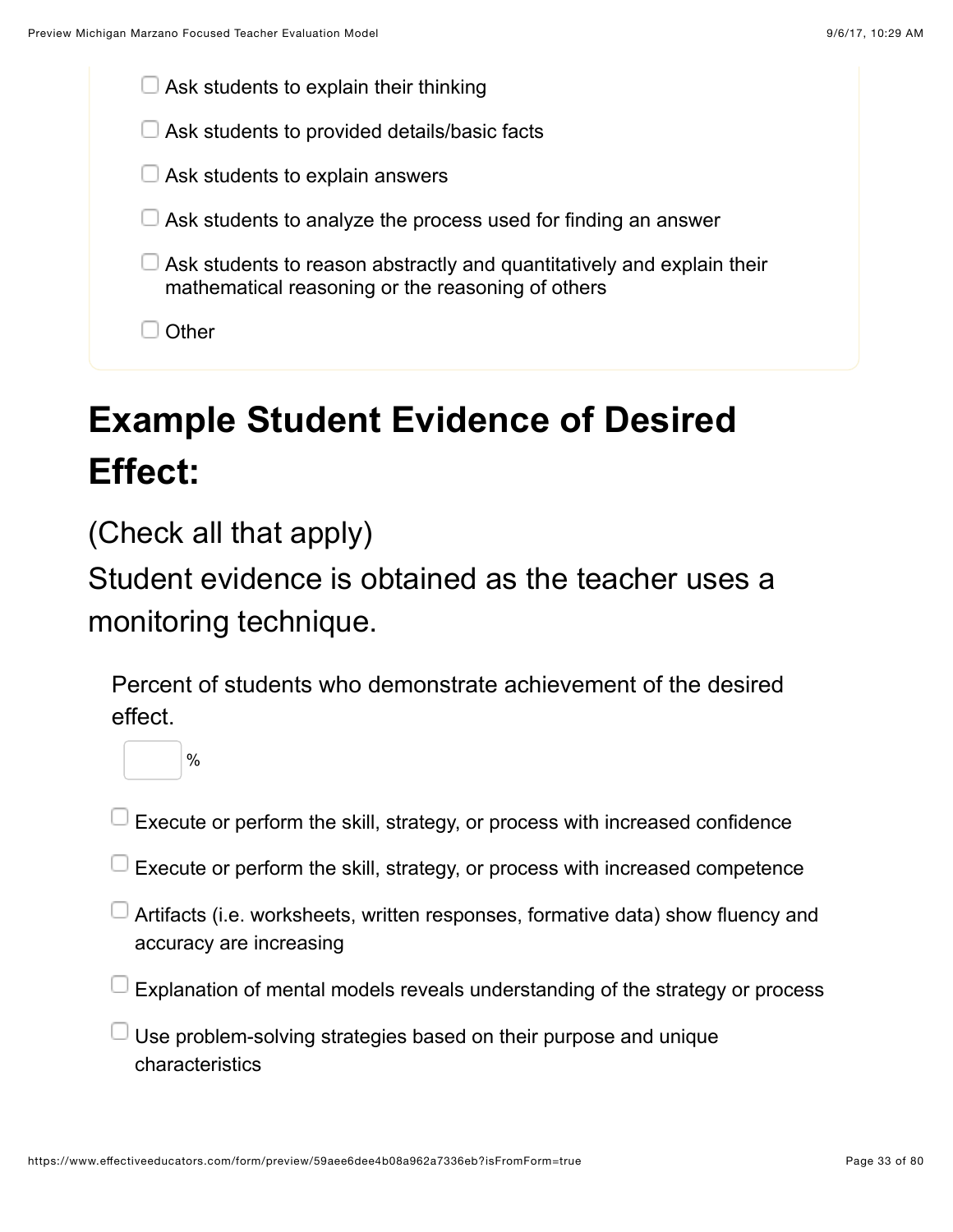

# **Example Student Evidence of Desired Effect:**

(Check all that apply)

%

Student evidence is obtained as the teacher uses a monitoring technique.

Percent of students who demonstrate achievement of the desired effect.



Execute or perform the skill, strategy, or process with increased competence

- Artifacts (i.e. worksheets, written responses, formative data) show fluency and accuracy are increasing
- $\textcolor{black}{\mathsf{I}}$  Explanation of mental models reveals understanding of the strategy or process
- $\overline{1}$  Use problem-solving strategies based on their purpose and unique characteristics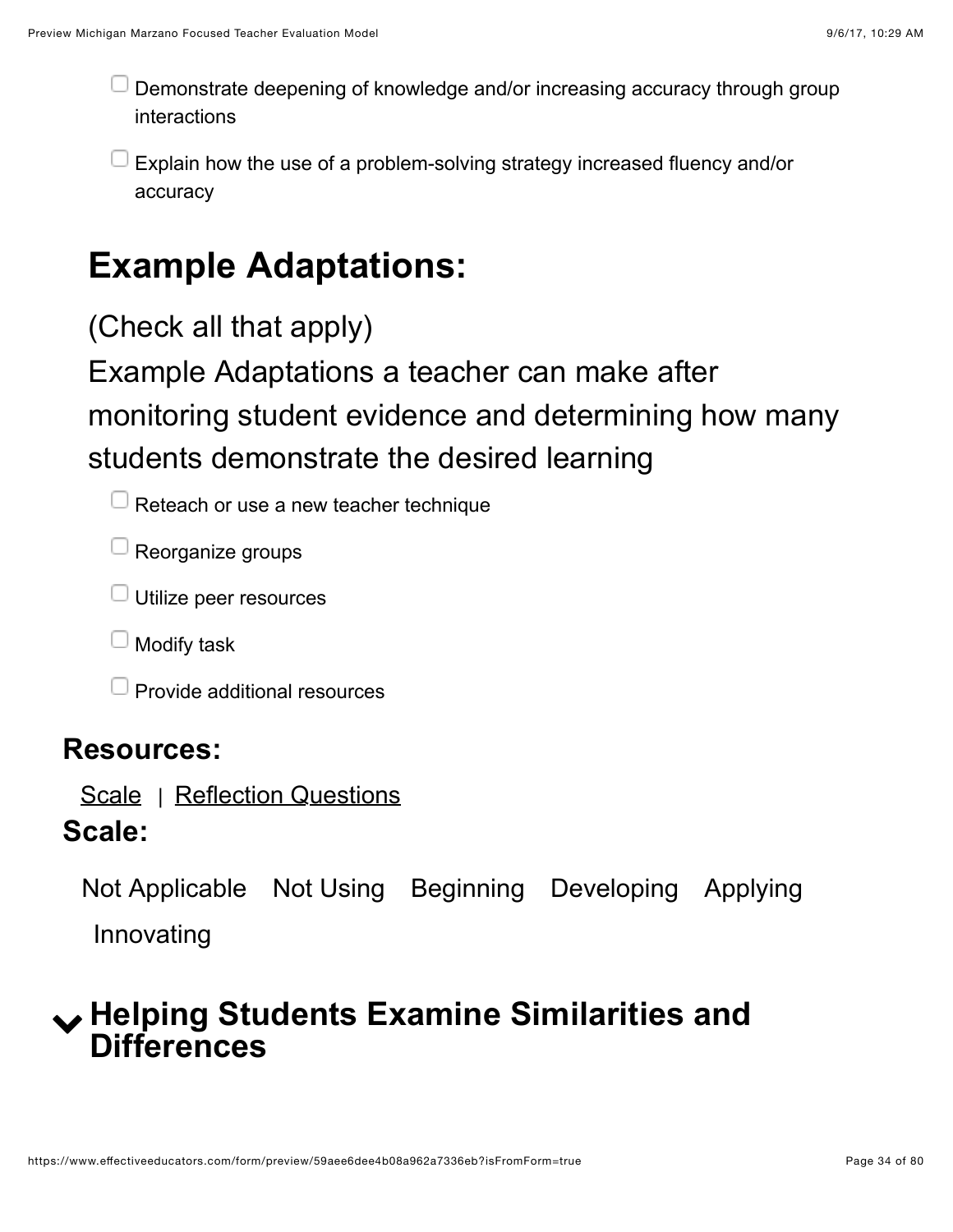Demonstrate deepening of knowledge and/or increasing accuracy through group interactions

Explain how the use of a problem-solving strategy increased fluency and/or accuracy

### **Example Adaptations:**

(Check all that apply)

Example Adaptations a teacher can make after monitoring student evidence and determining how many students demonstrate the desired learning

 $\Box$  Reteach or use a new teacher technique

 $\Box$  Reorganize groups

 $\Box$  Utilize peer resources

 $\Box$  Modify task

 $\Box$  Provide additional resources

#### **Resources:**

[Scale](https://www.effectiveeducators.com/resource/show/58dbf2a6e4b0cf4a3615f6c4?popup=true&lookforId=59aee6d8e4b08a962a73350a&title=Scale) | [Reflection Questions](https://www.effectiveeducators.com/resource/show/58e6a40ae4b05a93828ed955?popup=true&lookforId=59aee6d8e4b08a962a73350a&title=Reflection+Questions)

#### **Scale:**

Not Applicable Not Using Beginning Developing Applying Innovating

### <span id="page-33-0"></span>! **Helping Students Examine Similarities and Differences**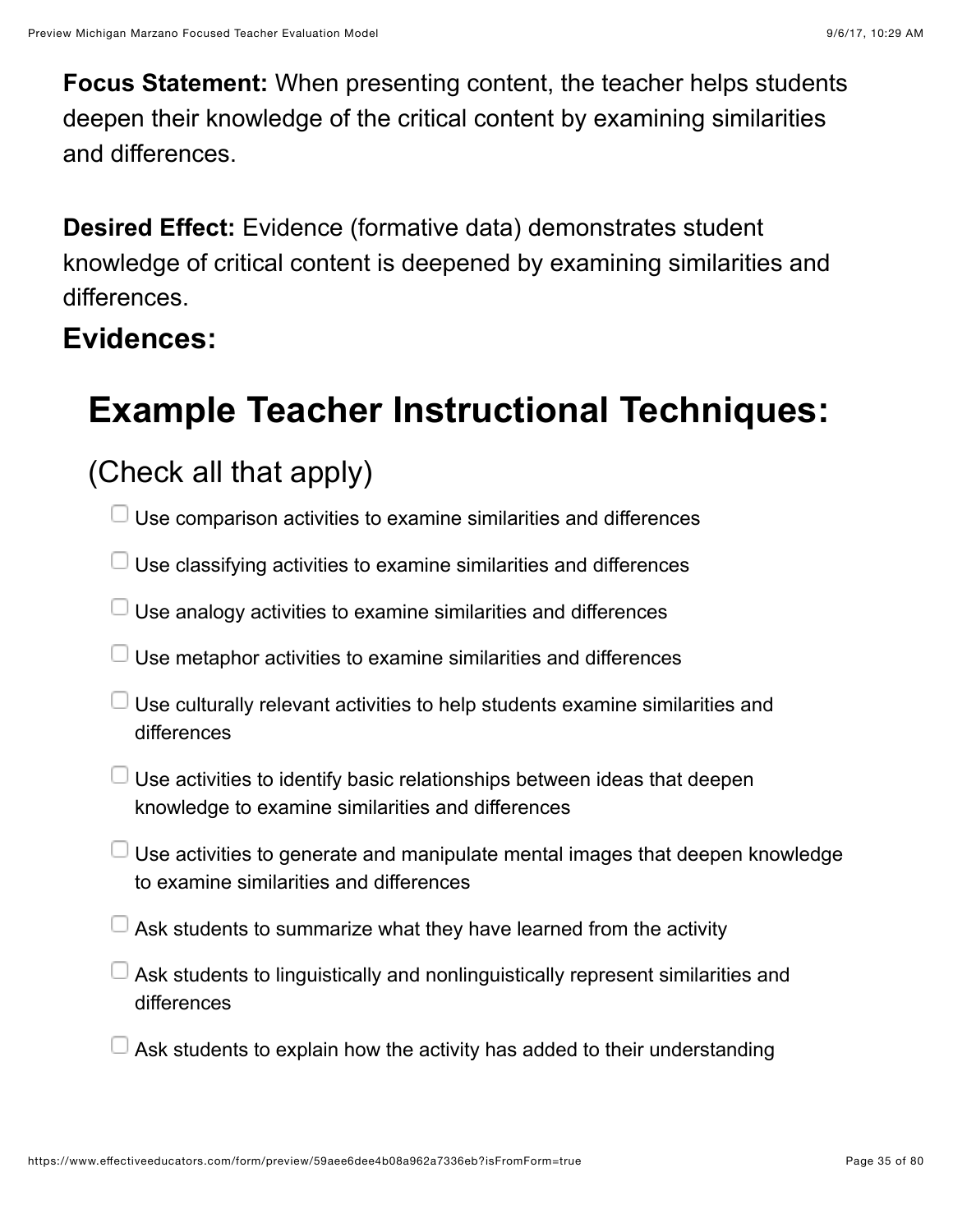**Focus Statement:** When presenting content, the teacher helps students deepen their knowledge of the critical content by examining similarities and differences.

**Desired Effect:** Evidence (formative data) demonstrates student knowledge of critical content is deepened by examining similarities and differences.

#### **Evidences:**

# **Example Teacher Instructional Techniques:**

### (Check all that apply)

- $\Box$  Use comparison activities to examine similarities and differences
- $\Box$  Use classifying activities to examine similarities and differences
- $\Box$  Use analogy activities to examine similarities and differences
- $\Box$  Use metaphor activities to examine similarities and differences
- $\Box$  Use culturally relevant activities to help students examine similarities and differences
- $\Box$  Use activities to identify basic relationships between ideas that deepen knowledge to examine similarities and differences
- $\Box$  Use activities to generate and manipulate mental images that deepen knowledge to examine similarities and differences
- Ask students to summarize what they have learned from the activity
- $\Box$  Ask students to linguistically and nonlinguistically represent similarities and differences
- $\Box$  Ask students to explain how the activity has added to their understanding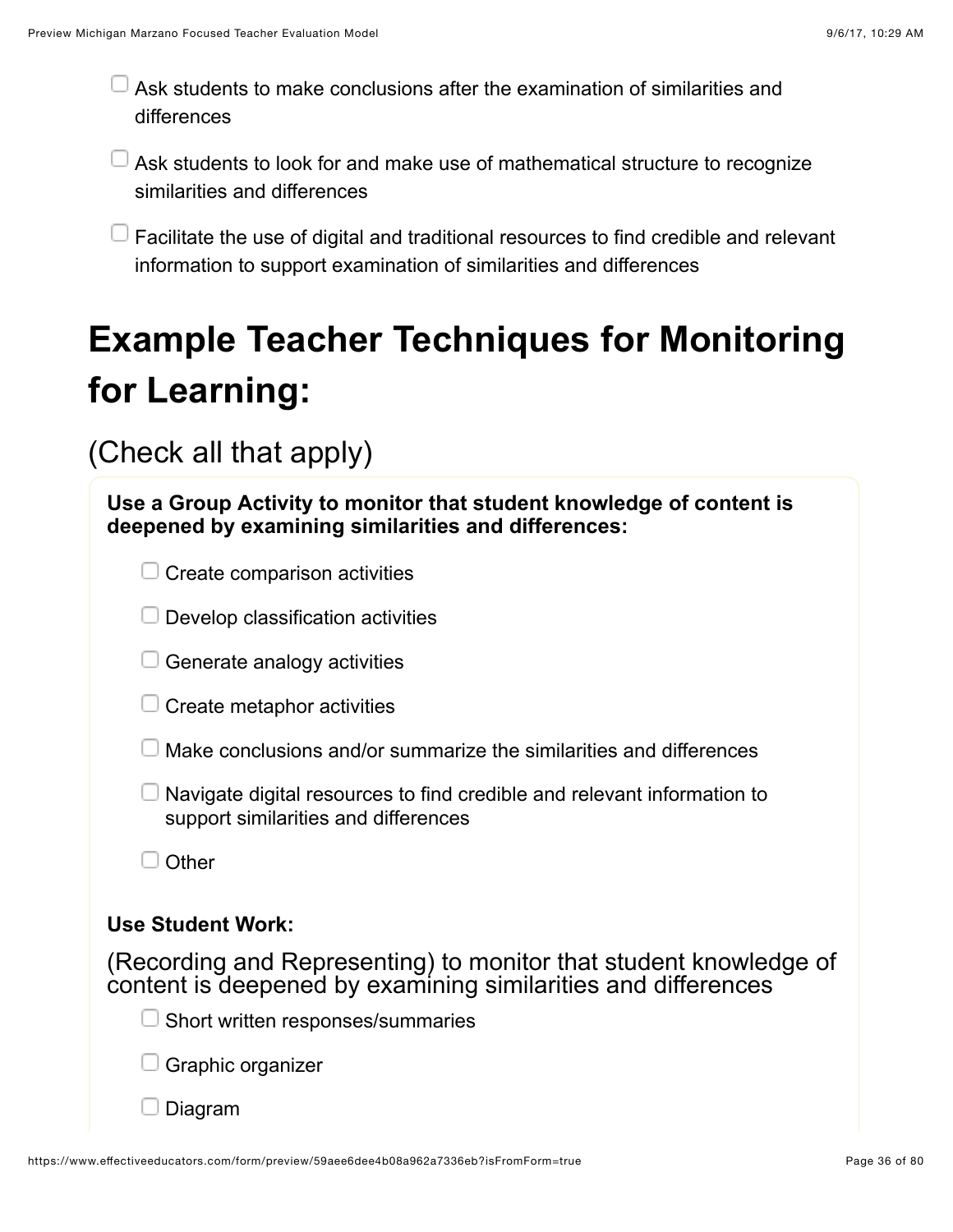$\Box$  Ask students to make conclusions after the examination of similarities and differences

Ask students to look for and make use of mathematical structure to recognize similarities and differences

**Facilitate the use of digital and traditional resources to find credible and relevant** information to support examination of similarities and differences

# **Example Teacher Techniques for Monitoring for Learning:**

| Use a Group Activity to monitor that student knowledge of content is<br>deepened by examining similarities and differences:        |
|------------------------------------------------------------------------------------------------------------------------------------|
| Create comparison activities                                                                                                       |
| Develop classification activities                                                                                                  |
| Generate analogy activities                                                                                                        |
| Create metaphor activities                                                                                                         |
| Make conclusions and/or summarize the similarities and differences                                                                 |
| Navigate digital resources to find credible and relevant information to<br>support similarities and differences                    |
| Other                                                                                                                              |
| <b>Use Student Work:</b>                                                                                                           |
| (Recording and Representing) to monitor that student knowledge of<br>content is deepened by examining similarities and differences |
| Short written responses/summaries                                                                                                  |
| Graphic organizer                                                                                                                  |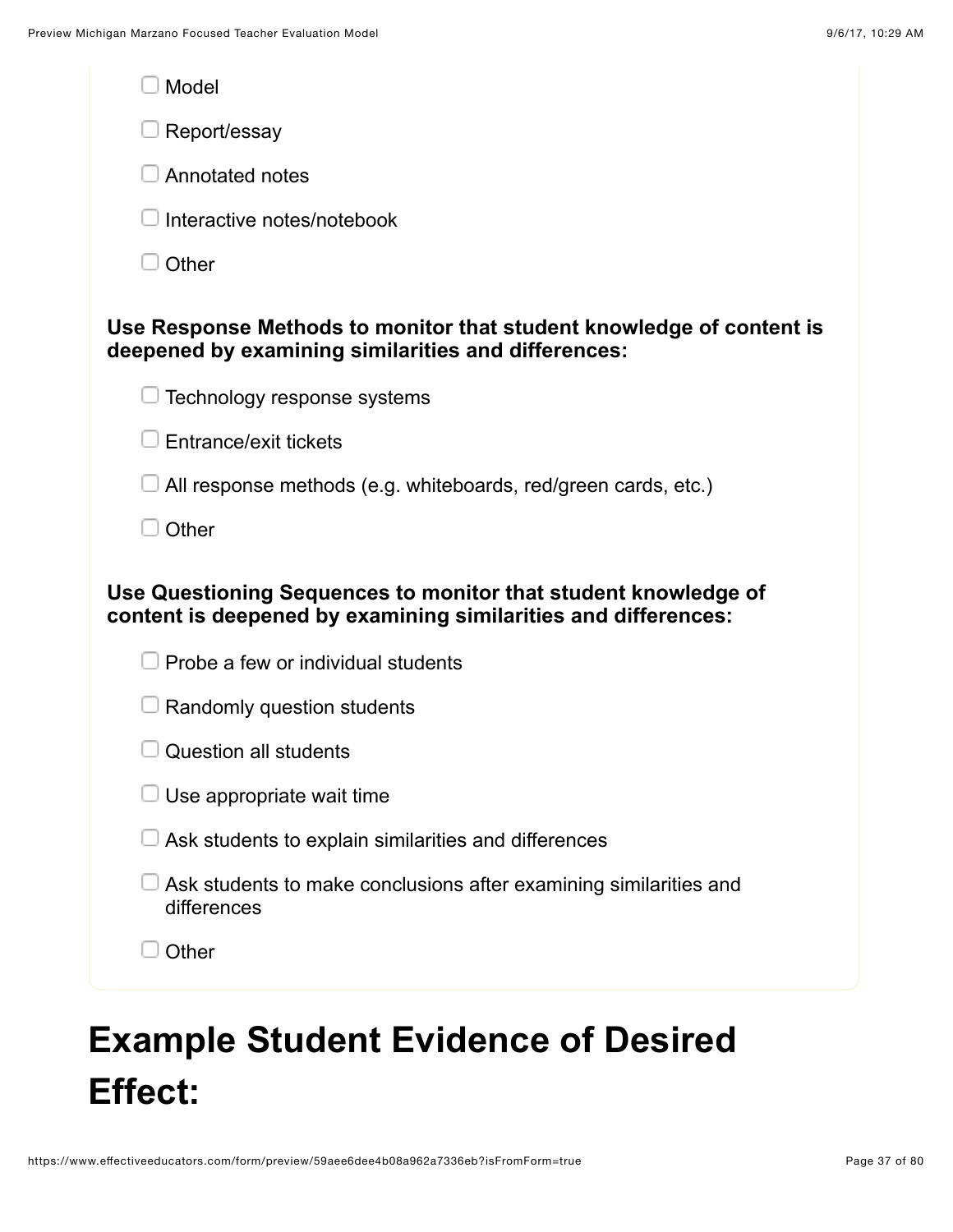| Model                                                                                                                            |
|----------------------------------------------------------------------------------------------------------------------------------|
| Report/essay                                                                                                                     |
| Annotated notes                                                                                                                  |
| Interactive notes/notebook                                                                                                       |
| Other                                                                                                                            |
| Use Response Methods to monitor that student knowledge of content is<br>deepened by examining similarities and differences:      |
| Technology response systems                                                                                                      |
| <b>Entrance/exit tickets</b>                                                                                                     |
| All response methods (e.g. whiteboards, red/green cards, etc.)                                                                   |
| Other                                                                                                                            |
| Use Questioning Sequences to monitor that student knowledge of<br>content is deepened by examining similarities and differences: |
| Probe a few or individual students                                                                                               |
| Randomly question students                                                                                                       |
| Question all students                                                                                                            |
| Use appropriate wait time                                                                                                        |
| Ask students to explain similarities and differences                                                                             |
| Ask students to make conclusions after examining similarities and<br>differences                                                 |
| Other                                                                                                                            |
|                                                                                                                                  |

# **Example Student Evidence of Desired Effect:**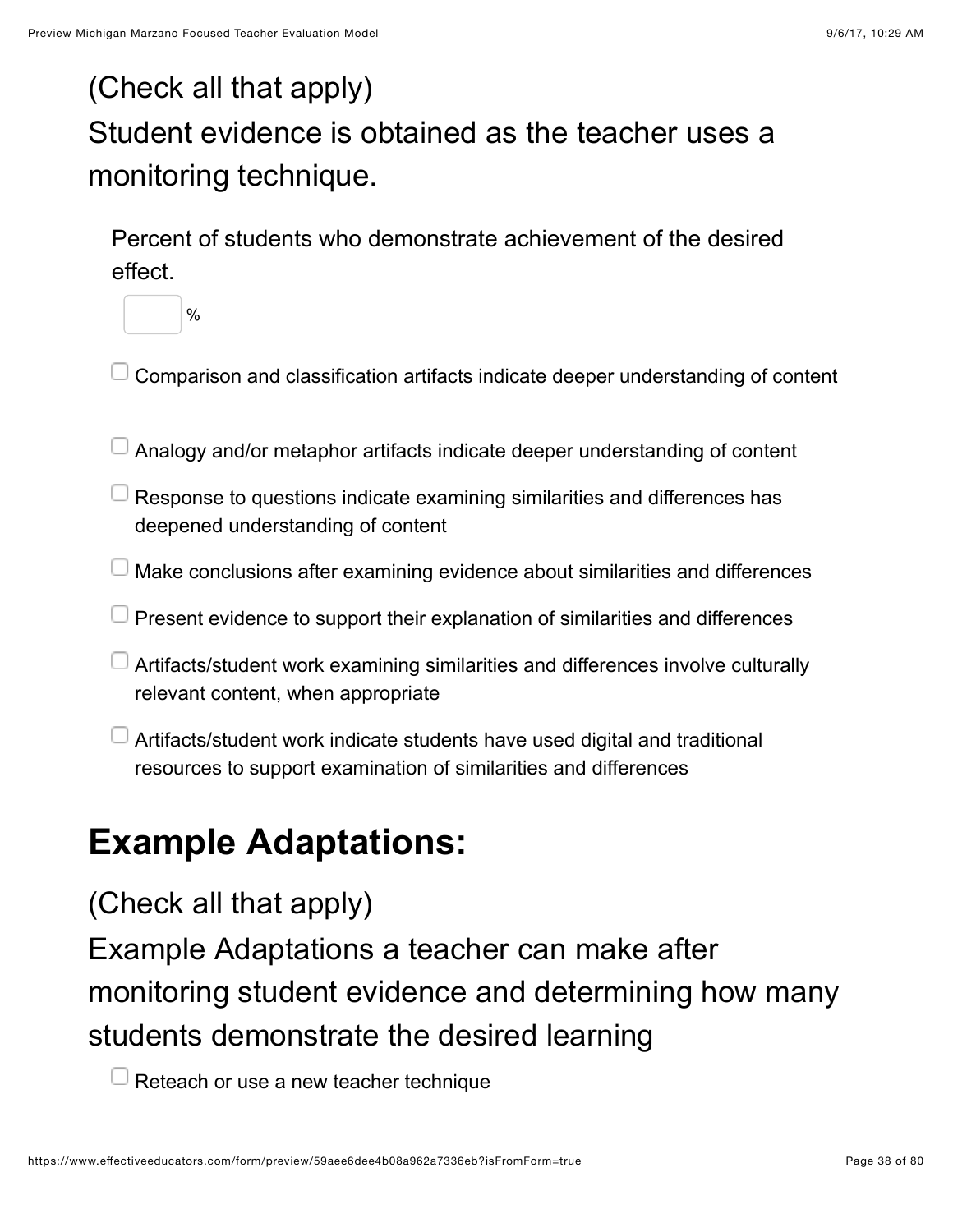## (Check all that apply) Student evidence is obtained as the teacher uses a monitoring technique.

Percent of students who demonstrate achievement of the desired effect.



- Comparison and classification artifacts indicate deeper understanding of content
- Analogy and/or metaphor artifacts indicate deeper understanding of content
- $\Box$  Response to questions indicate examining similarities and differences has deepened understanding of content
- Make conclusions after examining evidence about similarities and differences
- $\Box$  Present evidence to support their explanation of similarities and differences
- Artifacts/student work examining similarities and differences involve culturally relevant content, when appropriate
- Artifacts/student work indicate students have used digital and traditional resources to support examination of similarities and differences

## **Example Adaptations:**

### (Check all that apply)

Example Adaptations a teacher can make after monitoring student evidence and determining how many students demonstrate the desired learning

 $\Box$  Reteach or use a new teacher technique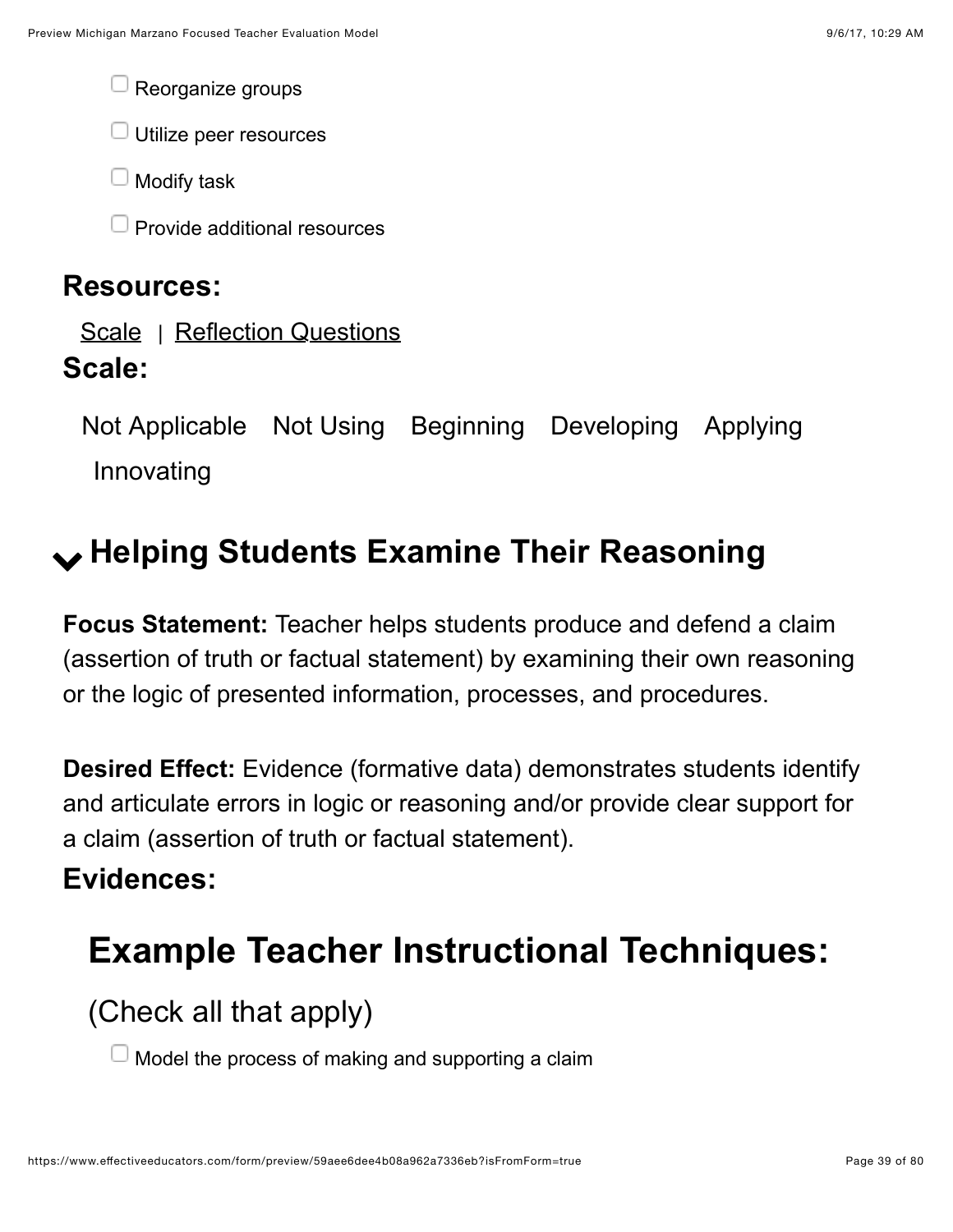Reorganize groups

 $\Box$  Utilize peer resources

Modify task

Provide additional resources

#### **Resources:**

[Scale](https://www.effectiveeducators.com/resource/show/58dbf33ce4b0cf4a3615fbfc?popup=true&lookforId=59aee6d8e4b08a962a73353e&title=Scale) | [Reflection Questions](https://www.effectiveeducators.com/resource/show/58e6a4a9e4b03411ff7c60ea?popup=true&lookforId=59aee6d8e4b08a962a73353e&title=Reflection+Questions)

#### **Scale:**

Not Applicable Not Using Beginning Developing Applying Innovating

## ! **Helping Students Examine Their Reasoning**

**Focus Statement:** Teacher helps students produce and defend a claim (assertion of truth or factual statement) by examining their own reasoning or the logic of presented information, processes, and procedures.

**Desired Effect:** Evidence (formative data) demonstrates students identify and articulate errors in logic or reasoning and/or provide clear support for a claim (assertion of truth or factual statement).

### **Evidences:**

# **Example Teacher Instructional Techniques:**

(Check all that apply)

Model the process of making and supporting a claim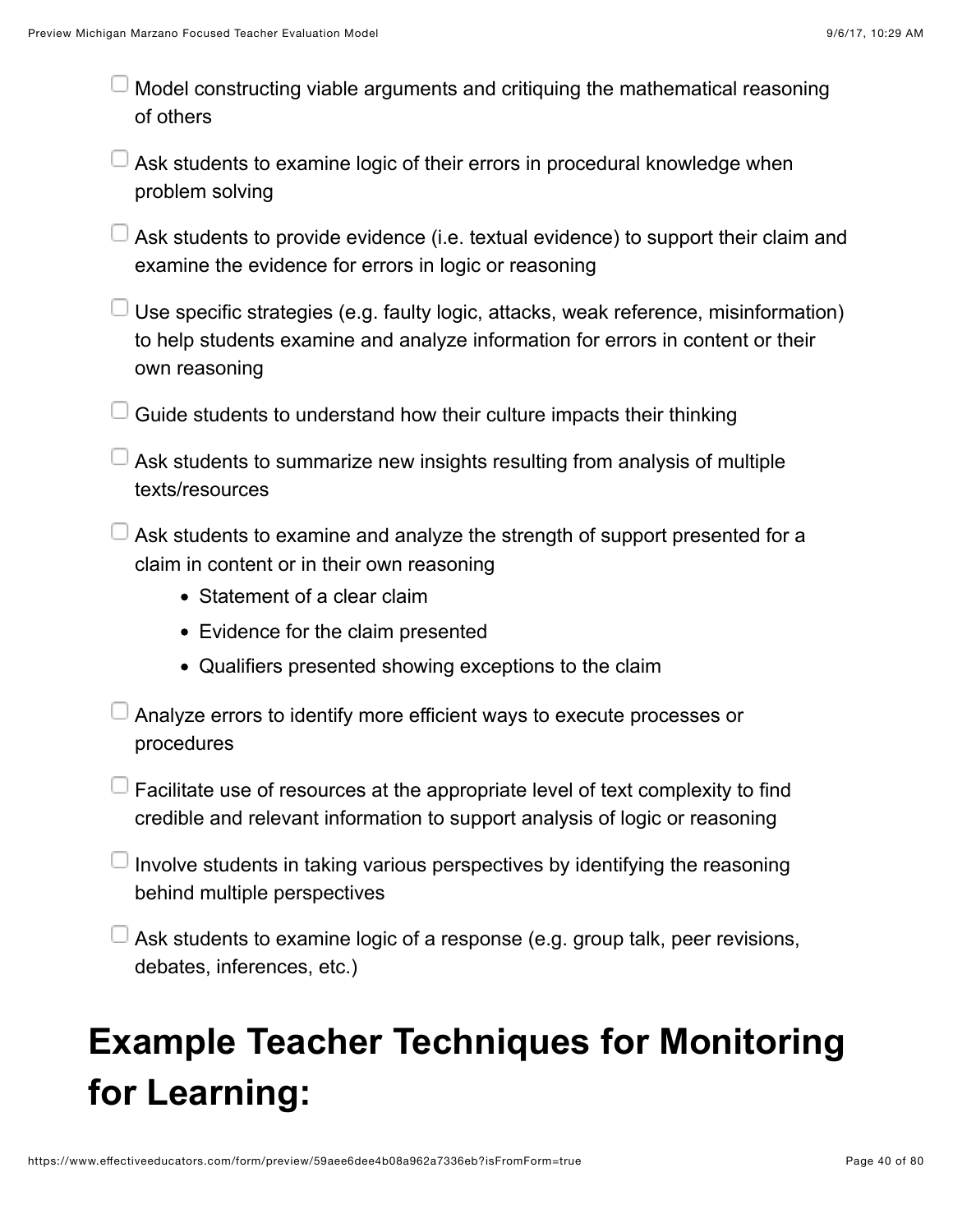- Model constructing viable arguments and critiquing the mathematical reasoning of others
- Ask students to examine logic of their errors in procedural knowledge when problem solving
- Ask students to provide evidence (i.e. textual evidence) to support their claim and examine the evidence for errors in logic or reasoning
- $\Box$  Use specific strategies (e.g. faulty logic, attacks, weak reference, misinformation) to help students examine and analyze information for errors in content or their own reasoning
- $\Box$  Guide students to understand how their culture impacts their thinking
- $\Box$  Ask students to summarize new insights resulting from analysis of multiple texts/resources
- $\perp$  Ask students to examine and analyze the strength of support presented for a claim in content or in their own reasoning
	- Statement of a clear claim
	- Evidence for the claim presented
	- Qualifiers presented showing exceptions to the claim
- Analyze errors to identify more efficient ways to execute processes or procedures
- $\Box$  Facilitate use of resources at the appropriate level of text complexity to find credible and relevant information to support analysis of logic or reasoning
- Involve students in taking various perspectives by identifying the reasoning behind multiple perspectives
- $\Box$  Ask students to examine logic of a response (e.g. group talk, peer revisions, debates, inferences, etc.)

# **Example Teacher Techniques for Monitoring for Learning:**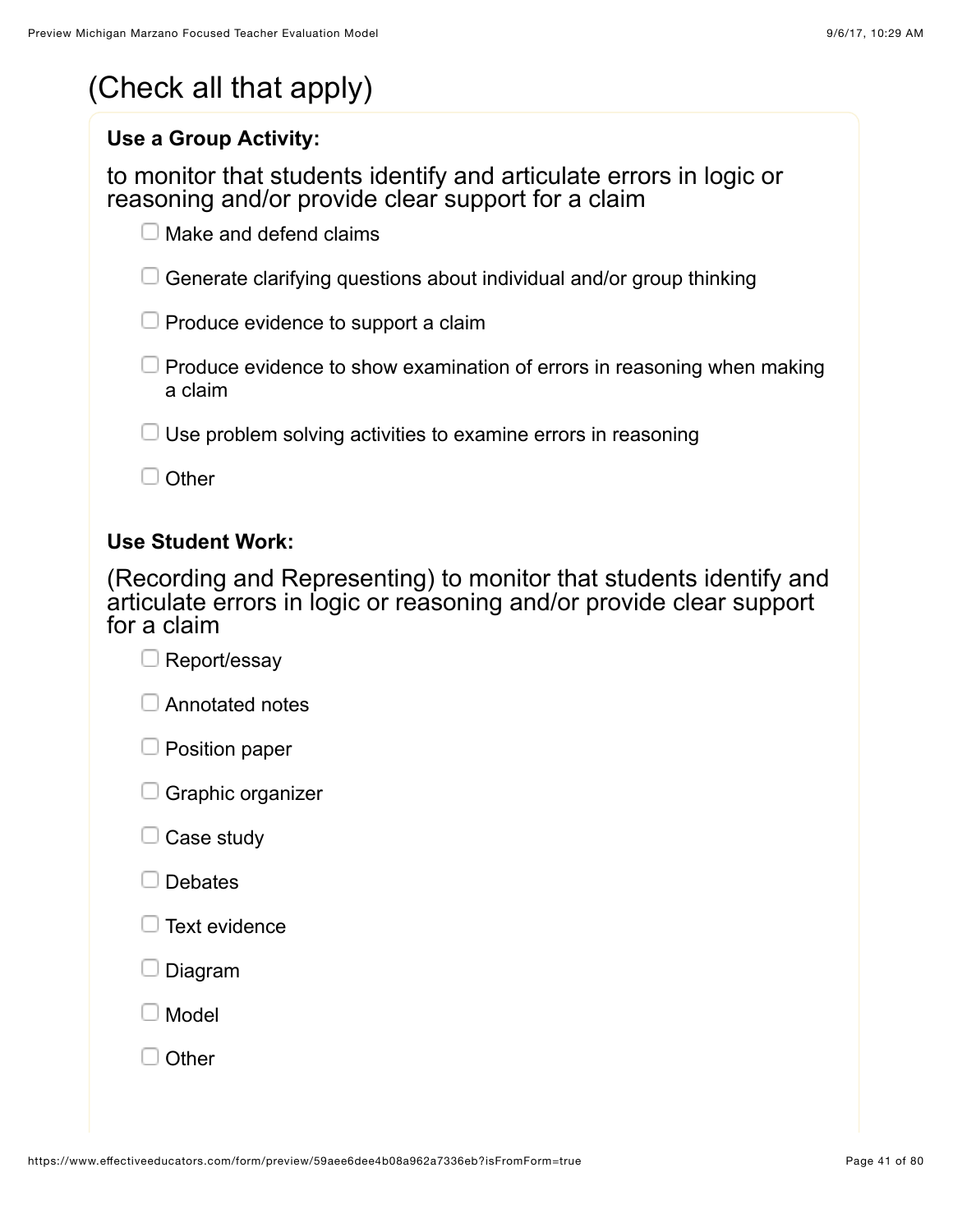|  | (Check all that apply) |
|--|------------------------|
|--|------------------------|

#### **Use a Group Activity:**

to monitor that students identify and articulate errors in logic or reasoning and/or provide clear support for a claim

 $\Box$  Make and defend claims

 $\Box$  Generate clarifying questions about individual and/or group thinking

 $\Box$  Produce evidence to support a claim

 $\Box$  Produce evidence to show examination of errors in reasoning when making a claim

 $\Box$  Use problem solving activities to examine errors in reasoning

 $\Box$  Other

#### **Use Student Work:**

(Recording and Representing) to monitor that students identify and articulate errors in logic or reasoning and/or provide clear support for a claim

| $\Box$ Report/essay      |
|--------------------------|
| $\Box$ Annotated notes   |
| $\Box$ Position paper    |
| $\Box$ Graphic organizer |

| Case study |  |
|------------|--|
|------------|--|

|  |  | J Text evidence |
|--|--|-----------------|
|--|--|-----------------|

Diagram

Model

**Other**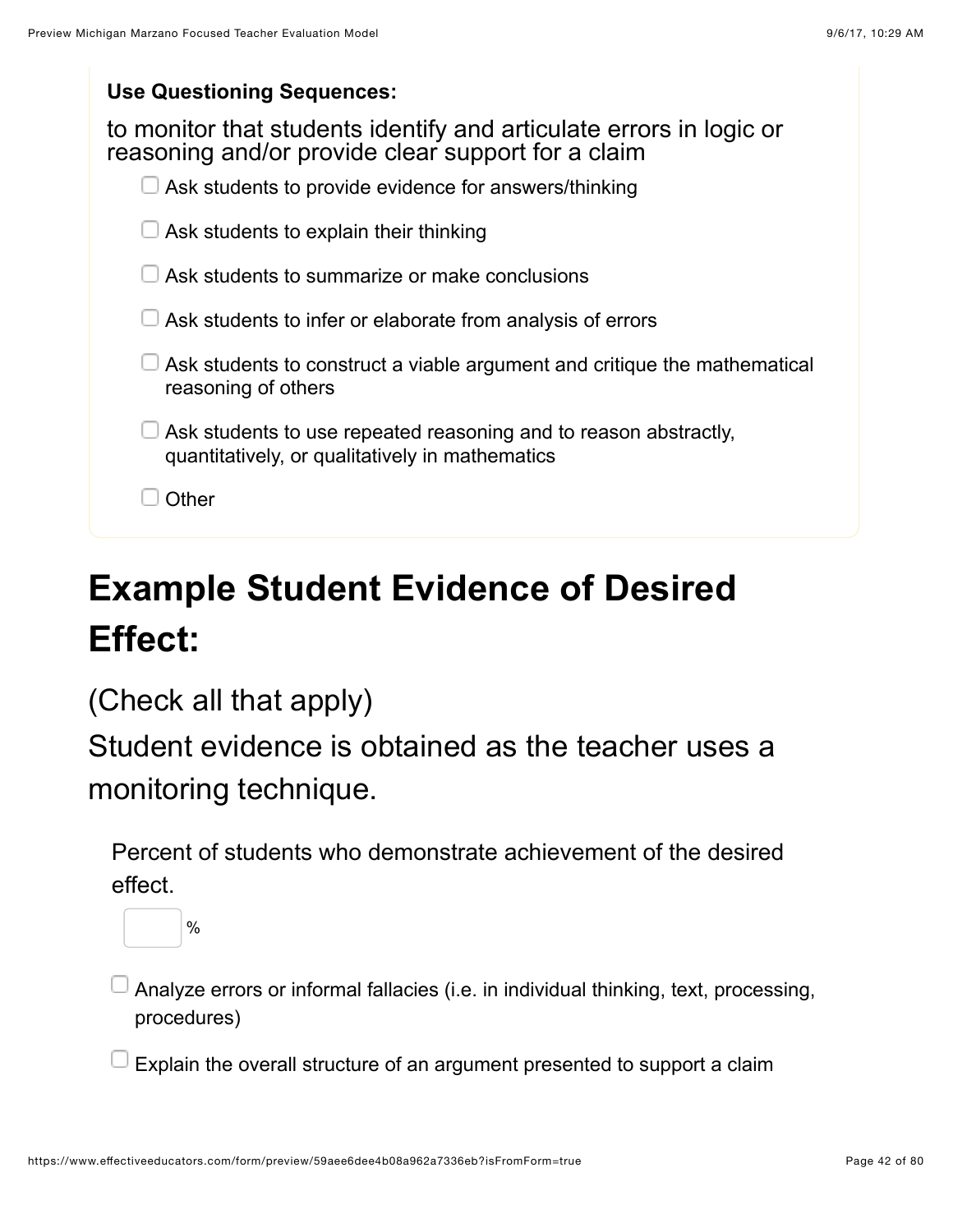| <b>Use Questioning Sequences:</b> |  |
|-----------------------------------|--|
|-----------------------------------|--|

| to monitor that students identify and articulate errors in logic or<br>reasoning and/or provide clear support for a claim |
|---------------------------------------------------------------------------------------------------------------------------|
| Ask students to provide evidence for answers/thinking                                                                     |
| Ask students to explain their thinking                                                                                    |
| Ask students to summarize or make conclusions                                                                             |
| Ask students to infer or elaborate from analysis of errors                                                                |
| Ask students to construct a viable argument and critique the mathematical<br>reasoning of others                          |
| Ask students to use repeated reasoning and to reason abstractly,<br>quantitatively, or qualitatively in mathematics       |
| Other                                                                                                                     |
|                                                                                                                           |

# **Example Student Evidence of Desired Effect:**

(Check all that apply)

Student evidence is obtained as the teacher uses a monitoring technique.

Percent of students who demonstrate achievement of the desired effect.



 $\overline{\phantom{\alpha}}$  Analyze errors or informal fallacies (i.e. in individual thinking, text, processing, procedures)

 $\exists$  Explain the overall structure of an argument presented to support a claim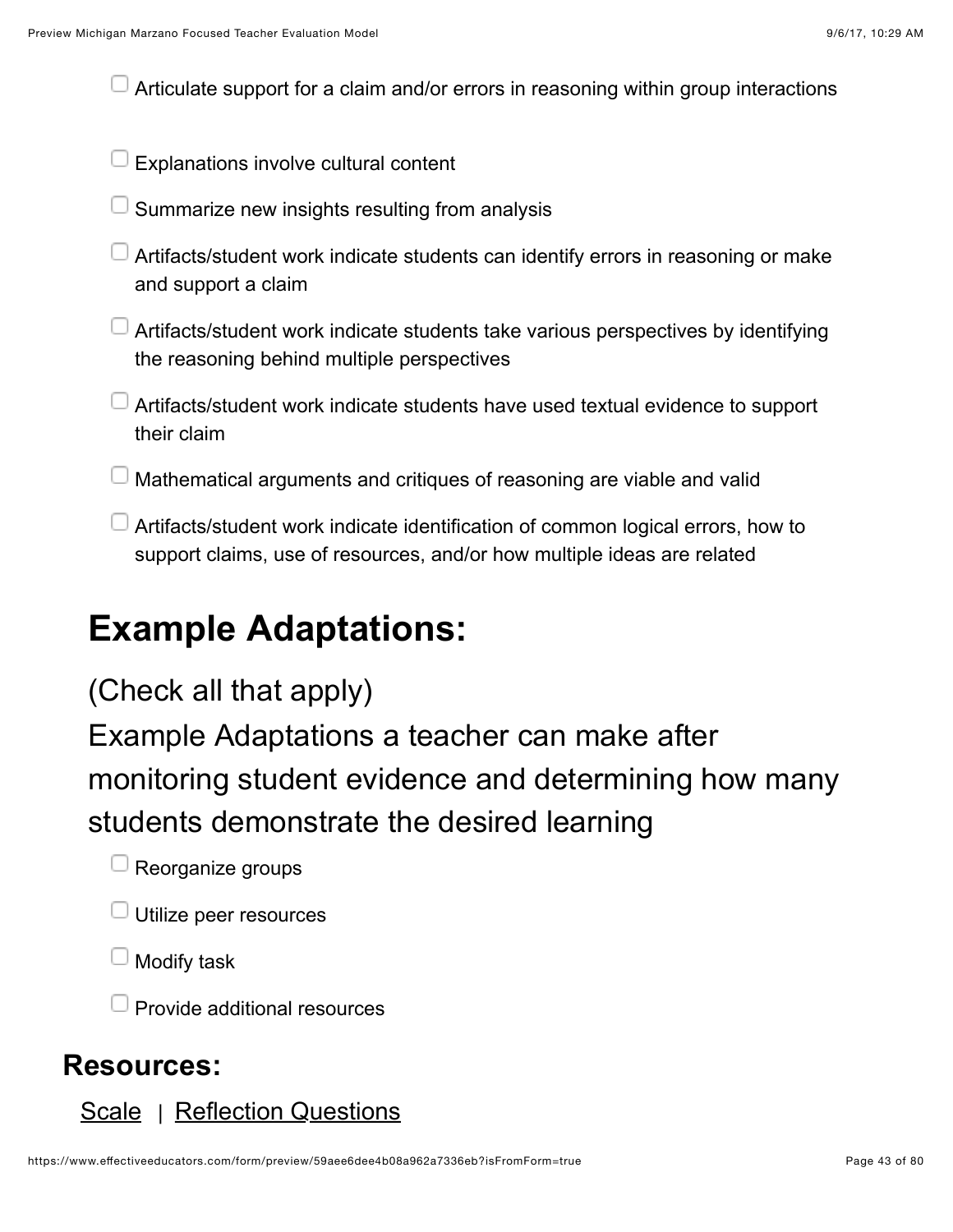Articulate support for a claim and/or errors in reasoning within group interactions

- Explanations involve cultural content
- Summarize new insights resulting from analysis
- $\Box$  Artifacts/student work indicate students can identify errors in reasoning or make and support a claim
- Artifacts/student work indicate students take various perspectives by identifying the reasoning behind multiple perspectives
- Artifacts/student work indicate students have used textual evidence to support their claim
- $\Box$  Mathematical arguments and critiques of reasoning are viable and valid
- Artifacts/student work indicate identification of common logical errors, how to support claims, use of resources, and/or how multiple ideas are related

### **Example Adaptations:**

### (Check all that apply)

Example Adaptations a teacher can make after monitoring student evidence and determining how many students demonstrate the desired learning

- Reorganize groups
- Utilize peer resources
- Modify task
- $\Box$  Provide additional resources

#### **Resources:**

#### [Scale](https://www.effectiveeducators.com/resource/show/58dbf3f0e4b0cf4a36160264?popup=true&lookforId=59aee6d9e4b08a962a733574&title=Scale) | [Reflection Questions](https://www.effectiveeducators.com/resource/show/58e6a518e4b0dc97dc70a14e?popup=true&lookforId=59aee6d9e4b08a962a733574&title=Reflection+Questions)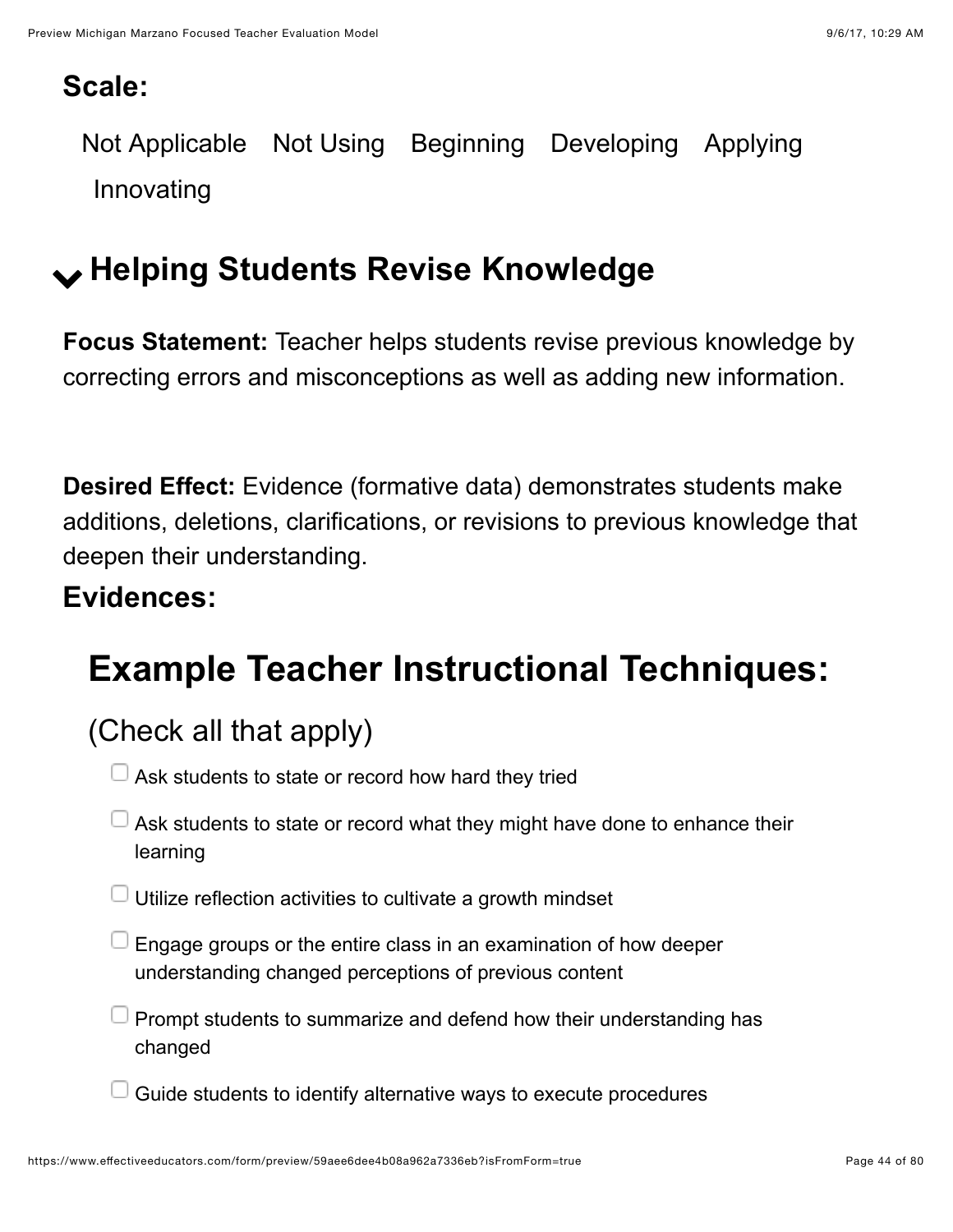### **Scale:**

Not Applicable Not Using Beginning Developing Applying Innovating

## ! **Helping Students Revise Knowledge**

**Focus Statement:** Teacher helps students revise previous knowledge by correcting errors and misconceptions as well as adding new information.

**Desired Effect:** Evidence (formative data) demonstrates students make additions, deletions, clarifications, or revisions to previous knowledge that deepen their understanding.

### **Evidences:**

## **Example Teacher Instructional Techniques:**

### (Check all that apply)

- $\Box$  Ask students to state or record how hard they tried
- $\Box$  Ask students to state or record what they might have done to enhance their learning
- $\Box$  Utilize reflection activities to cultivate a growth mindset
- Engage groups or the entire class in an examination of how deeper understanding changed perceptions of previous content
- Prompt students to summarize and defend how their understanding has changed
- Guide students to identify alternative ways to execute procedures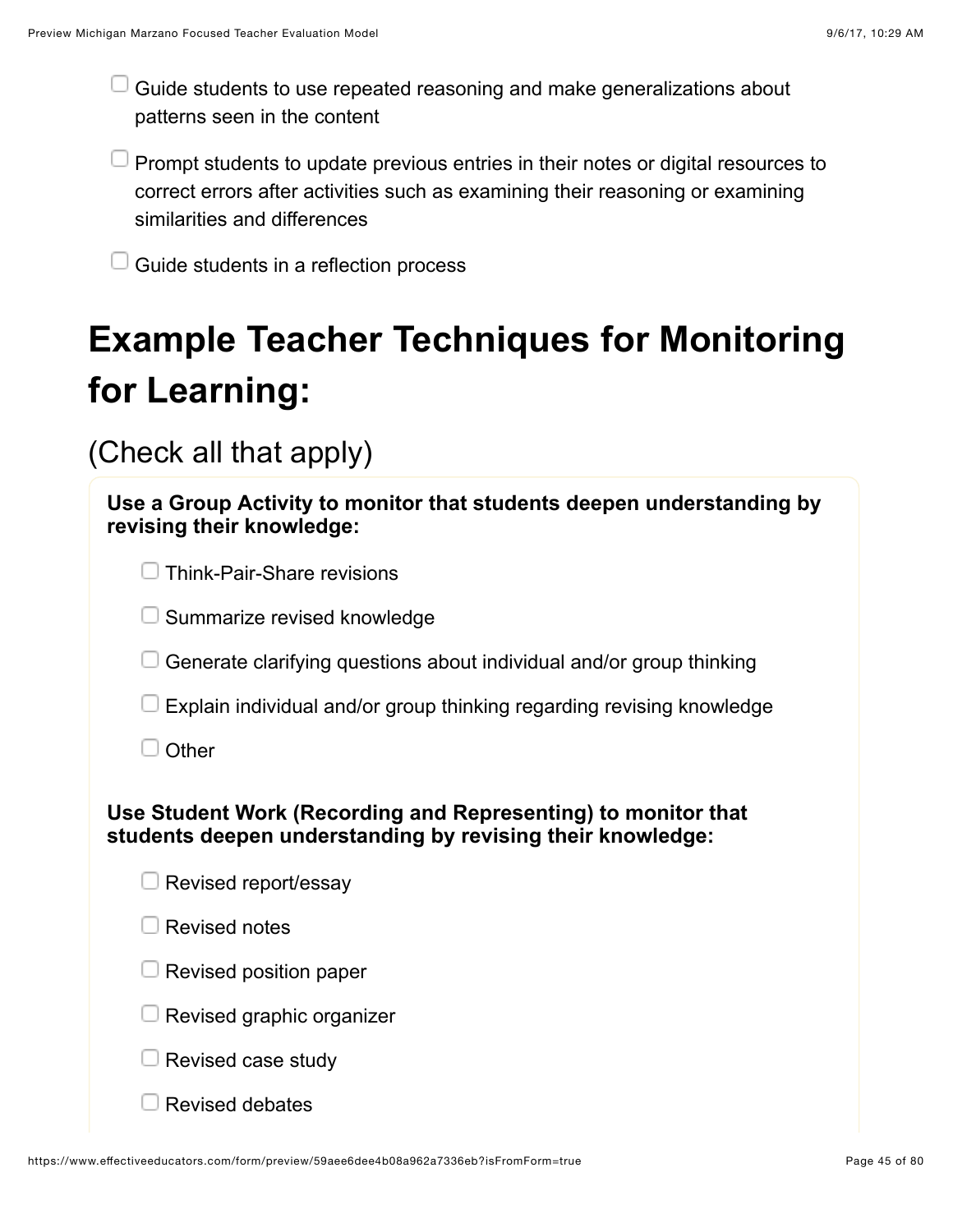Guide students to use repeated reasoning and make generalizations about patterns seen in the content

 $\Box$  Prompt students to update previous entries in their notes or digital resources to correct errors after activities such as examining their reasoning or examining similarities and differences

Guide students in a reflection process

# **Example Teacher Techniques for Monitoring for Learning:**

(Check all that apply)

| Use a Group Activity to monitor that students deepen understanding by<br>revising their knowledge:                          |  |  |
|-----------------------------------------------------------------------------------------------------------------------------|--|--|
| <b>Think-Pair-Share revisions</b>                                                                                           |  |  |
| Summarize revised knowledge                                                                                                 |  |  |
| Generate clarifying questions about individual and/or group thinking                                                        |  |  |
| Explain individual and/or group thinking regarding revising knowledge                                                       |  |  |
| Other                                                                                                                       |  |  |
| Use Student Work (Recording and Representing) to monitor that<br>students deepen understanding by revising their knowledge: |  |  |
| Revised report/essay                                                                                                        |  |  |
| <b>Revised notes</b>                                                                                                        |  |  |
| Revised position paper                                                                                                      |  |  |
| Revised graphic organizer                                                                                                   |  |  |
| Revised case study                                                                                                          |  |  |
| <b>Revised debates</b>                                                                                                      |  |  |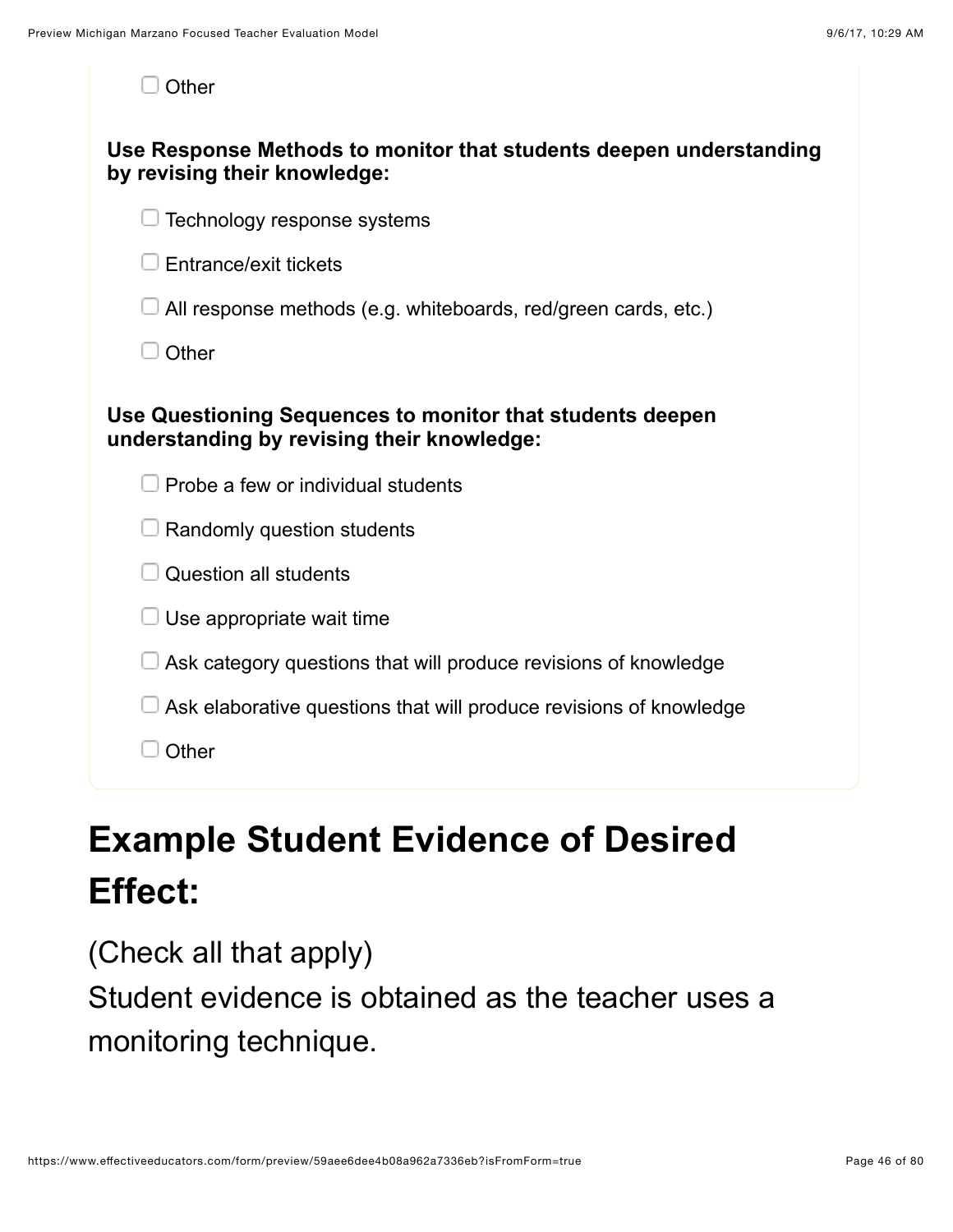| Other                                                                                                   |
|---------------------------------------------------------------------------------------------------------|
| Use Response Methods to monitor that students deepen understanding<br>by revising their knowledge:      |
| Technology response systems                                                                             |
| Entrance/exit tickets                                                                                   |
| All response methods (e.g. whiteboards, red/green cards, etc.)                                          |
| Other                                                                                                   |
| Use Questioning Sequences to monitor that students deepen<br>understanding by revising their knowledge: |
| Probe a few or individual students                                                                      |
| Randomly question students                                                                              |
| <b>Question all students</b>                                                                            |
| Use appropriate wait time                                                                               |
| Ask category questions that will produce revisions of knowledge                                         |
| Ask elaborative questions that will produce revisions of knowledge                                      |
| Other                                                                                                   |

## **Example Student Evidence of Desired Effect:**

(Check all that apply)

Student evidence is obtained as the teacher uses a monitoring technique.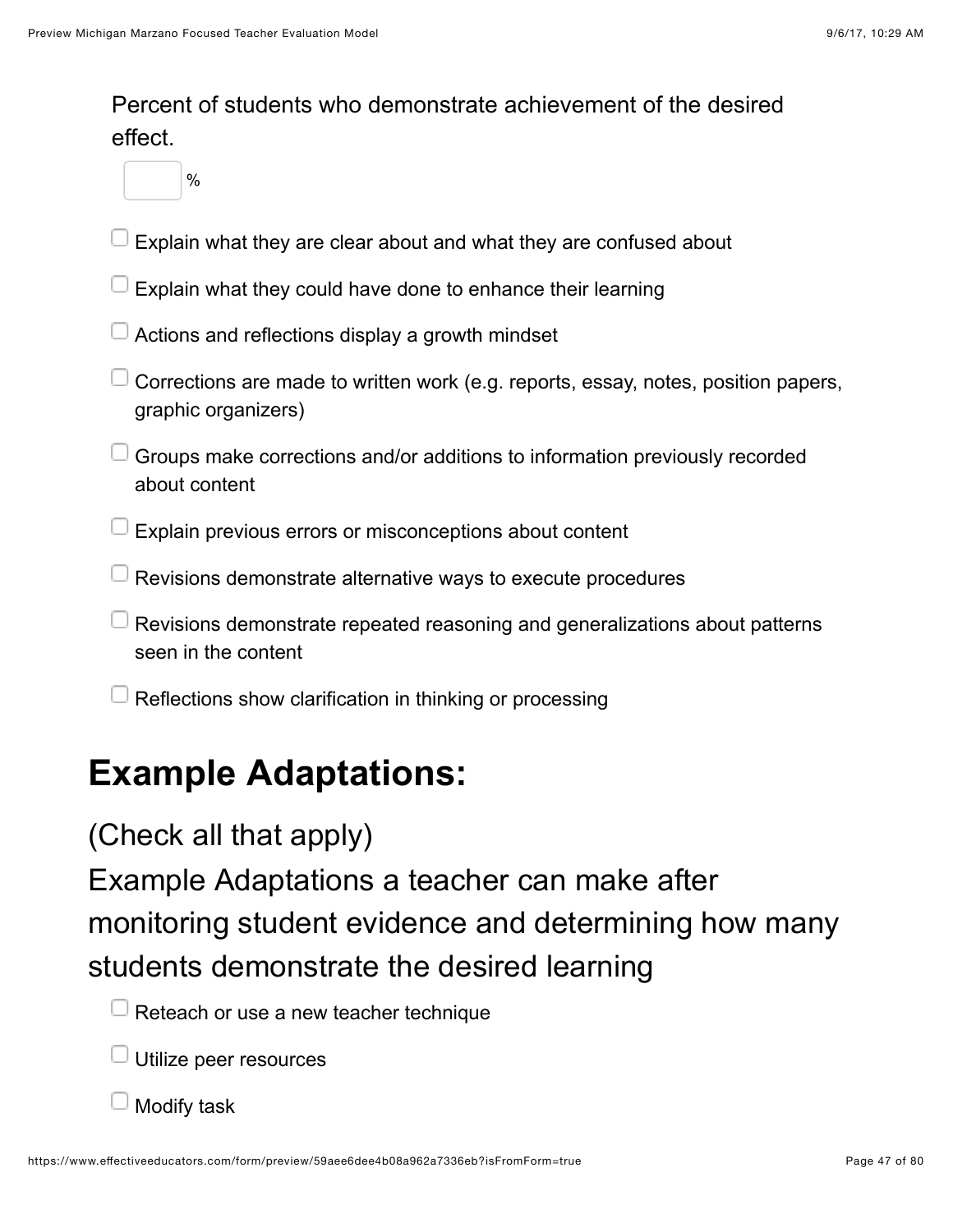Percent of students who demonstrate achievement of the desired effect.

%

- Explain what they are clear about and what they are confused about
- Explain what they could have done to enhance their learning
- Actions and reflections display a growth mindset
- $\Box$  Corrections are made to written work (e.g. reports, essay, notes, position papers, graphic organizers)
- $\Box$  Groups make corrections and/or additions to information previously recorded about content
- $\perp$  Explain previous errors or misconceptions about content
- $\Box$  Revisions demonstrate alternative ways to execute procedures
- $\Box$  Revisions demonstrate repeated reasoning and generalizations about patterns seen in the content
- Reflections show clarification in thinking or processing

### **Example Adaptations:**

### (Check all that apply)

Example Adaptations a teacher can make after monitoring student evidence and determining how many students demonstrate the desired learning



Utilize peer resources

Modify task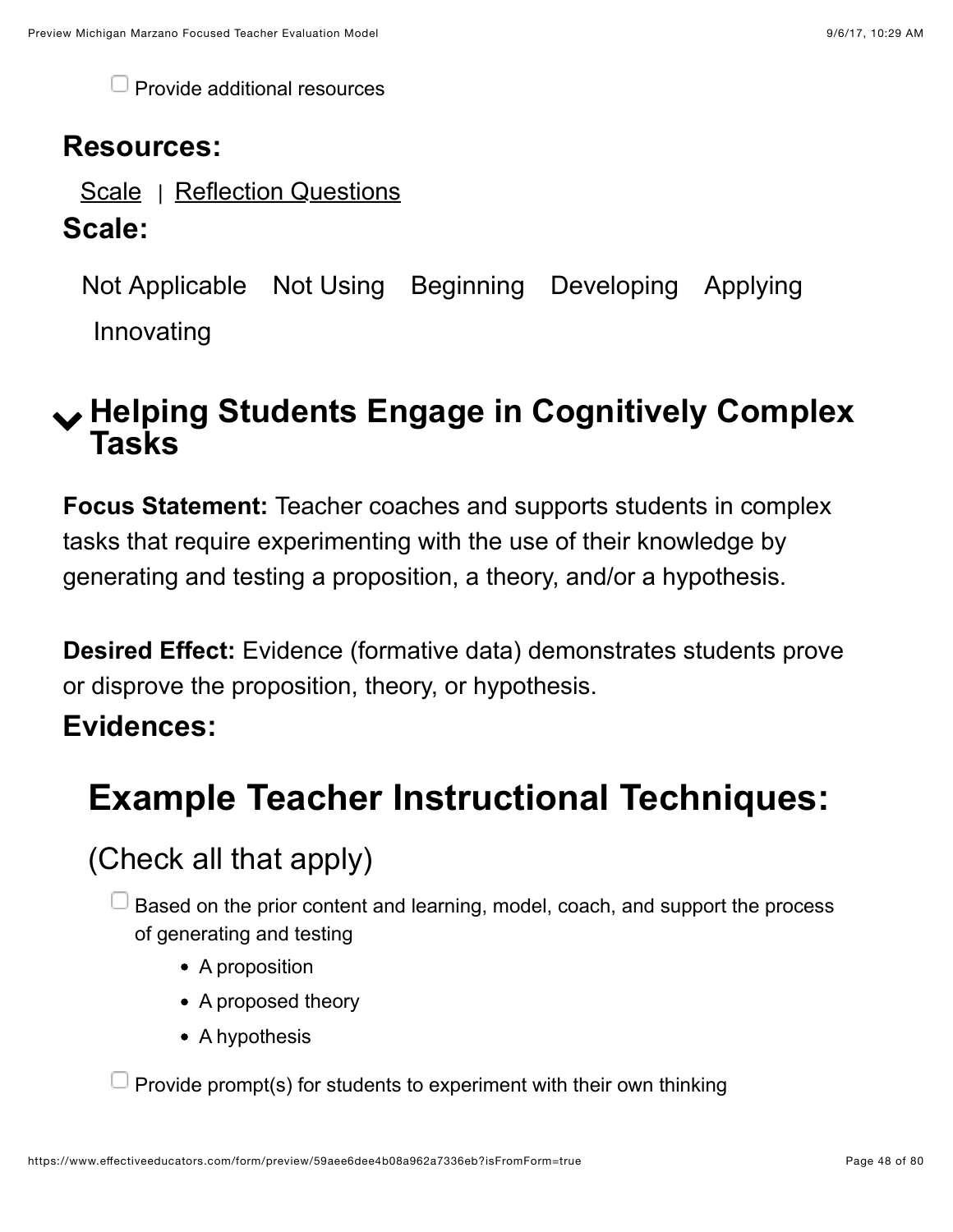$\Box$  Provide additional resources

### **Resources:**

[Scale](https://www.effectiveeducators.com/resource/show/58dbf4b3e4b0cf4a361609b5?popup=true&lookforId=59aee6d9e4b08a962a7335a8&title=Scale) | [Reflection Questions](https://www.effectiveeducators.com/resource/show/58e6a59be4b05a93828edc18?popup=true&lookforId=59aee6d9e4b08a962a7335a8&title=Reflection+Questions)

#### **Scale:**

Not Applicable Not Using Beginning Developing Applying Innovating

### ! **Helping Students Engage in Cognitively Complex Tasks**

**Focus Statement:** Teacher coaches and supports students in complex tasks that require experimenting with the use of their knowledge by generating and testing a proposition, a theory, and/or a hypothesis.

**Desired Effect:** Evidence (formative data) demonstrates students prove or disprove the proposition, theory, or hypothesis.

### **Evidences:**

## **Example Teacher Instructional Techniques:**

(Check all that apply)

- Based on the prior content and learning, model, coach, and support the process of generating and testing
	- A proposition
	- A proposed theory
	- A hypothesis

Provide prompt(s) for students to experiment with their own thinking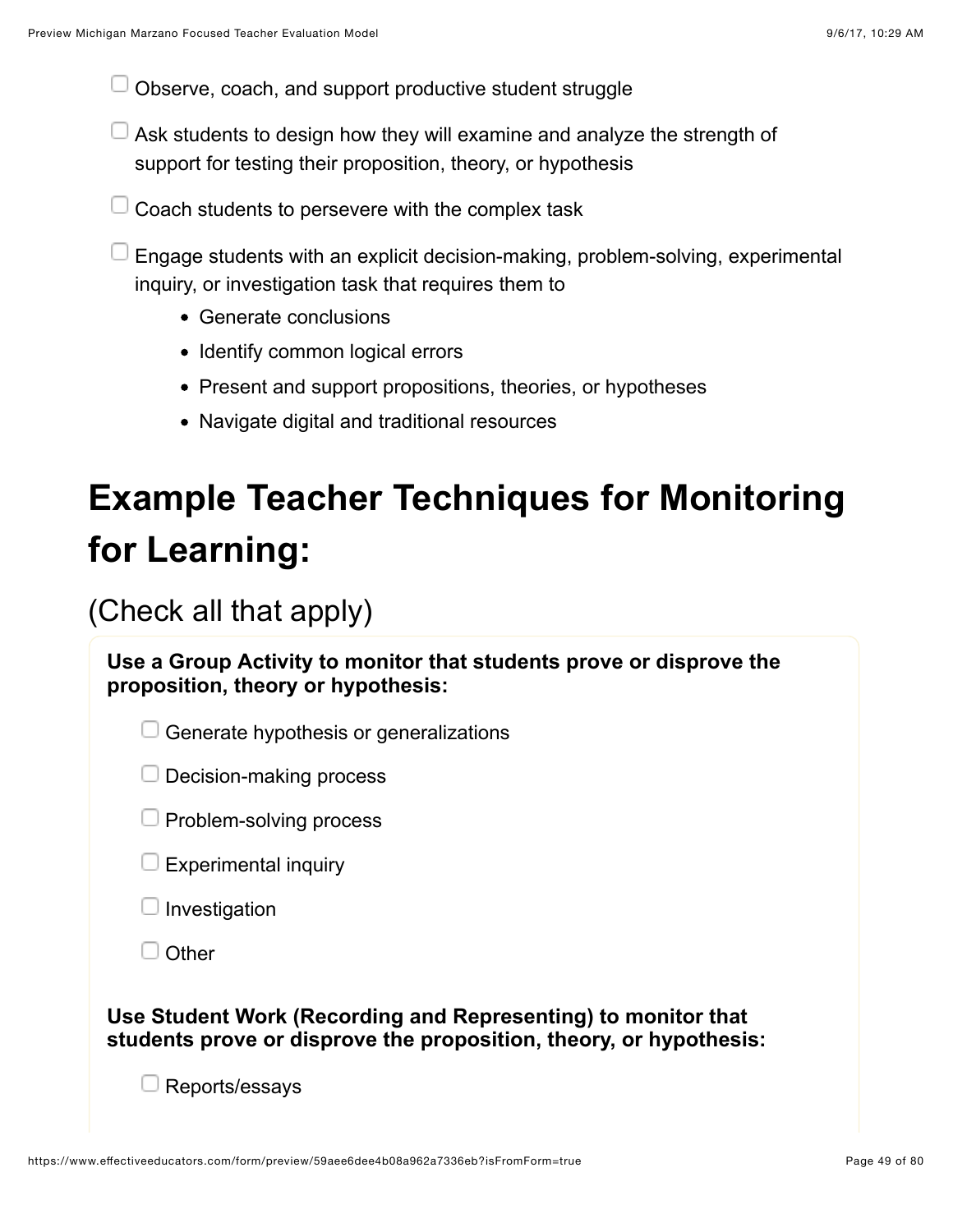Observe, coach, and support productive student struggle

- $\Box$  Ask students to design how they will examine and analyze the strength of support for testing their proposition, theory, or hypothesis
- Coach students to persevere with the complex task

Engage students with an explicit decision-making, problem-solving, experimental inquiry, or investigation task that requires them to

- Generate conclusions
- Identify common logical errors
- Present and support propositions, theories, or hypotheses
- Navigate digital and traditional resources

# **Example Teacher Techniques for Monitoring for Learning:**

### (Check all that apply)

| Use a Group Activity to monitor that students prove or disprove the |
|---------------------------------------------------------------------|
| proposition, theory or hypothesis:                                  |

 $\Box$  Generate hypothesis or generalizations

 $\Box$  Decision-making process

| J Problem-solving process |  |
|---------------------------|--|
|---------------------------|--|

| <b>Experimental inquiry</b> |  |
|-----------------------------|--|
|                             |  |

Investigation



**Use Student Work (Recording and Representing) to monitor that students prove or disprove the proposition, theory, or hypothesis:**

Reports/essays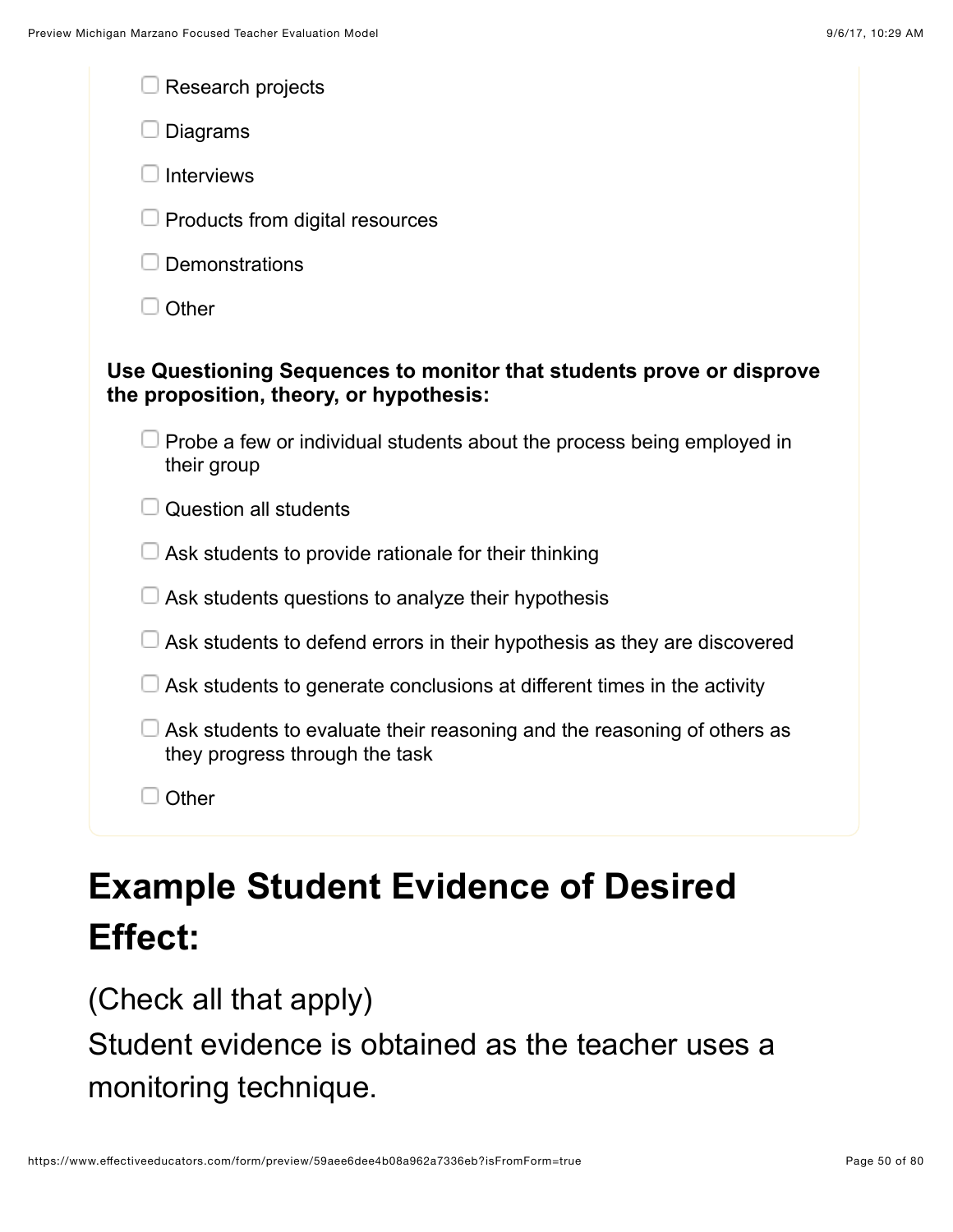| Research projects                                                                                               |
|-----------------------------------------------------------------------------------------------------------------|
| Diagrams                                                                                                        |
| <b>Interviews</b>                                                                                               |
| Products from digital resources                                                                                 |
| Demonstrations                                                                                                  |
| Other                                                                                                           |
| Use Questioning Sequences to monitor that students prove or disprove<br>the proposition, theory, or hypothesis: |
| Probe a few or individual students about the process being employed in<br>their group                           |
| <b>Question all students</b>                                                                                    |
| Ask students to provide rationale for their thinking                                                            |
| Ask students questions to analyze their hypothesis                                                              |
| Ask students to defend errors in their hypothesis as they are discovered                                        |
| Ask students to generate conclusions at different times in the activity                                         |
| Ask students to evaluate their reasoning and the reasoning of others as<br>they progress through the task       |
| Other                                                                                                           |
|                                                                                                                 |

# **Example Student Evidence of Desired Effect:**

(Check all that apply)

Student evidence is obtained as the teacher uses a monitoring technique.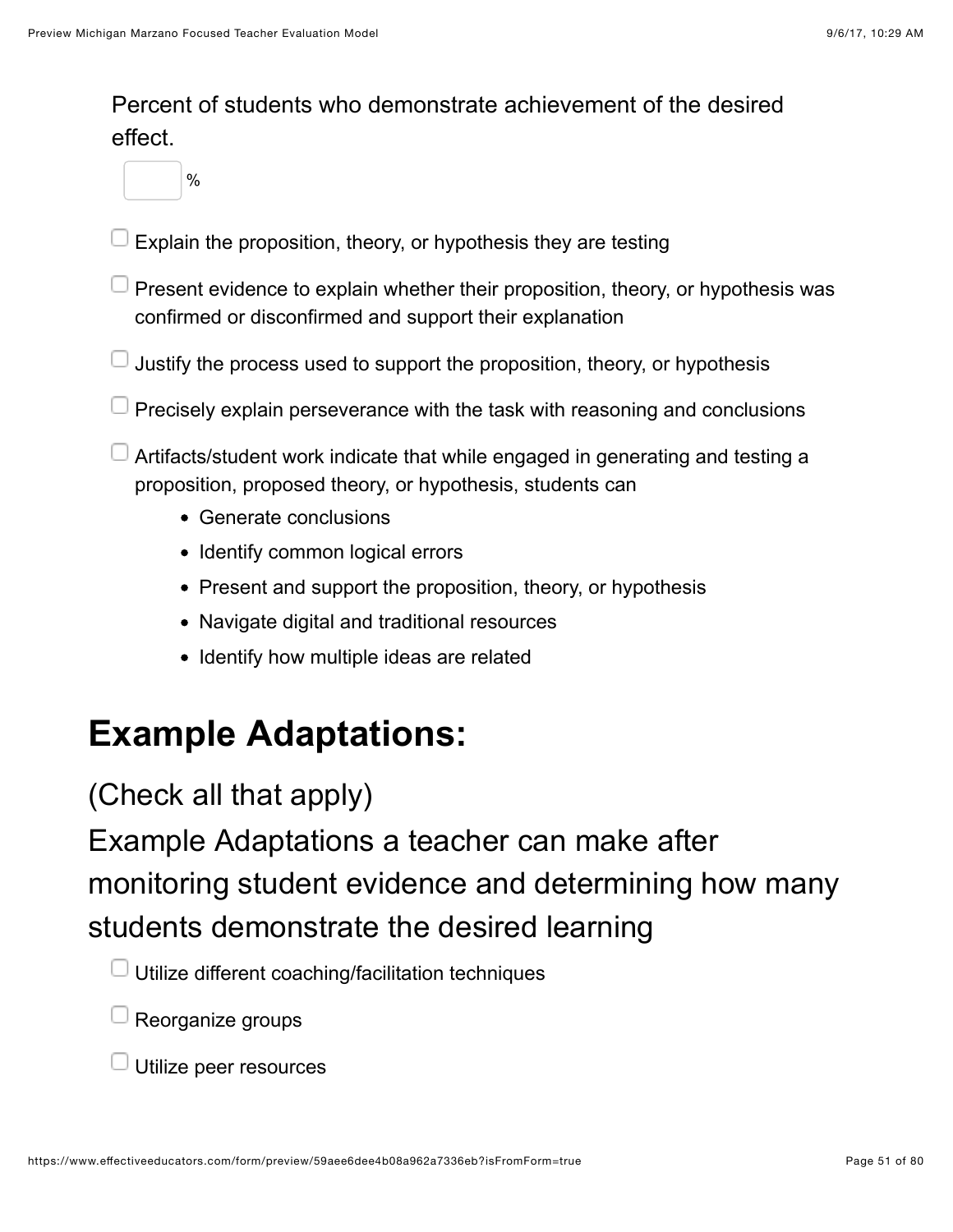#### Percent of students who demonstrate achievement of the desired effect.

- %
- Explain the proposition, theory, or hypothesis they are testing
- Present evidence to explain whether their proposition, theory, or hypothesis was confirmed or disconfirmed and support their explanation
- $\Box$  Justify the process used to support the proposition, theory, or hypothesis
- $\perp$  Precisely explain perseverance with the task with reasoning and conclusions

Artifacts/student work indicate that while engaged in generating and testing a proposition, proposed theory, or hypothesis, students can

- Generate conclusions
- Identify common logical errors
- Present and support the proposition, theory, or hypothesis
- Navigate digital and traditional resources
- Identify how multiple ideas are related

## **Example Adaptations:**

(Check all that apply)

Example Adaptations a teacher can make after monitoring student evidence and determining how many students demonstrate the desired learning

- $\Box$  Utilize different coaching/facilitation techniques
- $\Box$  Reorganize groups
- Utilize peer resources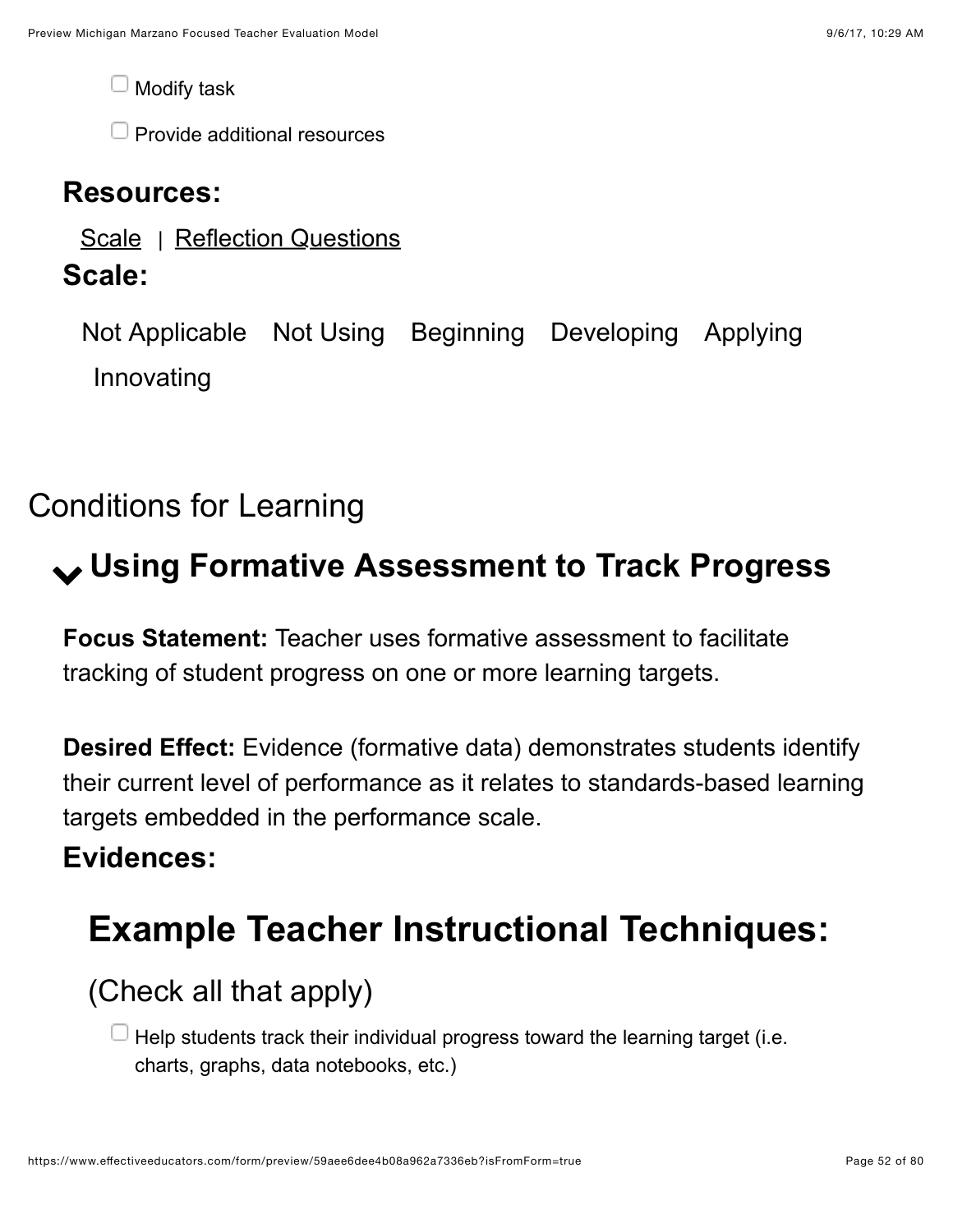Modify task

 $\Box$  Provide additional resources

#### **Resources:**

[Scale](https://www.effectiveeducators.com/resource/show/58dbf566e4b0539c02d367ab?popup=true&lookforId=59aee6dae4b08a962a7335db&title=Scale) | [Reflection Questions](https://www.effectiveeducators.com/resource/show/58e6a618e4b03411ff7c638f?popup=true&lookforId=59aee6dae4b08a962a7335db&title=Reflection+Questions)

### **Scale:**

Not Applicable Not Using Beginning Developing Applying Innovating

### Conditions for Learning

# ! **Using Formative Assessment to Track Progress**

**Focus Statement:** Teacher uses formative assessment to facilitate tracking of student progress on one or more learning targets.

**Desired Effect:** Evidence (formative data) demonstrates students identify their current level of performance as it relates to standards-based learning targets embedded in the performance scale.

### **Evidences:**

## **Example Teacher Instructional Techniques:**

### (Check all that apply)

 $\Box$  Help students track their individual progress toward the learning target (i.e. charts, graphs, data notebooks, etc.)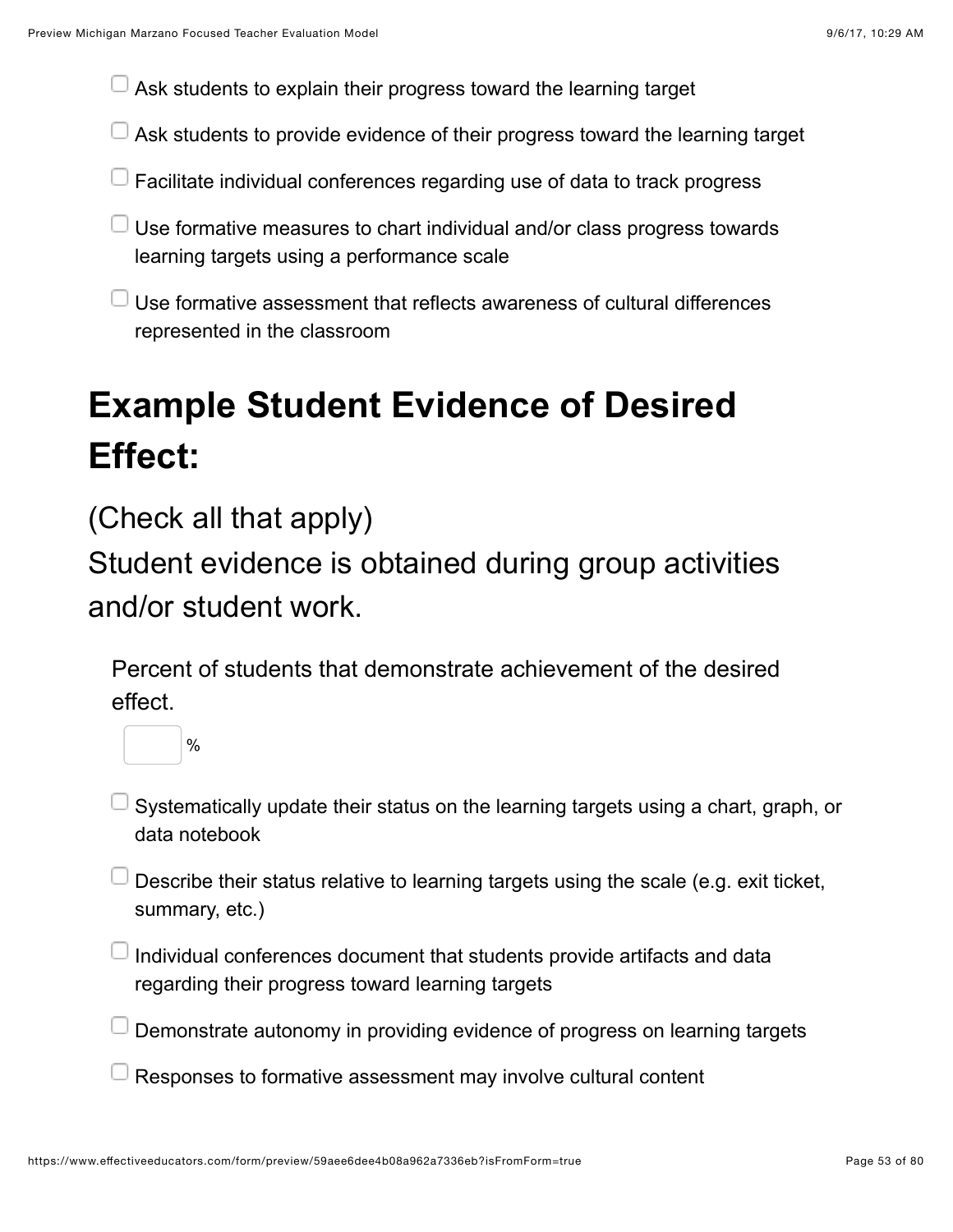$\Box$  Ask students to explain their progress toward the learning target

- $\Box$  Ask students to provide evidence of their progress toward the learning target
- **Facilitate individual conferences regarding use of data to track progress**
- $\Box$  Use formative measures to chart individual and/or class progress towards learning targets using a performance scale
- $\Box$  Use formative assessment that reflects awareness of cultural differences represented in the classroom

# **Example Student Evidence of Desired Effect:**

(Check all that apply)

%

Student evidence is obtained during group activities and/or student work.

Percent of students that demonstrate achievement of the desired effect.



- Describe their status relative to learning targets using the scale (e.g. exit ticket, summary, etc.)
- $\Box$  Individual conferences document that students provide artifacts and data regarding their progress toward learning targets
- Demonstrate autonomy in providing evidence of progress on learning targets
- Responses to formative assessment may involve cultural content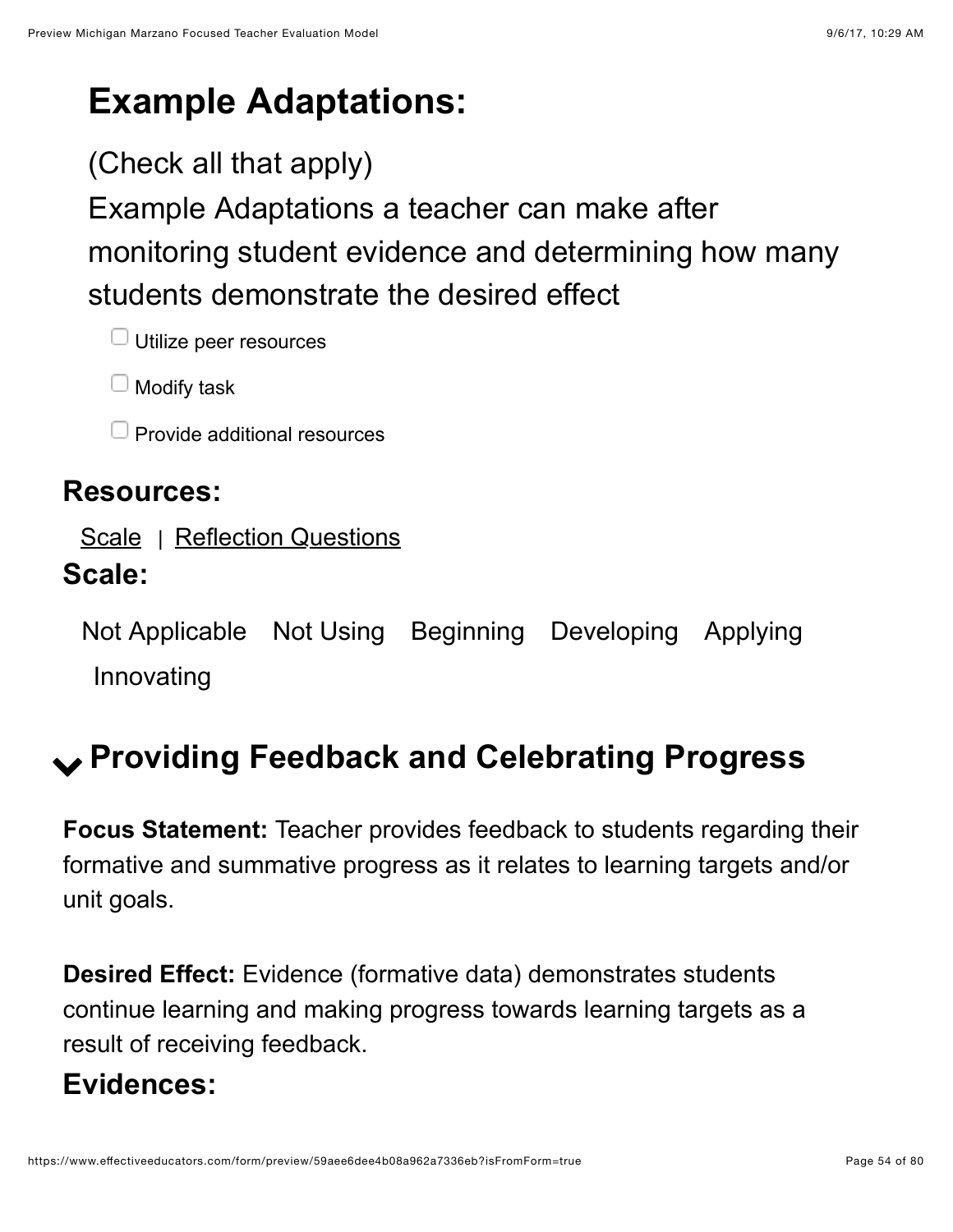## **Example Adaptations:**

### (Check all that apply)

Example Adaptations a teacher can make after monitoring student evidence and determining how many students demonstrate the desired effect

 $\Box$  Utilize peer resources

 $\Box$  Modify task

Provide additional resources

#### **Resources:**

[Scale](https://www.effectiveeducators.com/resource/show/58dbfeebe4b0cf4a36166999?popup=true&lookforId=59aee6dae4b08a962a733603&title=Scale) | [Reflection Questions](https://www.effectiveeducators.com/resource/show/58e6a6a8e4b0bd25d57cff4e?popup=true&lookforId=59aee6dae4b08a962a733603&title=Reflection+Questions)

### **Scale:**

Not Applicable Not Using Beginning Developing Applying Innovating

## ! **Providing Feedback and Celebrating Progress**

**Focus Statement:** Teacher provides feedback to students regarding their formative and summative progress as it relates to learning targets and/or unit goals.

**Desired Effect:** Evidence (formative data) demonstrates students continue learning and making progress towards learning targets as a result of receiving feedback.

### **Evidences:**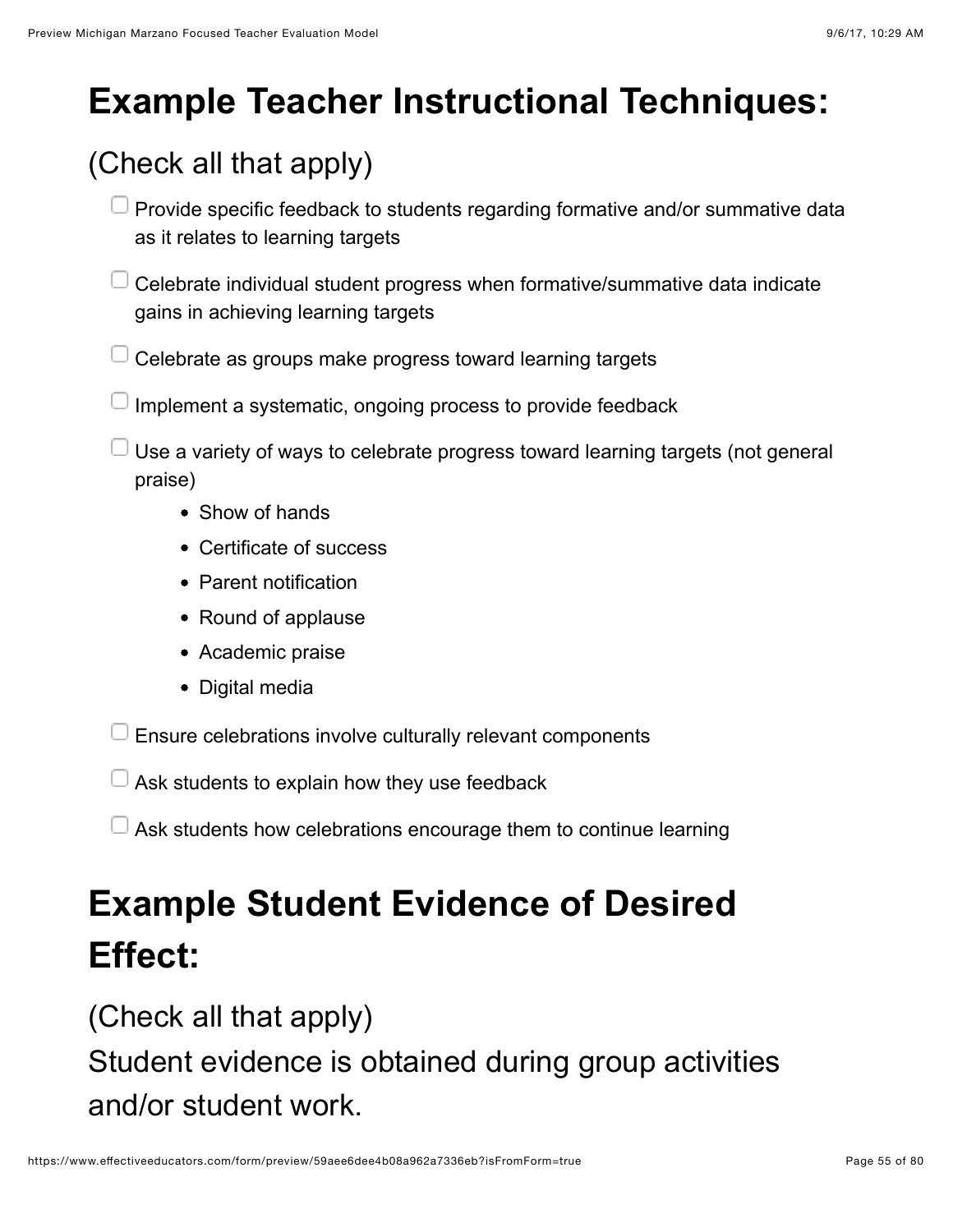# **Example Teacher Instructional Techniques:**

## (Check all that apply)

- $\Box$  Provide specific feedback to students regarding formative and/or summative data as it relates to learning targets
- $\Box$  Celebrate individual student progress when formative/summative data indicate gains in achieving learning targets
- Celebrate as groups make progress toward learning targets
- $\Box$  Implement a systematic, ongoing process to provide feedback
- $\Box$  Use a variety of ways to celebrate progress toward learning targets (not general praise)
	- Show of hands
	- Certificate of success
	- Parent notification
	- Round of applause
	- Academic praise
	- Digital media

Ensure celebrations involve culturally relevant components

- $\Box$  Ask students to explain how they use feedback
- $\Box$  Ask students how celebrations encourage them to continue learning

# **Example Student Evidence of Desired Effect:**

(Check all that apply)

Student evidence is obtained during group activities and/or student work.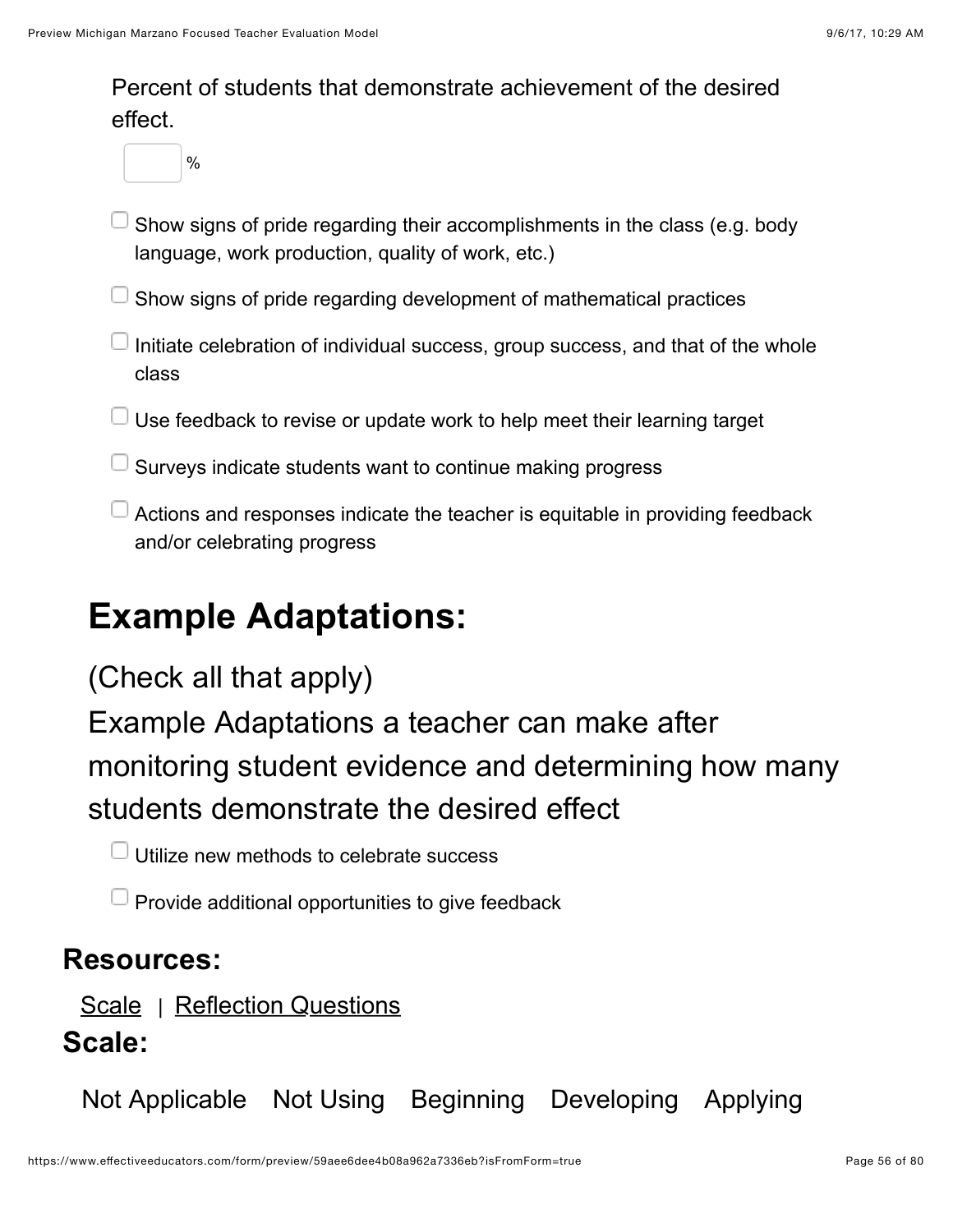Percent of students that demonstrate achievement of the desired effect.

%

- Show signs of pride regarding their accomplishments in the class (e.g. body language, work production, quality of work, etc.)
- $\Box$  Show signs of pride regarding development of mathematical practices
- Initiate celebration of individual success, group success, and that of the whole class
- $\Box$  Use feedback to revise or update work to help meet their learning target
- $\Box$  Surveys indicate students want to continue making progress
- $\Box$  Actions and responses indicate the teacher is equitable in providing feedback and/or celebrating progress

### **Example Adaptations:**

### (Check all that apply)

Example Adaptations a teacher can make after monitoring student evidence and determining how many students demonstrate the desired effect

 $\Box$  Utilize new methods to celebrate success

 $\Box$  Provide additional opportunities to give feedback

#### **Resources:**

[Scale](https://www.effectiveeducators.com/resource/show/58dbf602e4b0539c02d36c81?popup=true&lookforId=59aee6dae4b08a962a733614&title=Scale) | [Reflection Questions](https://www.effectiveeducators.com/resource/show/58e6a723e4b05a93828ede9d?popup=true&lookforId=59aee6dae4b08a962a733614&title=Reflection+Questions) **Scale:**

Not Applicable Not Using Beginning Developing Applying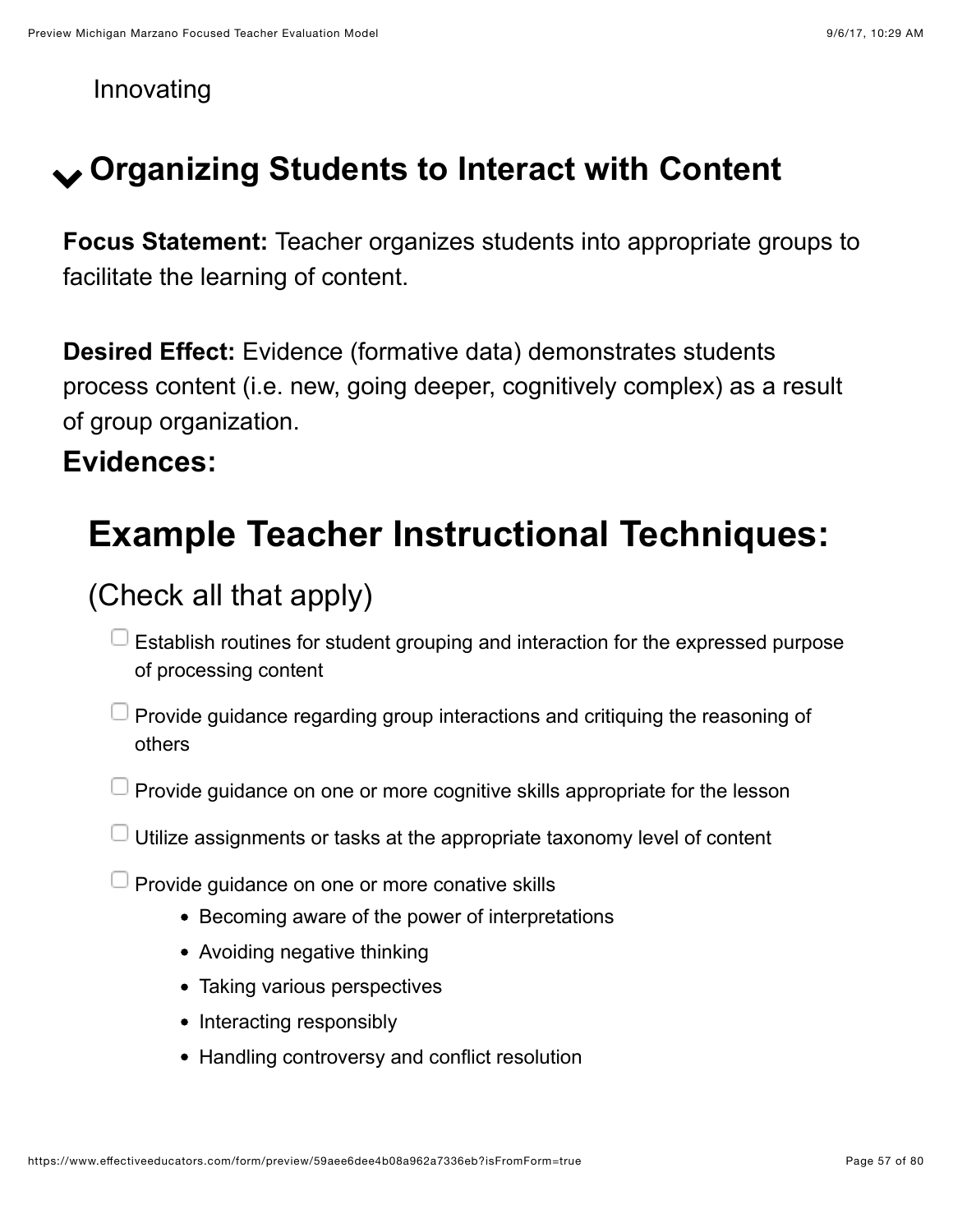Innovating

## ! **Organizing Students to Interact with Content**

**Focus Statement:** Teacher organizes students into appropriate groups to facilitate the learning of content.

**Desired Effect:** Evidence (formative data) demonstrates students process content (i.e. new, going deeper, cognitively complex) as a result of group organization.

#### **Evidences:**

## **Example Teacher Instructional Techniques:**

### (Check all that apply)

- $\Box$  Establish routines for student grouping and interaction for the expressed purpose of processing content
- $\Box$  Provide guidance regarding group interactions and critiquing the reasoning of others
- $\Box$  Provide guidance on one or more cognitive skills appropriate for the lesson
- $\Box$  Utilize assignments or tasks at the appropriate taxonomy level of content
- $\Box$  Provide guidance on one or more conative skills
	- Becoming aware of the power of interpretations
	- Avoiding negative thinking
	- Taking various perspectives
	- Interacting responsibly
	- Handling controversy and conflict resolution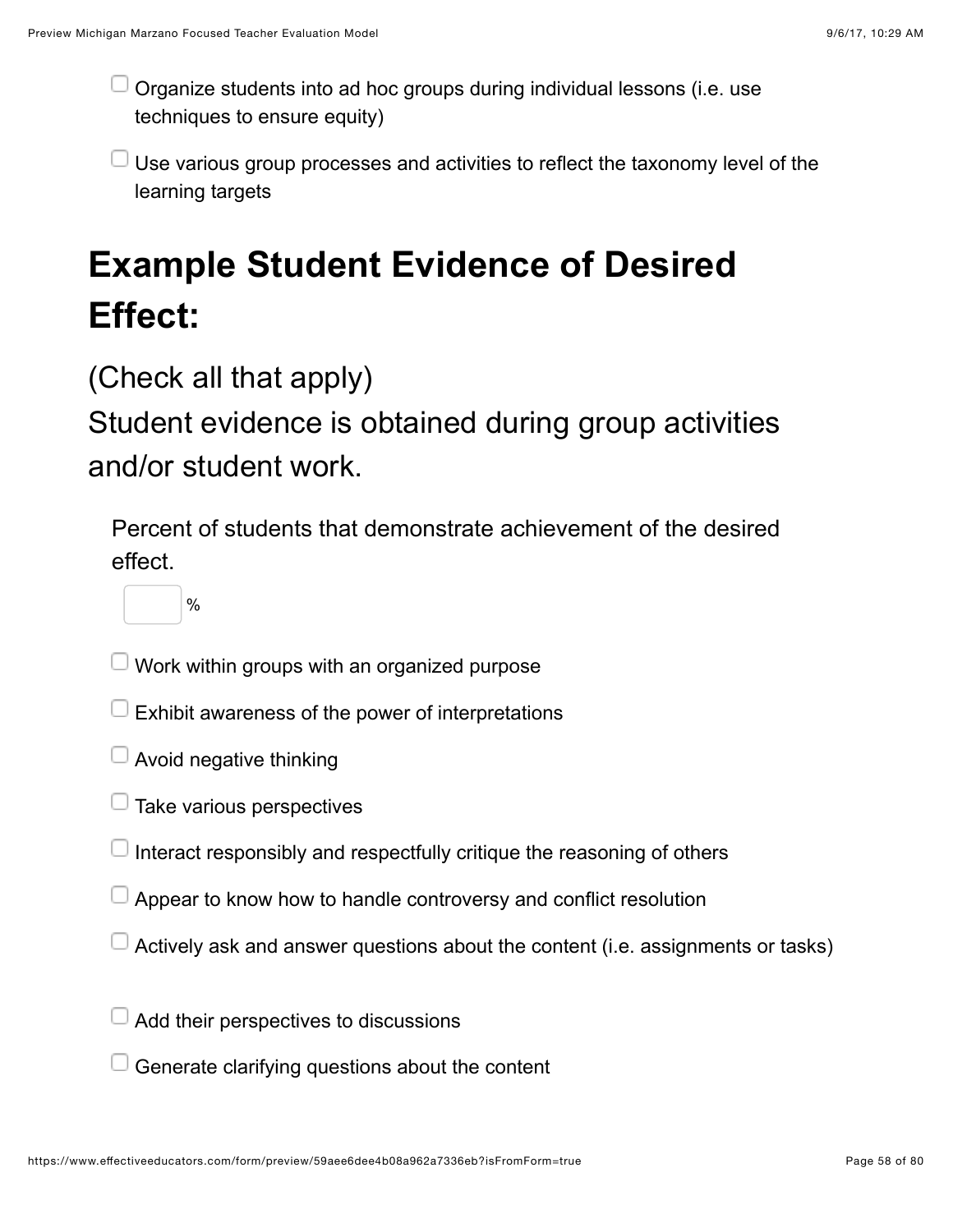Organize students into ad hoc groups during individual lessons (i.e. use techniques to ensure equity)

Use various group processes and activities to reflect the taxonomy level of the learning targets

# **Example Student Evidence of Desired Effect:**

(Check all that apply)

Student evidence is obtained during group activities and/or student work.

Percent of students that demonstrate achievement of the desired effect.

 $\frac{0}{0}$ 

 $\Box$  Work within groups with an organized purpose

- $\Box$  Exhibit awareness of the power of interpretations
- $\Box$  Avoid negative thinking
- $\Box$  Take various perspectives
- Interact responsibly and respectfully critique the reasoning of others
- Appear to know how to handle controversy and conflict resolution
- $\Box$  Actively ask and answer questions about the content (i.e. assignments or tasks)
- $\Box$  Add their perspectives to discussions
- $\Box$  Generate clarifying questions about the content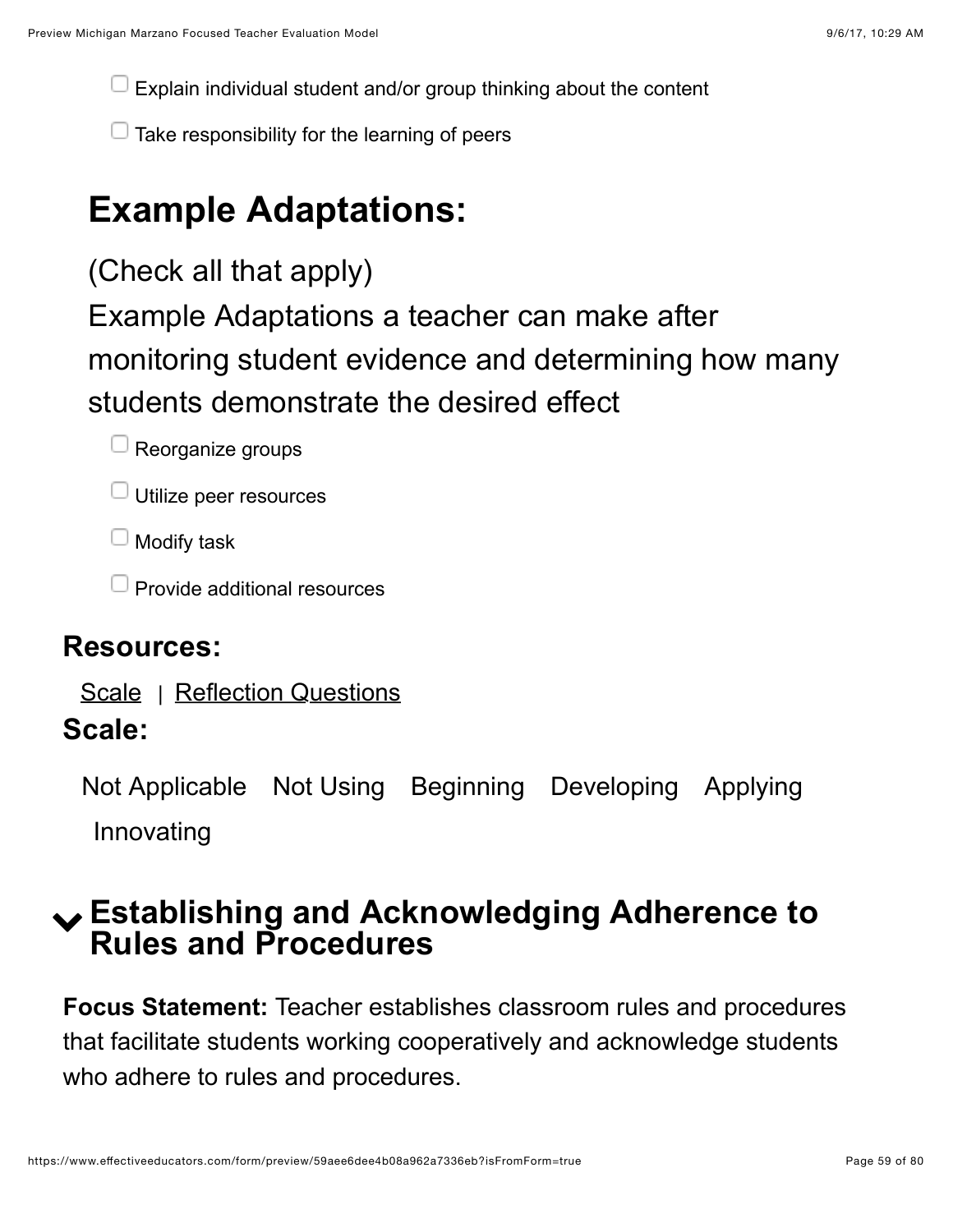Explain individual student and/or group thinking about the content

 $\Box$  Take responsibility for the learning of peers

## **Example Adaptations:**

(Check all that apply)

Example Adaptations a teacher can make after monitoring student evidence and determining how many students demonstrate the desired effect



- $\Box$  Utilize peer resources
- $\Box$  Modify task
- $\Box$  Provide additional resources

#### **Resources:**

[Scale](https://www.effectiveeducators.com/resource/show/58dbf938e4b0cf4a361631be?popup=true&lookforId=59aee6dbe4b08a962a733627&title=Scale) | [Reflection Questions](https://www.effectiveeducators.com/resource/show/58e6a79be4b05a93828edf70?popup=true&lookforId=59aee6dbe4b08a962a733627&title=Reflection+Questions)

#### **Scale:**

Not Applicable Not Using Beginning Developing Applying Innovating

### ! **Establishing and Acknowledging Adherence to Rules and Procedures**

**Focus Statement:** Teacher establishes classroom rules and procedures that facilitate students working cooperatively and acknowledge students who adhere to rules and procedures.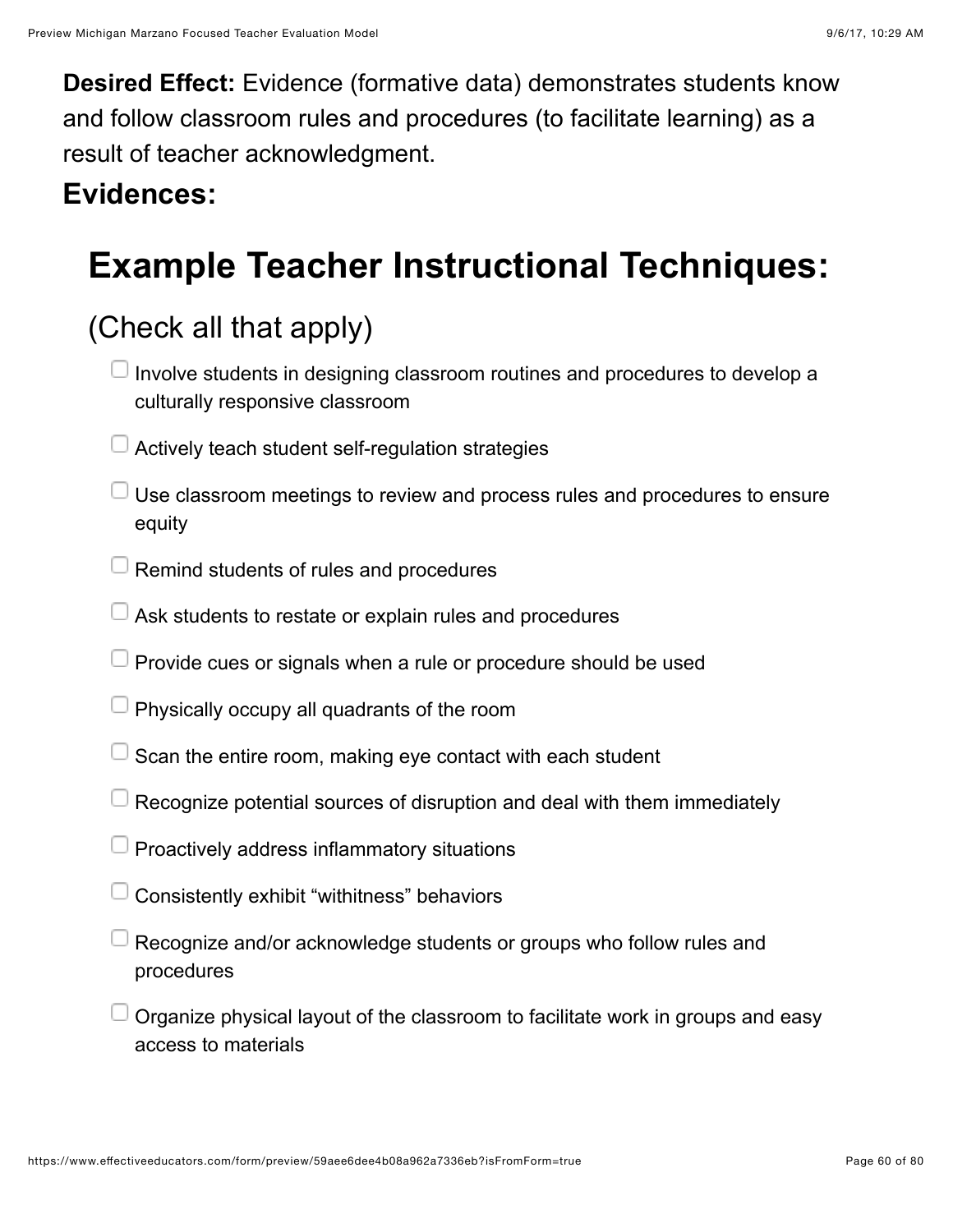**Desired Effect:** Evidence (formative data) demonstrates students know and follow classroom rules and procedures (to facilitate learning) as a result of teacher acknowledgment.

### **Evidences:**

## **Example Teacher Instructional Techniques:**

### (Check all that apply)

- $\Box$  Involve students in designing classroom routines and procedures to develop a culturally responsive classroom
- $\Box$  Actively teach student self-regulation strategies
- $\Box$  Use classroom meetings to review and process rules and procedures to ensure equity
- $\Box$  Remind students of rules and procedures
- $\Box$  Ask students to restate or explain rules and procedures
- $\Box$  Provide cues or signals when a rule or procedure should be used
- $\Box$  Physically occupy all quadrants of the room
- $\perp$  Scan the entire room, making eye contact with each student
- Recognize potential sources of disruption and deal with them immediately
- Proactively address inflammatory situations
- Consistently exhibit "withitness" behaviors
- Recognize and/or acknowledge students or groups who follow rules and procedures
- Organize physical layout of the classroom to facilitate work in groups and easy access to materials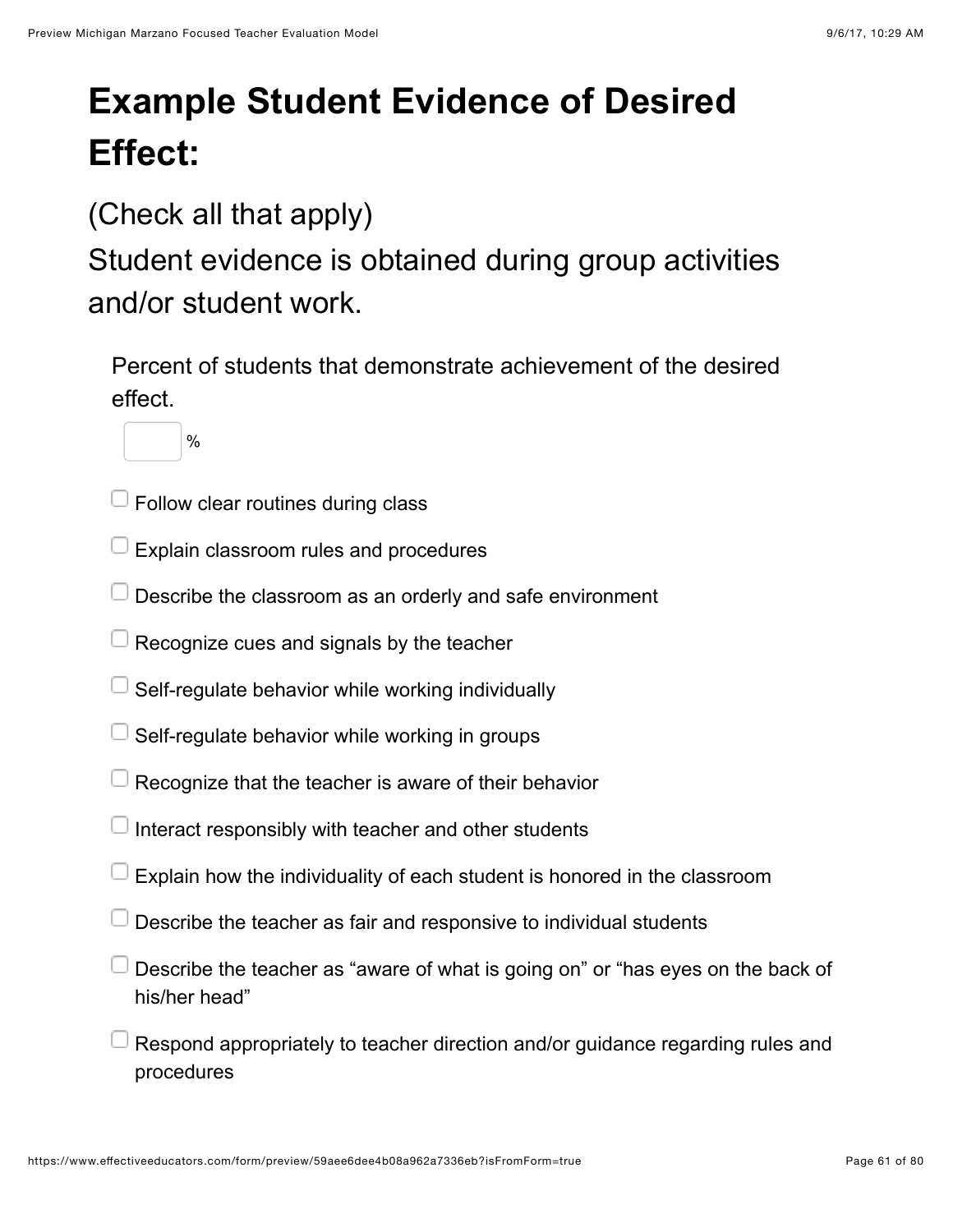# **Example Student Evidence of Desired Effect:**

(Check all that apply)

Student evidence is obtained during group activities and/or student work.

Percent of students that demonstrate achievement of the desired effect.

%

- $\Box$  Follow clear routines during class
- Explain classroom rules and procedures
- Describe the classroom as an orderly and safe environment
- $\Box$  Recognize cues and signals by the teacher
- Self-regulate behavior while working individually
- Self-regulate behavior while working in groups
- $\Box$  Recognize that the teacher is aware of their behavior
- Interact responsibly with teacher and other students
- Explain how the individuality of each student is honored in the classroom
- $\Box$  Describe the teacher as fair and responsive to individual students
- Describe the teacher as "aware of what is going on" or "has eyes on the back of his/her head"
- Respond appropriately to teacher direction and/or guidance regarding rules and procedures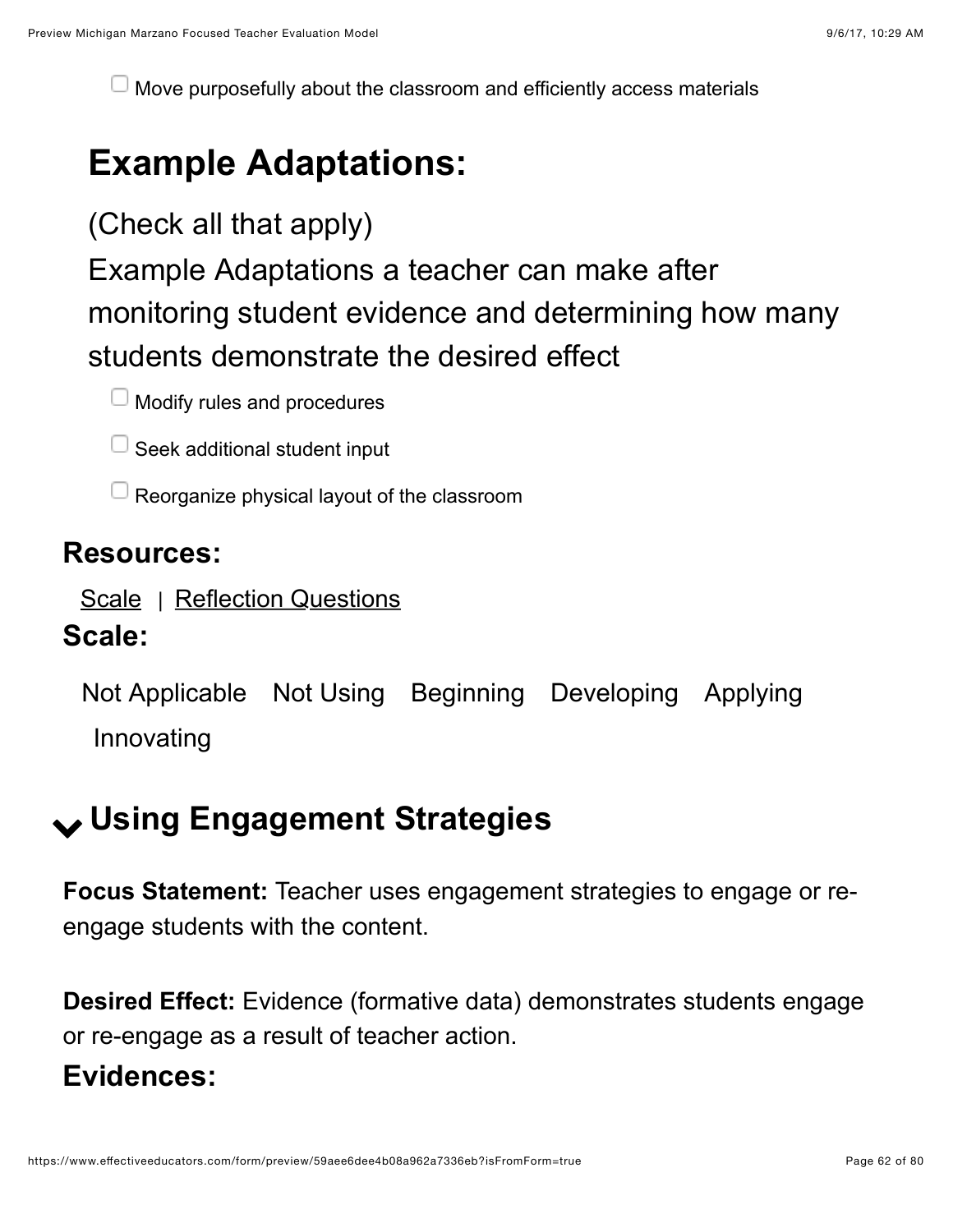Move purposefully about the classroom and efficiently access materials

## **Example Adaptations:**

(Check all that apply)

Example Adaptations a teacher can make after monitoring student evidence and determining how many students demonstrate the desired effect

 $\Box$  Modify rules and procedures

 $\Box$  Seek additional student input

 $\Box$  Reorganize physical layout of the classroom

#### **Resources:**

[Scale](https://www.effectiveeducators.com/resource/show/58dbf9aae4b0cf4a361635e5?popup=true&lookforId=59aee6dbe4b08a962a733642&title=Scale) | [Reflection Questions](https://www.effectiveeducators.com/resource/show/58e6a808e4b0dc97dc70a720?popup=true&lookforId=59aee6dbe4b08a962a733642&title=Reflection+Questions)

#### **Scale:**

Not Applicable Not Using Beginning Developing Applying Innovating

## ! **Using Engagement Strategies**

**Focus Statement:** Teacher uses engagement strategies to engage or reengage students with the content.

**Desired Effect:** Evidence (formative data) demonstrates students engage or re-engage as a result of teacher action.

### **Evidences:**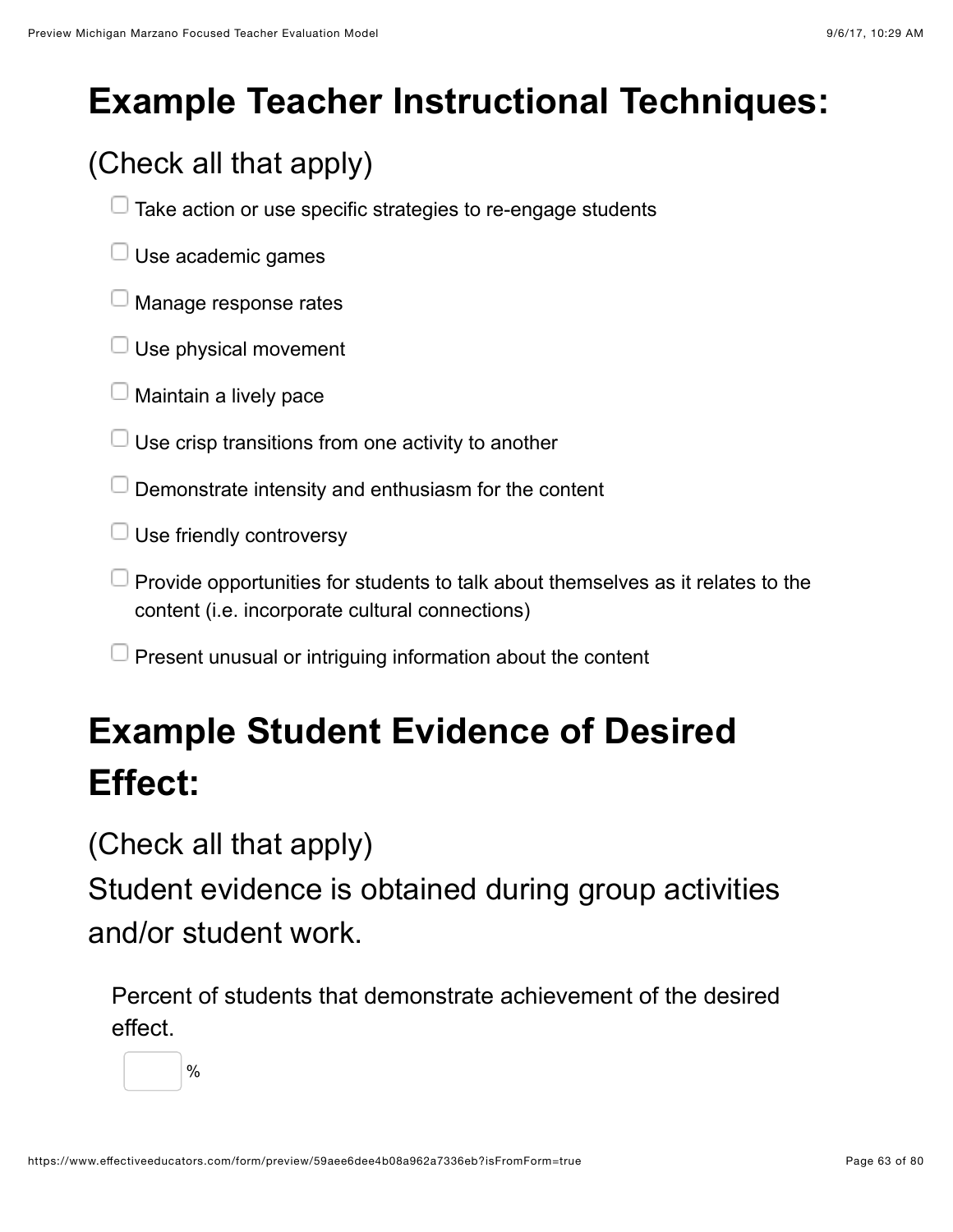# **Example Teacher Instructional Techniques:**

## (Check all that apply)

- $\Box$  Take action or use specific strategies to re-engage students
- $\Box$  Use academic games
- Manage response rates
- $\Box$  Use physical movement
- $\Box$  Maintain a lively pace
- Use crisp transitions from one activity to another
- $\Box$  Demonstrate intensity and enthusiasm for the content
- $\Box$  Use friendly controversy
- $\Box$  Provide opportunities for students to talk about themselves as it relates to the content (i.e. incorporate cultural connections)
- $\Box$  Present unusual or intriguing information about the content

# **Example Student Evidence of Desired Effect:**

(Check all that apply)

Student evidence is obtained during group activities and/or student work.

Percent of students that demonstrate achievement of the desired effect.

%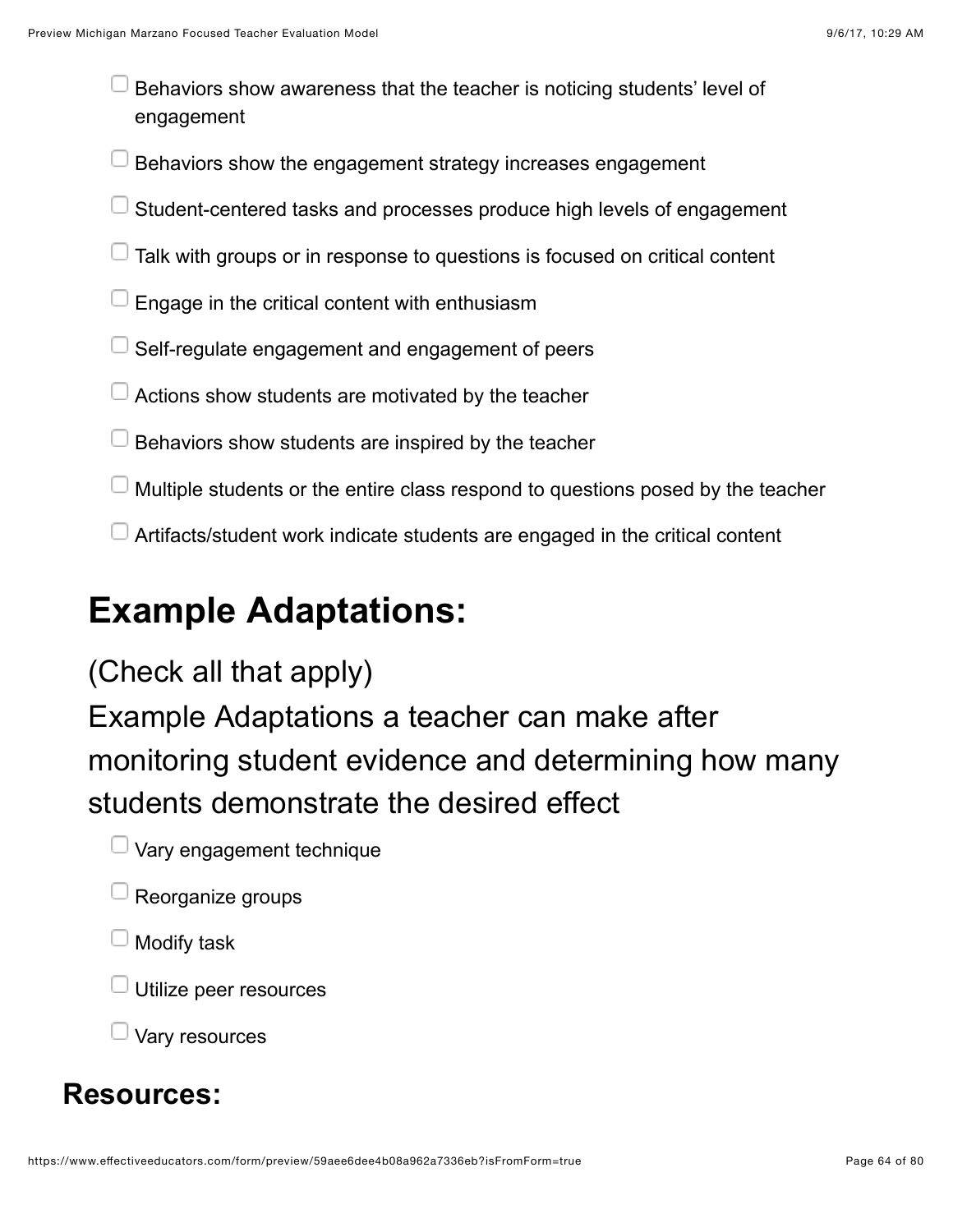Behaviors show awareness that the teacher is noticing students' level of engagement

Behaviors show the engagement strategy increases engagement

- Student-centered tasks and processes produce high levels of engagement
- $\Box$  Talk with groups or in response to questions is focused on critical content
- Engage in the critical content with enthusiasm
- Self-regulate engagement and engagement of peers
- Actions show students are motivated by the teacher
- Behaviors show students are inspired by the teacher
- Multiple students or the entire class respond to questions posed by the teacher
- Artifacts/student work indicate students are engaged in the critical content

### **Example Adaptations:**

#### (Check all that apply)

Example Adaptations a teacher can make after monitoring student evidence and determining how many students demonstrate the desired effect

- $\Box$  Vary engagement technique
- $\Box$  Reorganize groups
- $\mathsf{\mathsf{I}}$  Modify task
- $\exists$  Utilize peer resources

Vary resources

#### **Resources:**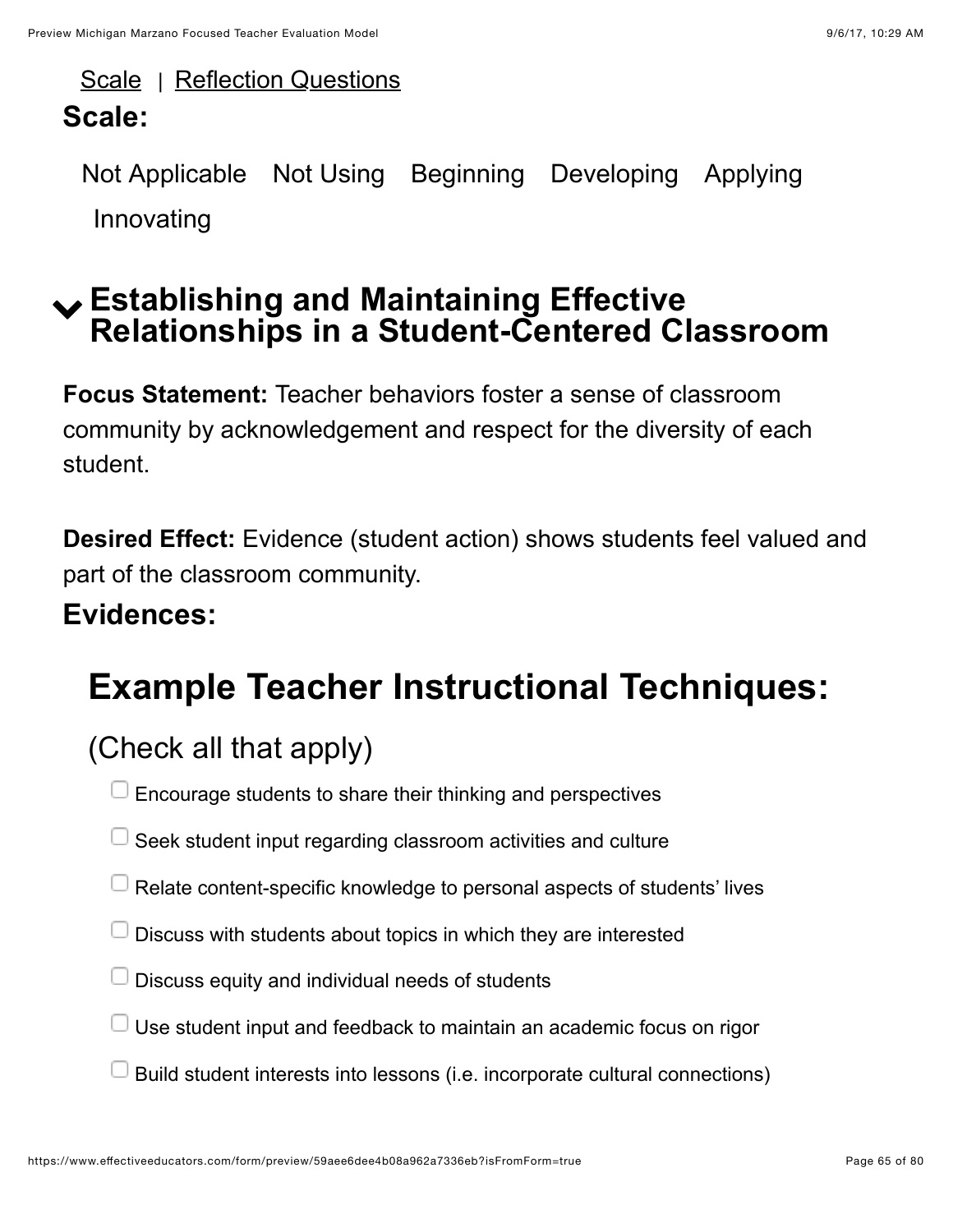[Scale](https://www.effectiveeducators.com/resource/show/58dbfa46e4b0539c02d39167?popup=true&lookforId=59aee6dbe4b08a962a733662&title=Scale) | [Reflection Questions](https://www.effectiveeducators.com/resource/show/58e6a89ee4b05a93828ee0ce?popup=true&lookforId=59aee6dbe4b08a962a733662&title=Reflection+Questions)

### **Scale:**

Not Applicable Not Using Beginning Developing Applying Innovating

### ! **Establishing and Maintaining Effective Relationships in a Student-Centered Classroom**

**Focus Statement:** Teacher behaviors foster a sense of classroom community by acknowledgement and respect for the diversity of each student.

**Desired Effect:** Evidence (student action) shows students feel valued and part of the classroom community.

### **Evidences:**

# **Example Teacher Instructional Techniques:**

### (Check all that apply)

Encourage students to share their thinking and perspectives

- $\Box$  Seek student input regarding classroom activities and culture
- $\Box$  Relate content-specific knowledge to personal aspects of students' lives
- Discuss with students about topics in which they are interested
- $\Box$  Discuss equity and individual needs of students
- $\Box$  Use student input and feedback to maintain an academic focus on rigor
- Build student interests into lessons (i.e. incorporate cultural connections)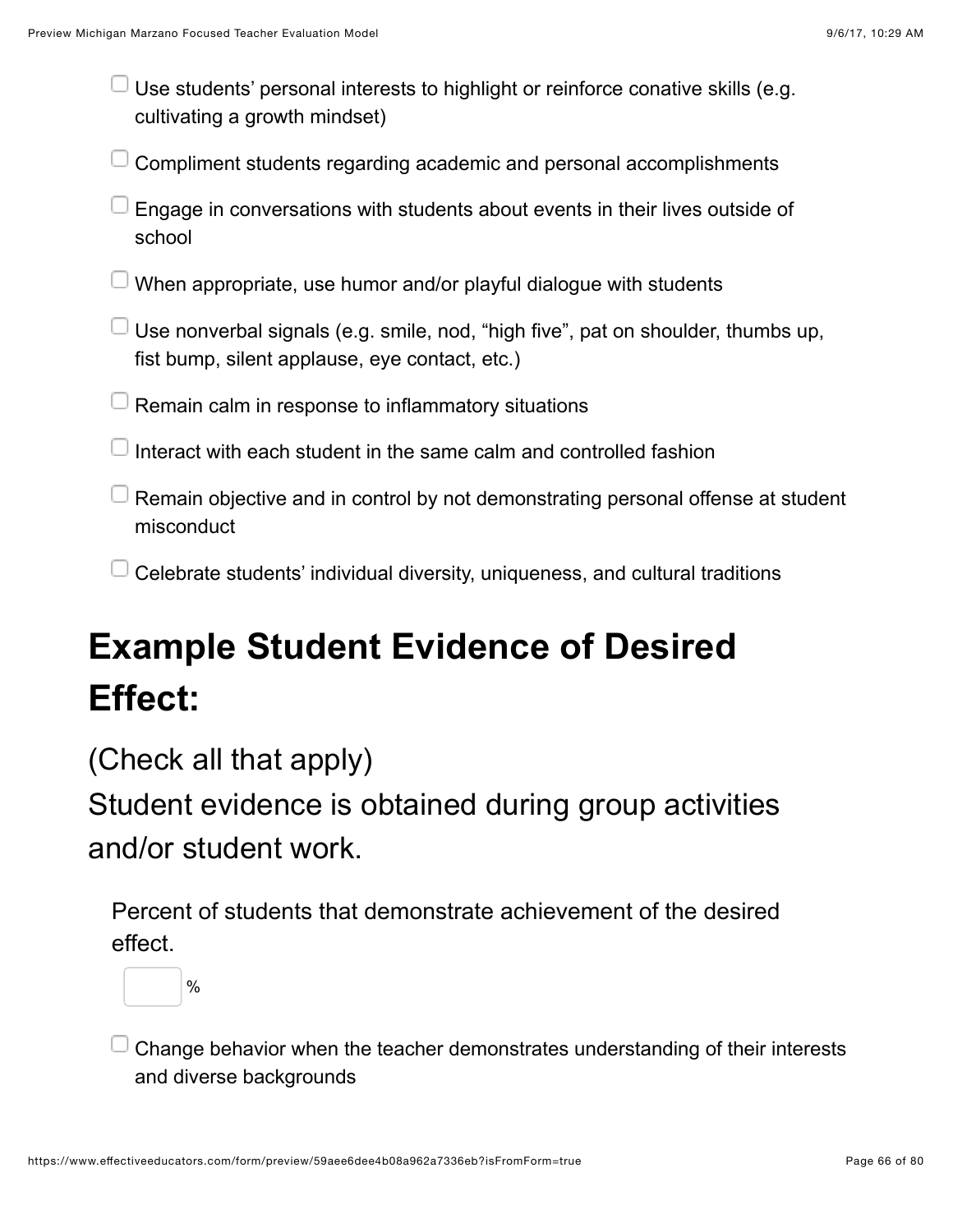Use students' personal interests to highlight or reinforce conative skills (e.g. cultivating a growth mindset)

Compliment students regarding academic and personal accomplishments

| $\Box$ Engage in conversations with students about events in their lives outside of |
|-------------------------------------------------------------------------------------|
| school                                                                              |

 $\Box$  When appropriate, use humor and/or playful dialogue with students

 $\Box$  Use nonverbal signals (e.g. smile, nod, "high five", pat on shoulder, thumbs up, fist bump, silent applause, eye contact, etc.)

 $\Box$  Remain calm in response to inflammatory situations

I interact with each student in the same calm and controlled fashion

 $\Box$  Remain objective and in control by not demonstrating personal offense at student misconduct

 $\Box$  Celebrate students' individual diversity, uniqueness, and cultural traditions

# **Example Student Evidence of Desired Effect:**

(Check all that apply)

Student evidence is obtained during group activities and/or student work.

Percent of students that demonstrate achievement of the desired effect.



Change behavior when the teacher demonstrates understanding of their interests and diverse backgrounds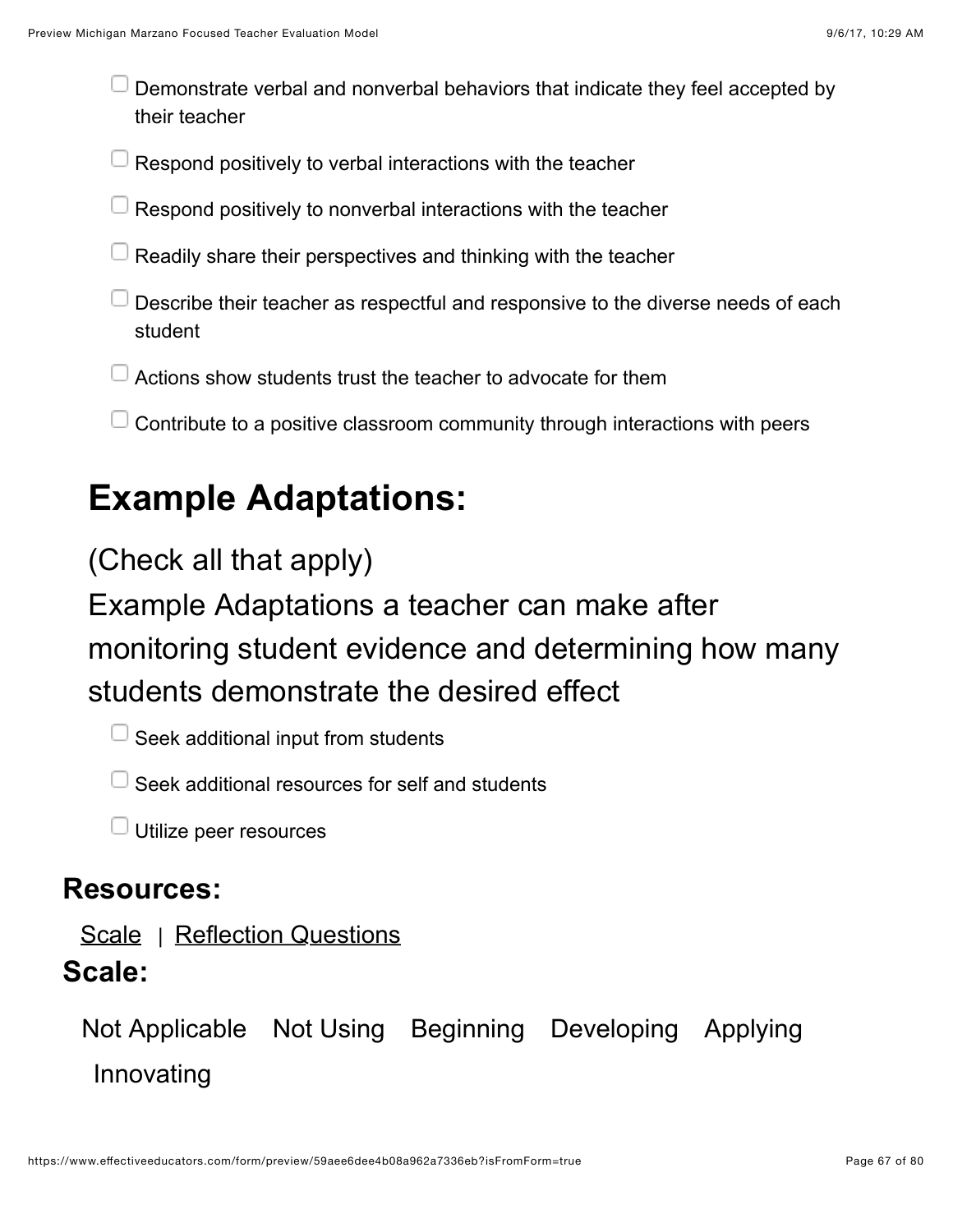Demonstrate verbal and nonverbal behaviors that indicate they feel accepted by their teacher

 $\perp$  Respond positively to verbal interactions with the teacher

- $\Box$  Respond positively to nonverbal interactions with the teacher
- Readily share their perspectives and thinking with the teacher
- Describe their teacher as respectful and responsive to the diverse needs of each student
- Actions show students trust the teacher to advocate for them
- $\Box$  Contribute to a positive classroom community through interactions with peers

## **Example Adaptations:**

#### (Check all that apply)

Example Adaptations a teacher can make after monitoring student evidence and determining how many students demonstrate the desired effect

 $\Box$  Seek additional input from students

 $\Box$  Seek additional resources for self and students

 $\Box$  Utilize peer resources

#### **Resources:**

#### [Scale](https://www.effectiveeducators.com/resource/show/58dbfac9e4b0539c02d39609?popup=true&lookforId=59aee6dce4b08a962a73367f&title=Scale) | [Reflection Questions](https://www.effectiveeducators.com/resource/show/58e6a90ce4b0bd25d57d032c?popup=true&lookforId=59aee6dce4b08a962a73367f&title=Reflection+Questions) **Scale:**

Not Applicable Not Using Beginning Developing Applying Innovating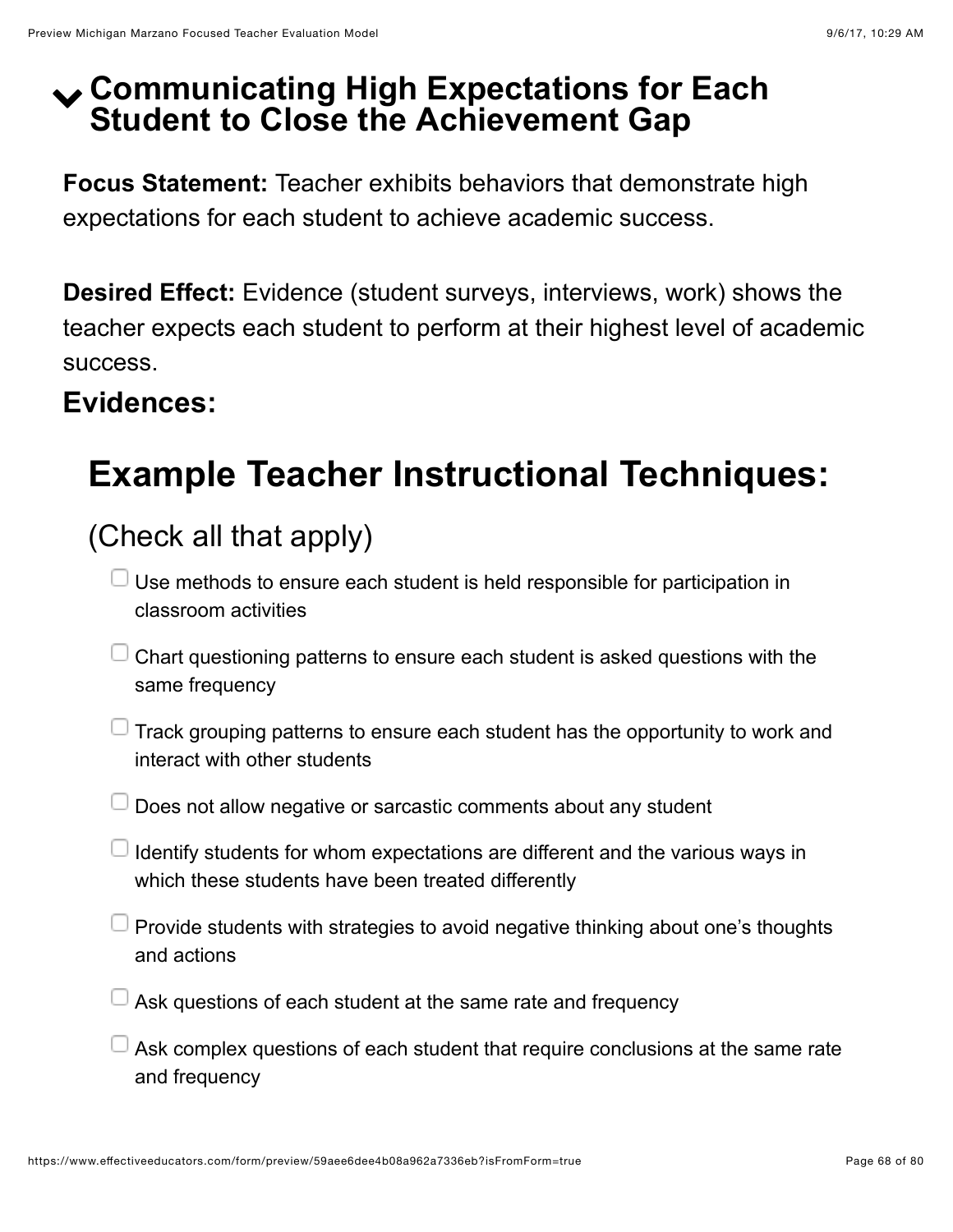### ! **Communicating High Expectations for Each Student to Close the Achievement Gap**

**Focus Statement:** Teacher exhibits behaviors that demonstrate high expectations for each student to achieve academic success.

**Desired Effect:** Evidence (student surveys, interviews, work) shows the teacher expects each student to perform at their highest level of academic success.

### **Evidences:**

## **Example Teacher Instructional Techniques:**

### (Check all that apply)

- $\Box$  Use methods to ensure each student is held responsible for participation in classroom activities
- $\Box$  Chart questioning patterns to ensure each student is asked questions with the same frequency
- $\Box$  Track grouping patterns to ensure each student has the opportunity to work and interact with other students
- $\Box$  Does not allow negative or sarcastic comments about any student
- $\Box$  Identify students for whom expectations are different and the various ways in which these students have been treated differently
- $\Box$  Provide students with strategies to avoid negative thinking about one's thoughts and actions
- $\Box$  Ask questions of each student at the same rate and frequency
- $\Box$  Ask complex questions of each student that require conclusions at the same rate and frequency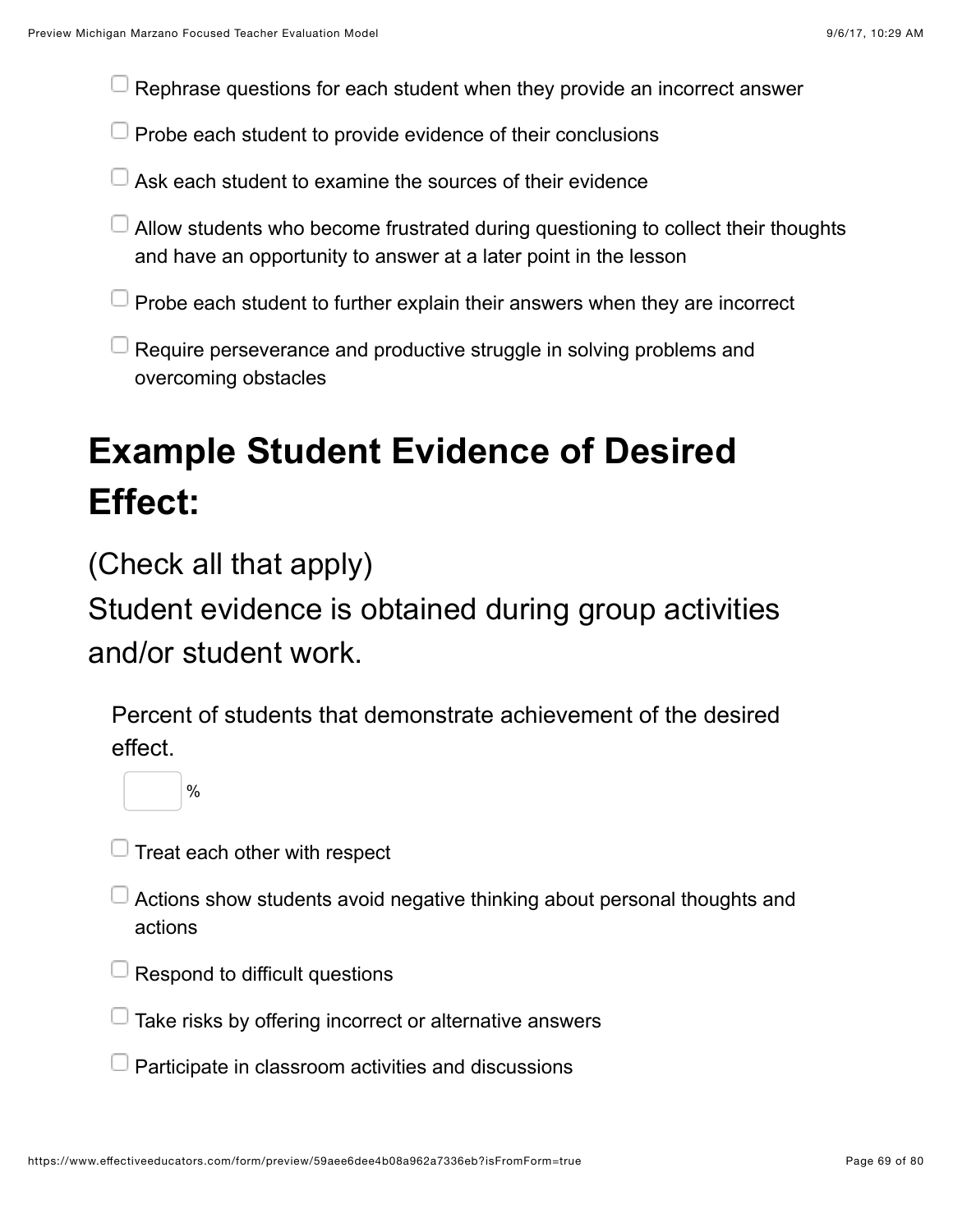Rephrase questions for each student when they provide an incorrect answer

- $\Box$  Probe each student to provide evidence of their conclusions
- Ask each student to examine the sources of their evidence
- Allow students who become frustrated during questioning to collect their thoughts and have an opportunity to answer at a later point in the lesson
- Probe each student to further explain their answers when they are incorrect
- $\Box$  Require perseverance and productive struggle in solving problems and overcoming obstacles

# **Example Student Evidence of Desired Effect:**

(Check all that apply)

Student evidence is obtained during group activities and/or student work.

Percent of students that demonstrate achievement of the desired effect.

 $\mathbb{J}% _{k}(T_{0})$  Treat each other with respect

%

- Actions show students avoid negative thinking about personal thoughts and actions
- $\Box$  Respond to difficult questions
- $\Box$  Take risks by offering incorrect or alternative answers
- Participate in classroom activities and discussions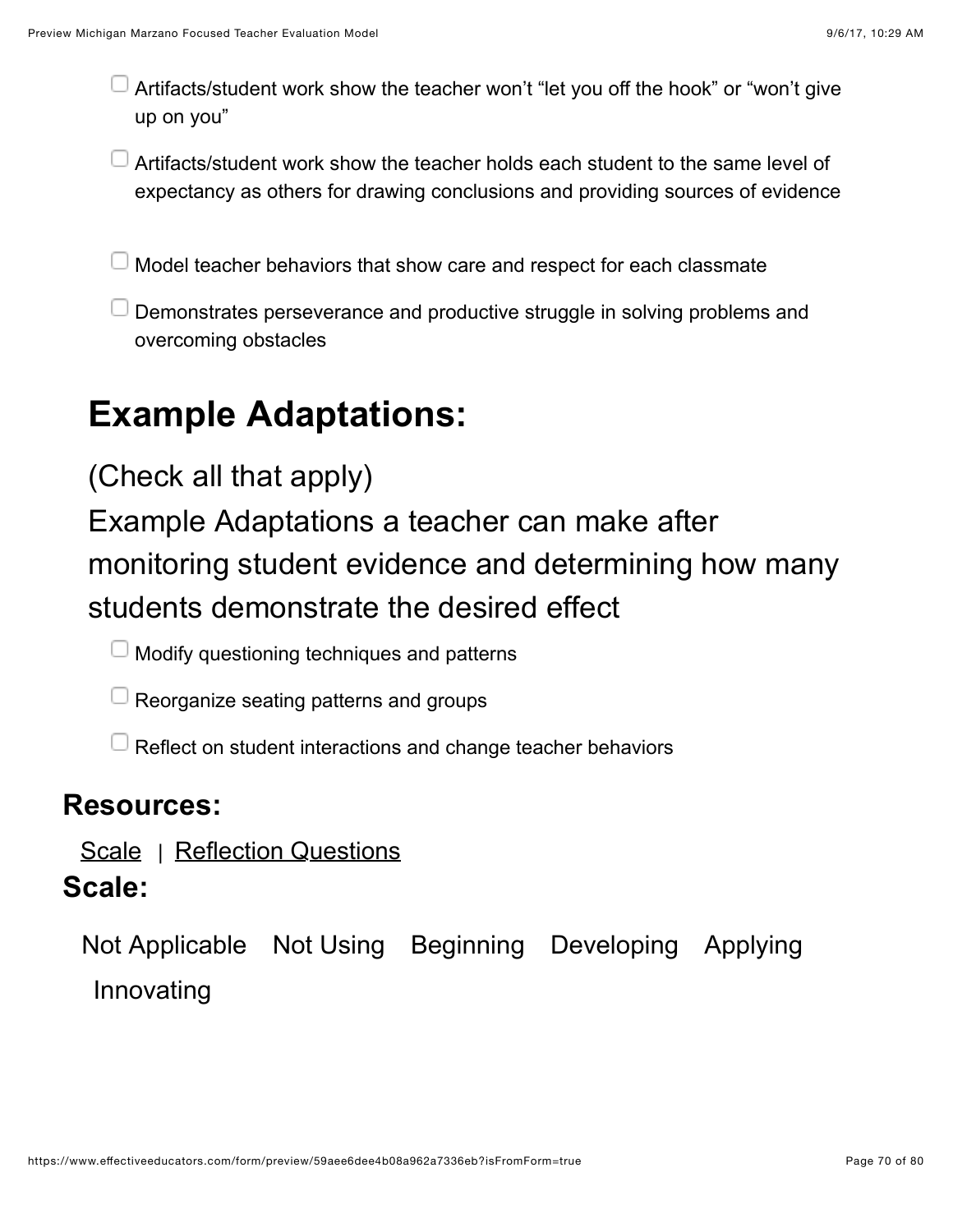- Artifacts/student work show the teacher won't "let you off the hook" or "won't give up on you"
- Artifacts/student work show the teacher holds each student to the same level of expectancy as others for drawing conclusions and providing sources of evidence

 $\Box$  Model teacher behaviors that show care and respect for each classmate

Demonstrates perseverance and productive struggle in solving problems and overcoming obstacles

## **Example Adaptations:**

### (Check all that apply)

Example Adaptations a teacher can make after monitoring student evidence and determining how many students demonstrate the desired effect

 $\Box$  Modify questioning techniques and patterns

 $\Box$  Reorganize seating patterns and groups

 $\Box$  Reflect on student interactions and change teacher behaviors

#### **Resources:**

[Scale](https://www.effectiveeducators.com/resource/show/58dbfb57e4b0cf4a3616475b?popup=true&lookforId=59aee6dce4b08a962a73369e&title=Scale) | [Reflection Questions](https://www.effectiveeducators.com/resource/show/58e6a97fe4b05a93828ee22e?popup=true&lookforId=59aee6dce4b08a962a73369e&title=Reflection+Questions)

#### **Scale:**

Not Applicable Not Using Beginning Developing Applying Innovating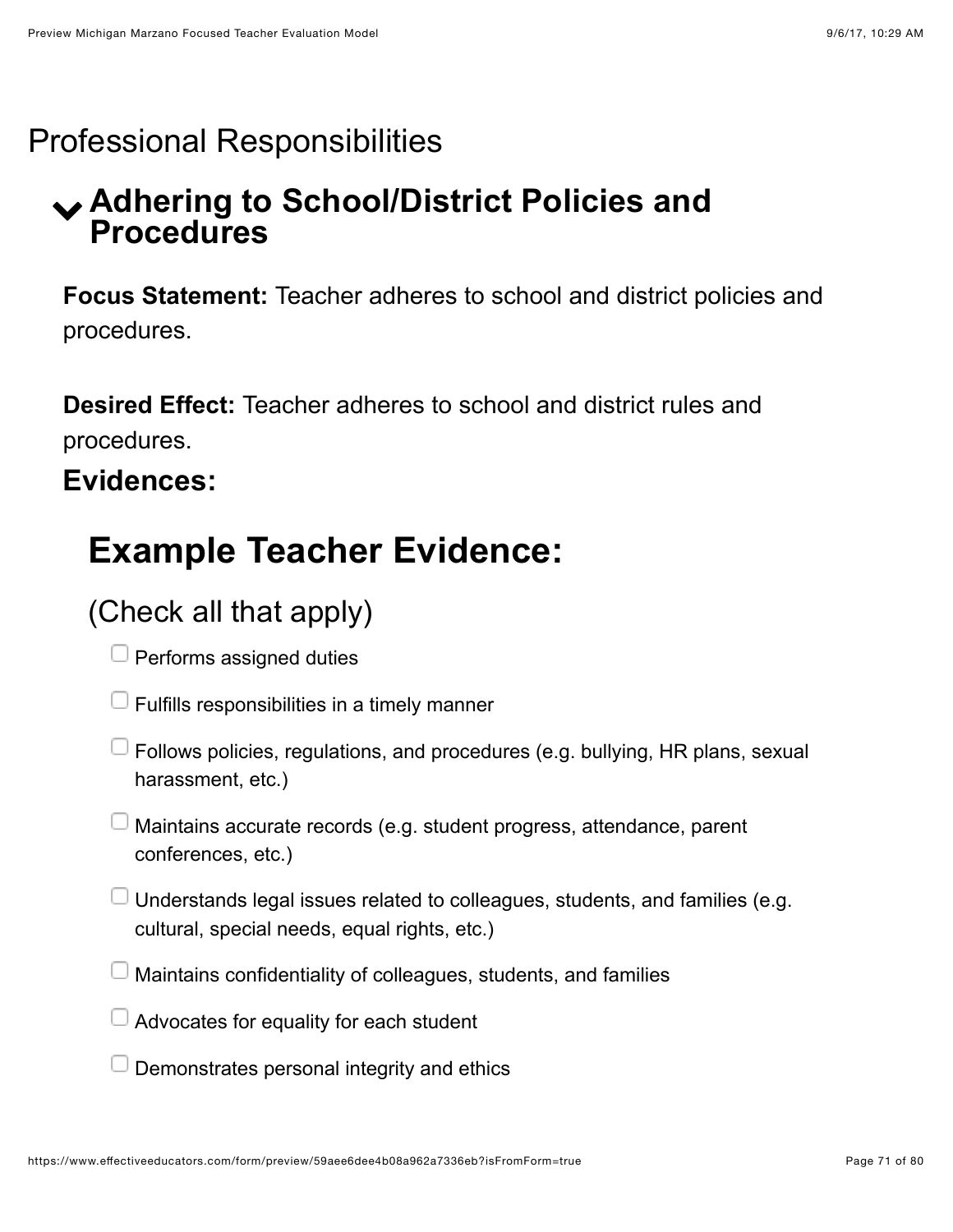### Professional Responsibilities

### ! **Adhering to School/District Policies and Procedures**

**Focus Statement:** Teacher adheres to school and district policies and procedures.

**Desired Effect:** Teacher adheres to school and district rules and procedures.

### **Evidences:**

## **Example Teacher Evidence:**

### (Check all that apply)

 $\Box$  Performs assigned duties

Fulfills responsibilities in a timely manner

- $\Box$  Follows policies, regulations, and procedures (e.g. bullying, HR plans, sexual harassment, etc.)
- Maintains accurate records (e.g. student progress, attendance, parent conferences, etc.)
- $\Box$  Understands legal issues related to colleagues, students, and families (e.g. cultural, special needs, equal rights, etc.)
- Maintains confidentiality of colleagues, students, and families
- $\Box$  Advocates for equality for each student
- Demonstrates personal integrity and ethics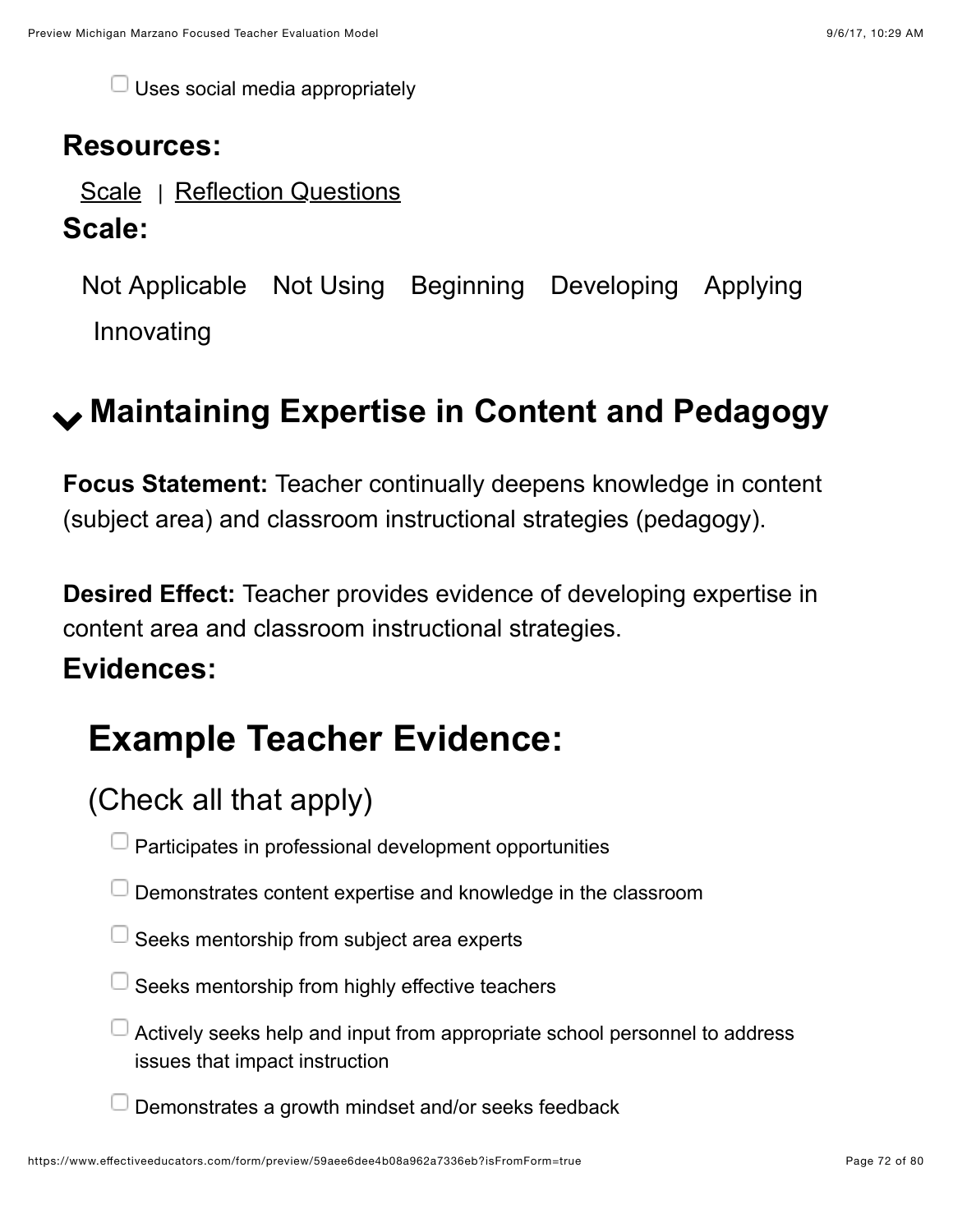$\Box$  Uses social media appropriately

#### **Resources:**

[Scale](https://www.effectiveeducators.com/resource/show/58dbfbe0e4b0539c02d3a023?popup=true&lookforId=59aee6dde4b08a962a7336bb&title=Scale) | [Reflection Questions](https://www.effectiveeducators.com/resource/show/58e6a9f2e4b0dc97dc70a9b6?popup=true&lookforId=59aee6dde4b08a962a7336bb&title=Reflection+Questions)

#### **Scale:**

Not Applicable Not Using Beginning Developing Applying Innovating

## ! **Maintaining Expertise in Content and Pedagogy**

**Focus Statement:** Teacher continually deepens knowledge in content (subject area) and classroom instructional strategies (pedagogy).

**Desired Effect:** Teacher provides evidence of developing expertise in content area and classroom instructional strategies.

#### **Evidences:**

## **Example Teacher Evidence:**

### (Check all that apply)

- $\Box$  Participates in professional development opportunities
- $\Box$  Demonstrates content expertise and knowledge in the classroom
- $\Box$  Seeks mentorship from subject area experts
- Seeks mentorship from highly effective teachers
- $\Box$  Actively seeks help and input from appropriate school personnel to address issues that impact instruction
- Demonstrates a growth mindset and/or seeks feedback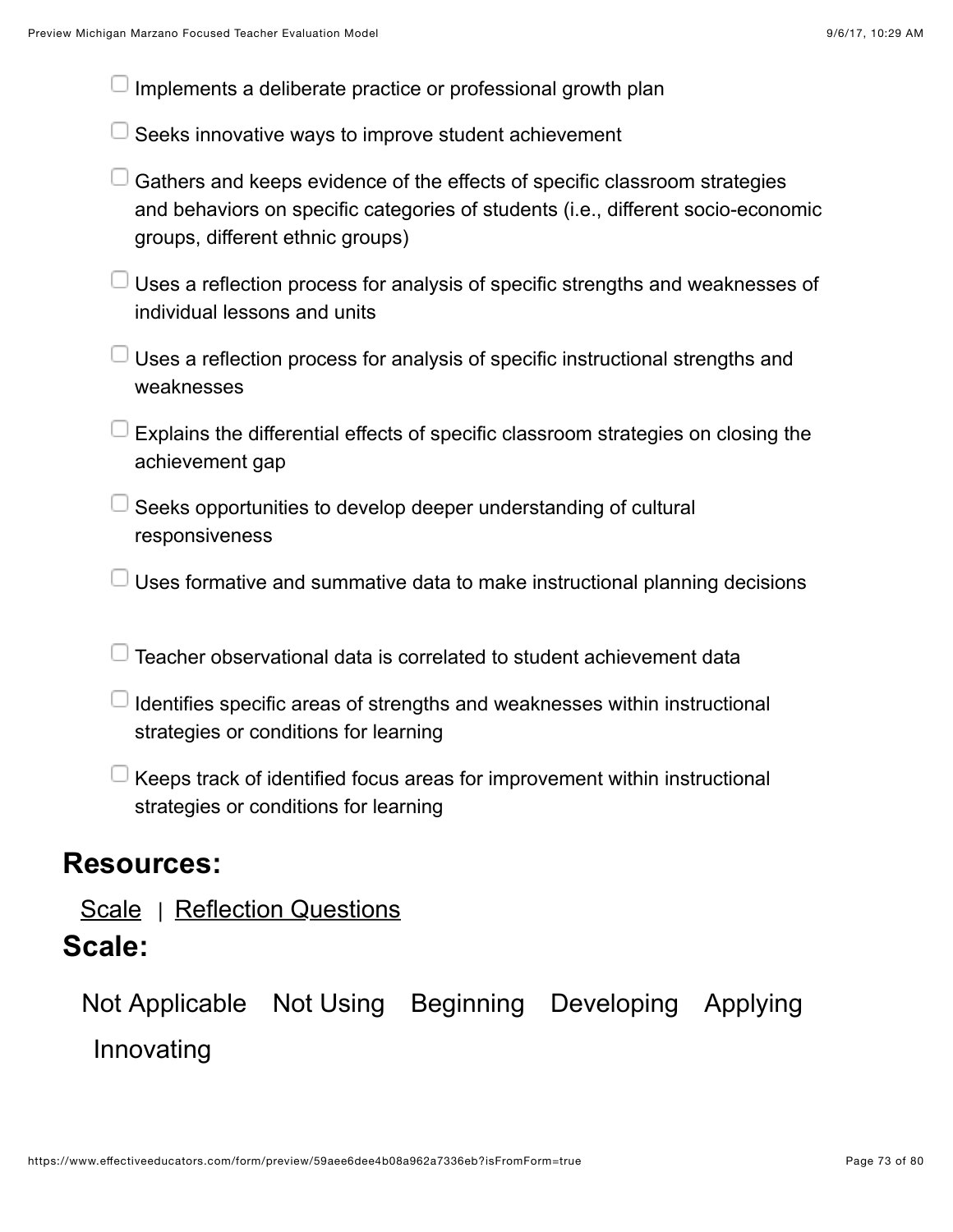| Implements a deliberate practice or professional growth plan                                                                                                                                       |
|----------------------------------------------------------------------------------------------------------------------------------------------------------------------------------------------------|
| Seeks innovative ways to improve student achievement                                                                                                                                               |
| Gathers and keeps evidence of the effects of specific classroom strategies<br>and behaviors on specific categories of students (i.e., different socio-economic<br>groups, different ethnic groups) |
| Uses a reflection process for analysis of specific strengths and weaknesses of<br>individual lessons and units                                                                                     |
| Uses a reflection process for analysis of specific instructional strengths and<br>weaknesses                                                                                                       |
| Explains the differential effects of specific classroom strategies on closing the<br>achievement gap                                                                                               |
| Seeks opportunities to develop deeper understanding of cultural<br>responsiveness                                                                                                                  |
| Uses formative and summative data to make instructional planning decisions                                                                                                                         |
| Teacher observational data is correlated to student achievement data                                                                                                                               |
| Identifies specific areas of strengths and weaknesses within instructional<br>strategies or conditions for learning                                                                                |
| Keeps track of identified focus areas for improvement within instructional<br>strategies or conditions for learning                                                                                |
| <b>Resources:</b>                                                                                                                                                                                  |

[Scale](https://www.effectiveeducators.com/resource/show/58dbff93e4b0539c02d3c15c?popup=true&lookforId=59aee6dde4b08a962a7336c6&title=Scale) | [Reflection Questions](https://www.effectiveeducators.com/resource/show/58e6ab45e4b03411ff7c6afb?popup=true&lookforId=59aee6dde4b08a962a7336c6&title=Reflection+Questions)

### **Scale:**

Not Applicable Not Using Beginning Developing Applying Innovating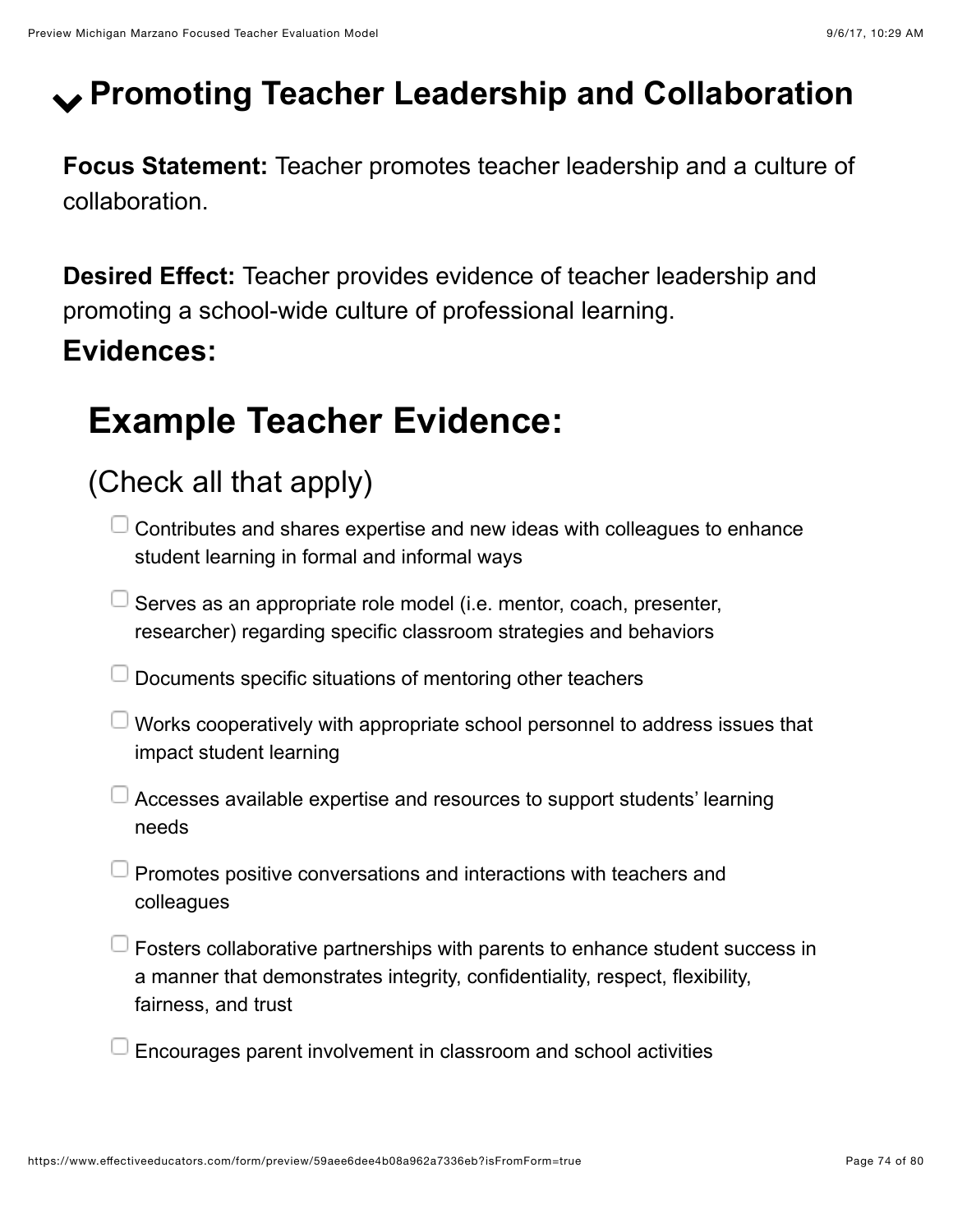# ! **Promoting Teacher Leadership and Collaboration**

**Focus Statement:** Teacher promotes teacher leadership and a culture of collaboration.

**Desired Effect:** Teacher provides evidence of teacher leadership and promoting a school-wide culture of professional learning.

## **Evidences:**

# **Example Teacher Evidence:**

## (Check all that apply)

- $\Box$  Contributes and shares expertise and new ideas with colleagues to enhance student learning in formal and informal ways
- $\Box$  Serves as an appropriate role model (i.e. mentor, coach, presenter, researcher) regarding specific classroom strategies and behaviors
- $\Box$  Documents specific situations of mentoring other teachers
- $\Box$  Works cooperatively with appropriate school personnel to address issues that impact student learning
- Accesses available expertise and resources to support students' learning needs
- $\Box$  Promotes positive conversations and interactions with teachers and colleagues
- $\Box$  Fosters collaborative partnerships with parents to enhance student success in a manner that demonstrates integrity, confidentiality, respect, flexibility, fairness, and trust
- Encourages parent involvement in classroom and school activities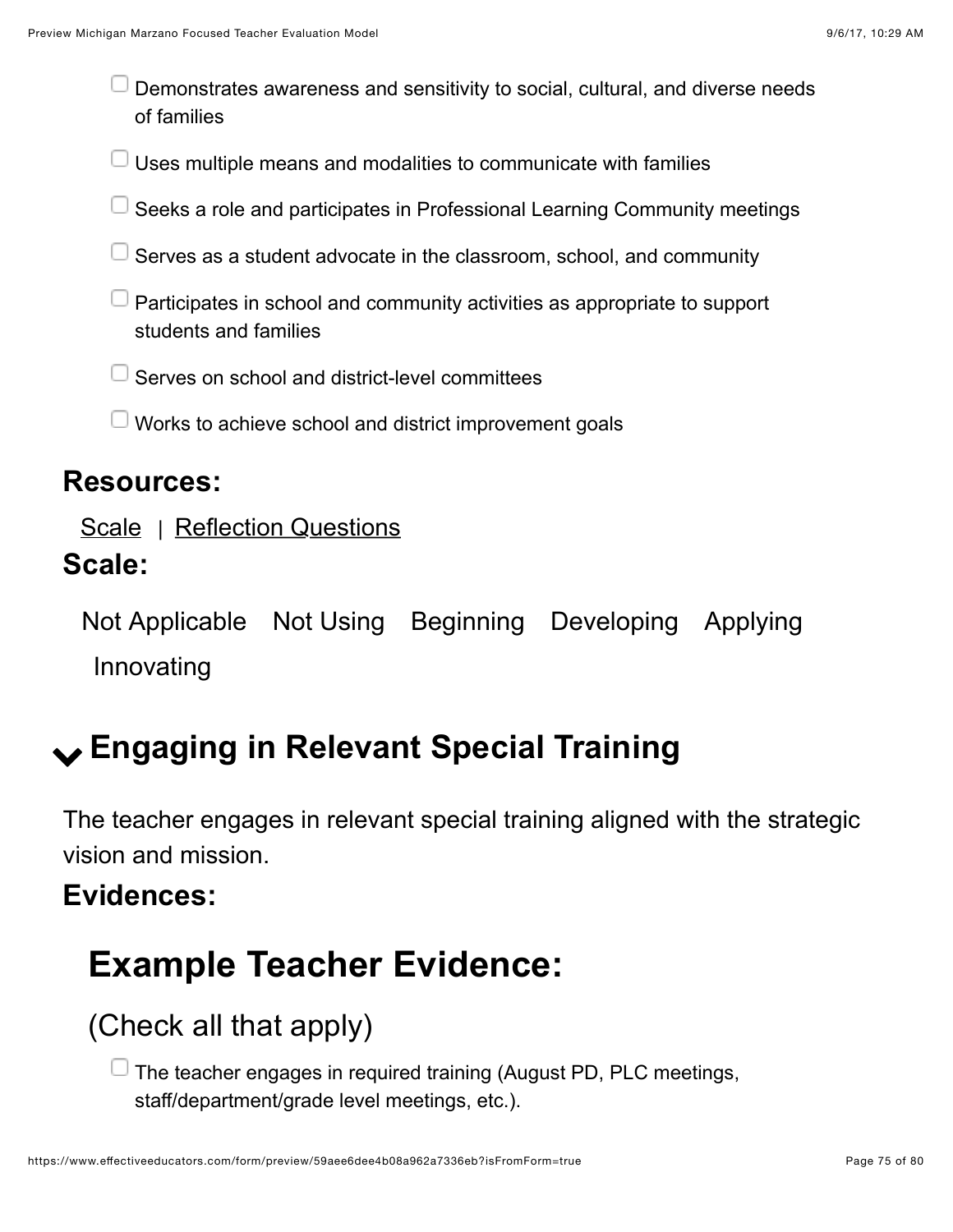Demonstrates awareness and sensitivity to social, cultural, and diverse needs of families

Uses multiple means and modalities to communicate with families

- Seeks a role and participates in Professional Learning Community meetings
- Serves as a student advocate in the classroom, school, and community
- Participates in school and community activities as appropriate to support students and families
- Serves on school and district-level committees
- $\Box$  Works to achieve school and district improvement goals

#### **Resources:**

[Scale](https://www.effectiveeducators.com/resource/show/58dbfc82e4b0539c02d3a5b5?popup=true&lookforId=59aee6dde4b08a962a7336da&title=Scale) | [Reflection Questions](https://www.effectiveeducators.com/resource/show/58e6abc3e4b03411ff7c6bb0?popup=true&lookforId=59aee6dde4b08a962a7336da&title=Reflection+Questions)

### **Scale:**

Not Applicable Not Using Beginning Developing Applying Innovating

## ! **Engaging in Relevant Special Training**

The teacher engages in relevant special training aligned with the strategic vision and mission.

### **Evidences:**



## (Check all that apply)

 $\Box$  The teacher engages in required training (August PD, PLC meetings, staff/department/grade level meetings, etc.).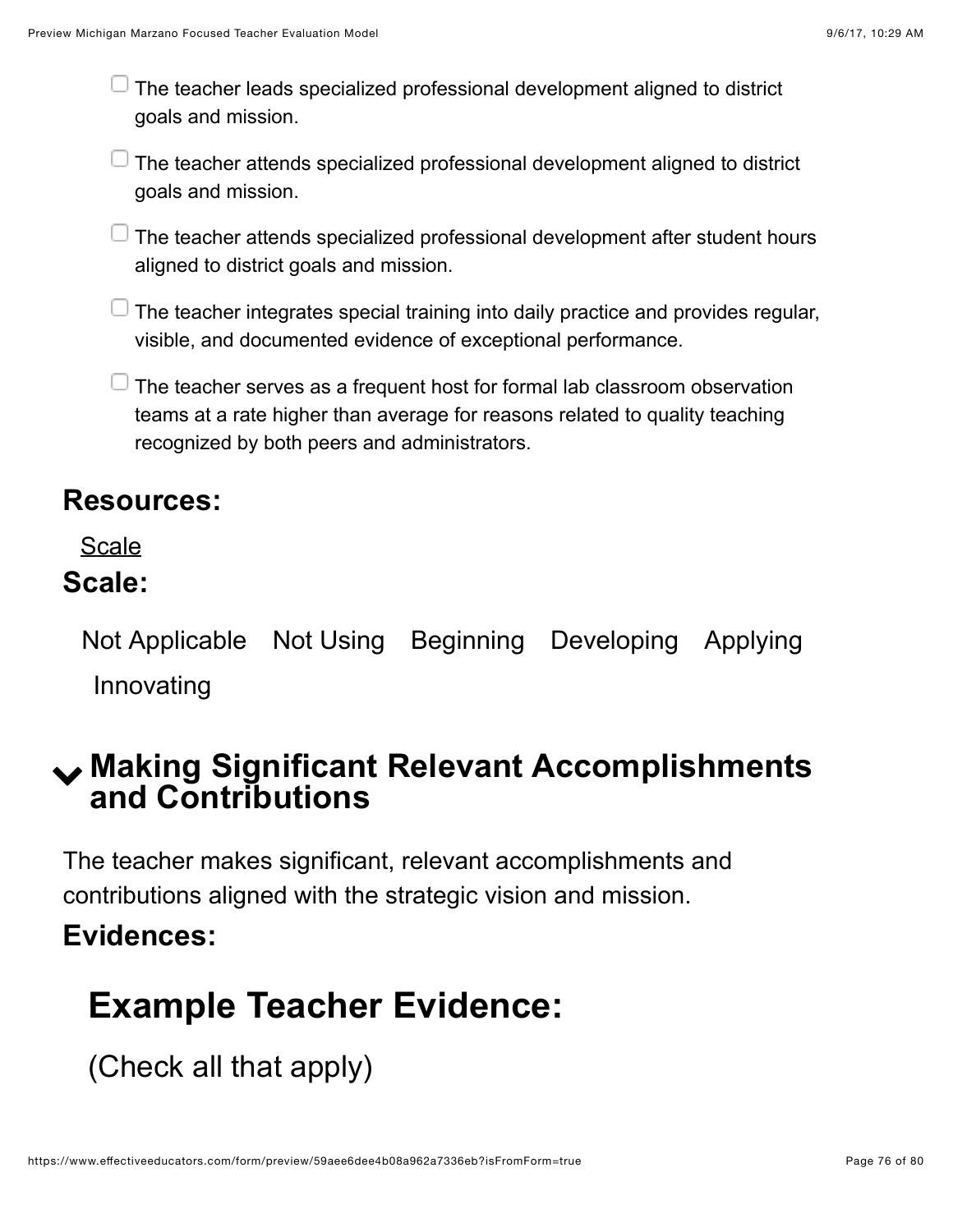$\Box$  The teacher leads specialized professional development aligned to district goals and mission.

 $\Box$  The teacher attends specialized professional development aligned to district goals and mission.

 $\Box$  The teacher attends specialized professional development after student hours aligned to district goals and mission.

 $\Box$  The teacher integrates special training into daily practice and provides regular, visible, and documented evidence of exceptional performance.

 $\Box$  The teacher serves as a frequent host for formal lab classroom observation teams at a rate higher than average for reasons related to quality teaching recognized by both peers and administrators.

#### **Resources:**

[Scale](https://www.effectiveeducators.com/resource/show/59aeeee3e4b0aabea0b93fce?popup=true&lookforId=59aeeb5ae4b08202640c4437&title=Scale)

### **Scale:**

Not Applicable Not Using Beginning Developing Applying Innovating

## ! **Making Significant Relevant Accomplishments and Contributions**

The teacher makes significant, relevant accomplishments and contributions aligned with the strategic vision and mission.

### **Evidences:**

## **Example Teacher Evidence:**

(Check all that apply)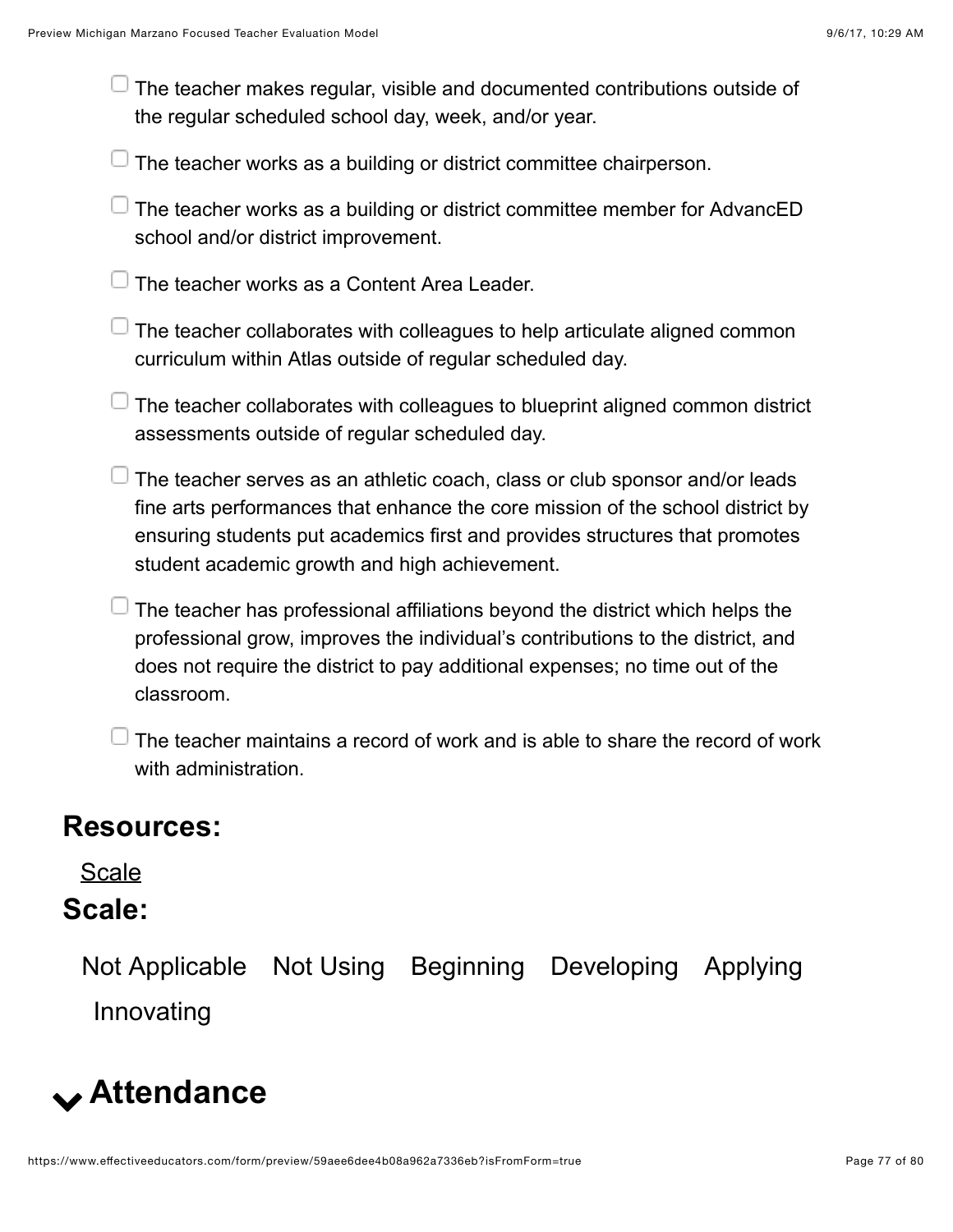| $\sqcup$ The teacher makes regular, visible and documented contributions outside of |  |
|-------------------------------------------------------------------------------------|--|
| the regular scheduled school day, week, and/or year.                                |  |

 $\Box$  The teacher works as a building or district committee chairperson.

 $\Box$  The teacher works as a building or district committee member for AdvancED school and/or district improvement.

 $\Box$  The teacher works as a Content Area Leader.

 $\Box$  The teacher collaborates with colleagues to help articulate aligned common curriculum within Atlas outside of regular scheduled day.

 $\Box$  The teacher collaborates with colleagues to blueprint aligned common district assessments outside of regular scheduled day.

 $\Box$  The teacher serves as an athletic coach, class or club sponsor and/or leads fine arts performances that enhance the core mission of the school district by ensuring students put academics first and provides structures that promotes student academic growth and high achievement.

 $\Box$  The teacher has professional affiliations beyond the district which helps the professional grow, improves the individual's contributions to the district, and does not require the district to pay additional expenses; no time out of the classroom.

 $\Box$  The teacher maintains a record of work and is able to share the record of work with administration.

#### **Resources:**

[Scale](https://www.effectiveeducators.com/resource/show/59aef053e4b08202640c4ffc?popup=true&lookforId=59aef1f1e4b0aabea0b947e6&title=Scale)

### **Scale:**

Not Applicable Not Using Beginning Developing Applying Innovating

# ! **Attendance**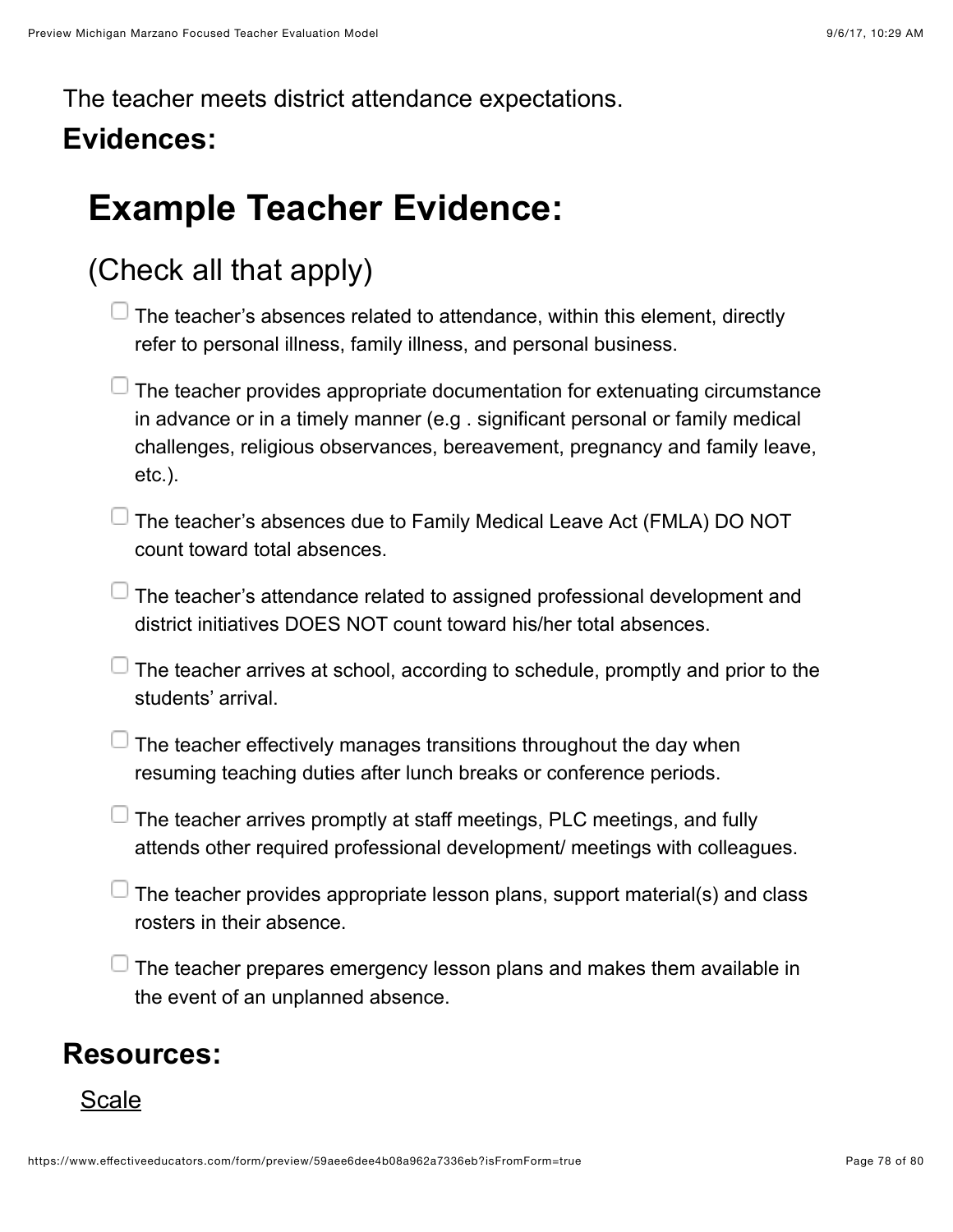The teacher meets district attendance expectations.

## **Evidences:**

# **Example Teacher Evidence:**

## (Check all that apply)

| $\perp$ The teacher's absences related to attendance, within this element, directly |  |
|-------------------------------------------------------------------------------------|--|
| refer to personal illness, family illness, and personal business.                   |  |

| $\perp$ The teacher provides appropriate documentation for extenuating circumstance |
|-------------------------------------------------------------------------------------|
| in advance or in a timely manner (e.g. significant personal or family medical       |
| challenges, religious observances, bereavement, pregnancy and family leave,         |
| $etc.$ ).                                                                           |

 $\Box$  The teacher's absences due to Family Medical Leave Act (FMLA) DO NOT count toward total absences.

 $\Box$  The teacher's attendance related to assigned professional development and district initiatives DOES NOT count toward his/her total absences.

 $\Box$  The teacher arrives at school, according to schedule, promptly and prior to the students' arrival.

 $\Box$  The teacher effectively manages transitions throughout the day when resuming teaching duties after lunch breaks or conference periods.

- $\Box$  The teacher arrives promptly at staff meetings, PLC meetings, and fully attends other required professional development/ meetings with colleagues.
- $\overline{\phantom{\alpha}}$  The teacher provides appropriate lesson plans, support material(s) and class rosters in their absence.

 $\Box$  The teacher prepares emergency lesson plans and makes them available in the event of an unplanned absence.

### **Resources:**

#### [Scale](https://www.effectiveeducators.com/resource/show/59aeed21e4b08202640c4928?popup=true&lookforId=59aef2a5e4b08cc231c3000d&title=Scale)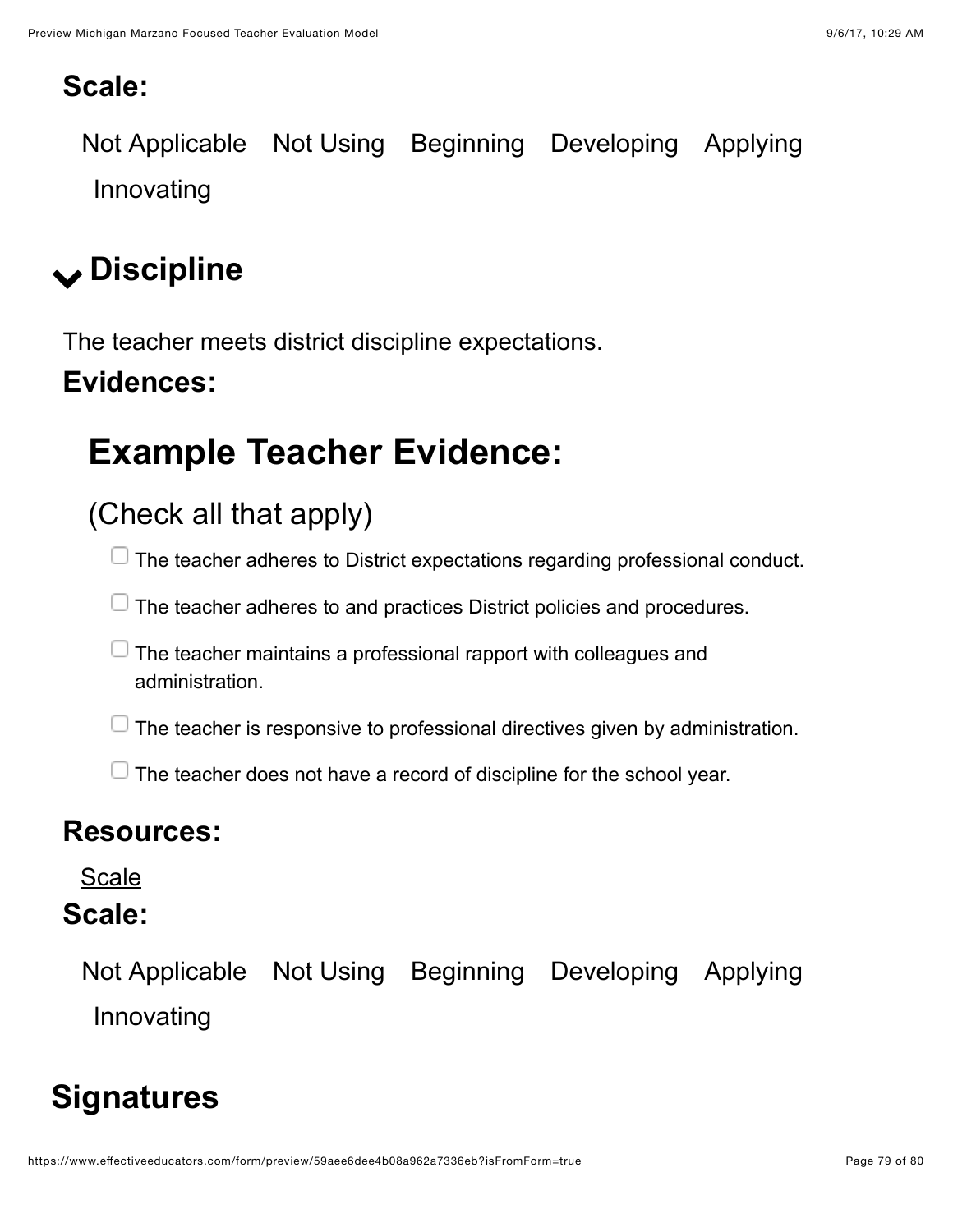### **Scale:**

Not Applicable Not Using Beginning Developing Applying Innovating

# ! **Discipline**

The teacher meets district discipline expectations.

## **Evidences:**

# **Example Teacher Evidence:**

## (Check all that apply)

 $\Box$  The teacher adheres to District expectations regarding professional conduct.

 $\Box$  The teacher adheres to and practices District policies and procedures.

 $\Box$  The teacher maintains a professional rapport with colleagues and administration.

 $\Box$  The teacher is responsive to professional directives given by administration.

 $\Box$  The teacher does not have a record of discipline for the school year.

### **Resources:**

[Scale](https://www.effectiveeducators.com/resource/show/59aeee12e4b08a962a73473f?popup=true&lookforId=59aef384e4b08202640c5ed9&title=Scale)

### **Scale:**

Not Applicable Not Using Beginning Developing Applying Innovating

## **Signatures**